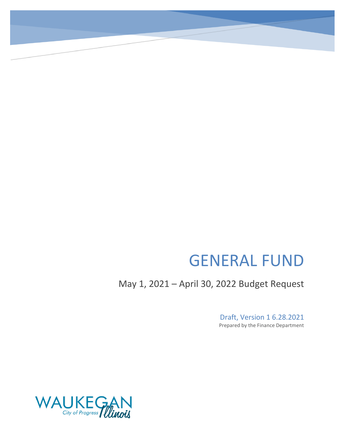# GENERAL FUND

May 1, 2021 – April 30, 2022 Budget Request

Draft, Version 1 6.28.2021 Prepared by the Finance Department

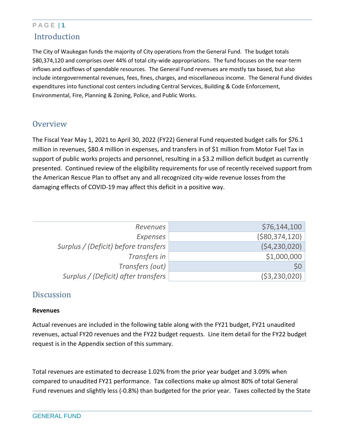## P A G E | **1** Introduction

The City of Waukegan funds the majority of City operations from the General Fund. The budget totals \$80,374,120 and comprises over 44% of total city-wide appropriations. The fund focuses on the near-term inflows and outflows of spendable resources. The General Fund revenues are mostly tax based, but also include intergovernmental revenues, fees, fines, charges, and miscellaneous income. The General Fund divides expenditures into functional cost centers including Central Services, Building & Code Enforcement, Environmental, Fire, Planning & Zoning, Police, and Public Works.

### **Overview**

The Fiscal Year May 1, 2021 to April 30, 2022 (FY22) General Fund requested budget calls for \$76.1 million in revenues, \$80.4 million in expenses, and transfers in of \$1 million from Motor Fuel Tax in support of public works projects and personnel, resulting in a \$3.2 million deficit budget as currently presented. Continued review of the eligibility requirements for use of recently received support from the American Rescue Plan to offset any and all recognized city-wide revenue losses from the damaging effects of COVID-19 may affect this deficit in a positive way.

| Revenues                             | \$76,144,100    |
|--------------------------------------|-----------------|
| Expenses                             | ( \$80,374,120] |
| Surplus / (Deficit) before transfers | (54, 230, 020)  |
| Transfers in                         | \$1,000,000     |
| Transfers (out)                      | \$0\$           |
| Surplus / (Deficit) after transfers  | ( \$3,230,020)  |

## **Discussion**

#### **Revenues**

Actual revenues are included in the following table along with the FY21 budget, FY21 unaudited revenues, actual FY20 revenues and the FY22 budget requests. Line item detail for the FY22 budget request is in the Appendix section of this summary.

Total revenues are estimated to decrease 1.02% from the prior year budget and 3.09% when compared to unaudited FY21 performance. Tax collections make up almost 80% of total General Fund revenues and slightly less (-0.8%) than budgeted for the prior year. Taxes collected by the State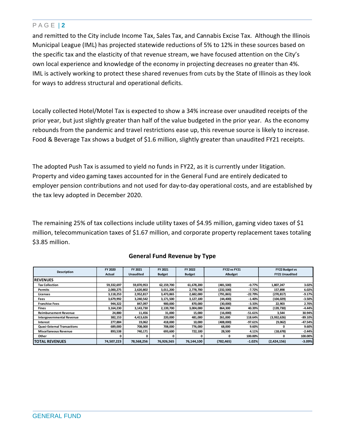and remitted to the City include Income Tax, Sales Tax, and Cannabis Excise Tax. Although the Illinois Municipal League (IML) has projected statewide reductions of 5% to 12% in these sources based on the specific tax and the elasticity of that revenue stream, we have focused attention on the City's own local experience and knowledge of the economy in projecting decreases no greater than 4%. IML is actively working to protect these shared revenues from cuts by the State of Illinois as they look for ways to address structural and operational deficits.

Locally collected Hotel/Motel Tax is expected to show a 34% increase over unaudited receipts of the prior year, but just slightly greater than half of the value budgeted in the prior year. As the economy rebounds from the pandemic and travel restrictions ease up, this revenue source is likely to increase. Food & Beverage Tax shows a budget of \$1.6 million, slightly greater than unaudited FY21 receipts.

The adopted Push Tax is assumed to yield no funds in FY22, as it is currently under litigation. Property and video gaming taxes accounted for in the General Fund are entirely dedicated to employer pension contributions and not used for day-to-day operational costs, and are established by the tax levy adopted in December 2020.

The remaining 25% of tax collections include utility taxes of \$4.95 million, gaming video taxes of \$1 million, telecommunication taxes of \$1.67 million, and corporate property replacement taxes totaling \$3.85 million.

|                                    | FY 2020    | FY 2021          | FY 2021       | FY 2022       | <b>FY22 vs FY21</b> |           | <b>FY22 Budget vs</b> |                       |
|------------------------------------|------------|------------------|---------------|---------------|---------------------|-----------|-----------------------|-----------------------|
| <b>Description</b>                 | Actual     | <b>Unaudited</b> | <b>Budget</b> | <b>Budget</b> |                     | ABudget   |                       | <b>FY21 Unaudited</b> |
| <b>IREVENUES</b>                   |            |                  |               |               |                     |           |                       |                       |
| <b>Tax Collection</b>              | 59,332,697 | 59,870,953       | 62,159,700    | 61,678,200    | (481,500)           | $-0.77%$  | 1,807,247             | 3.02%                 |
| <b>Permits</b>                     | 2,000,275  | 2,620,802        | 3,011,200     | 2,778,700     | (232,500)           | $-7.72%$  | 157,898               | 6.02%                 |
| Licenses                           | 3,118,253  | 2,952,817        | 3,473,865     | 2,682,000     | (791,865)           | $-22.79%$ | (270, 817)            | $-9.17%$              |
| Fees                               | 3,679,992  | 3,240,542        | 3,171,500     | 3,127,100     | (44, 400)           | $-1.40%$  | (104, 029)            | $-3.50%$              |
| <b>Franchise Fees</b>              | 944,322    | 847,097          | 900,000       | 870,000       | (30,000)            | $-3.33%$  | 22,903                | 2.70%                 |
| <b>Fines</b>                       | 3,164,230  | 3,143,730        | 2,139,700     | 3,004,000     | 864,300             | 40.39%    | (139,730)             | $-4.44%$              |
| <b>Reimbursement Revenue</b>       | 24,880     | 11,456           | 31,000        | 15,000        | (16,000)            | $-51.61%$ | 3,544                 | 30.94%                |
| <b>Intergovernmental Revenue</b>   | 382,153    | 4,413,626        | 220,000       | 481,000       | 261,000             | 118.64%   | (3,932,626)           | $-89.10%$             |
| Interest                           | 277,884    | 19,062           | 418,000       | 10,000        | (408,000)           | $-97.61%$ | (9,062)               | $-47.54%$             |
| <b>Quasi-External Transactions</b> | 689.000    | 708,000          | 708.000       | 776.000       | 68,000              | 9.60%     | n                     | 9.60%                 |
| <b>Miscellaneous Revenue</b>       | 893,538    | 740,171          | 693,600       | 722,100       | 28,500              | 4.11%     | (18, 678)             | $-2.44%$              |
| Other                              |            |                  |               |               | O                   | 100.00%   | n                     | 100.00%               |
| <b>TOTAL REVENUES</b>              | 74,507,223 | 78,568,256       | 76,926,565    | 76,144,100    | (782, 465)          | $-1.02%$  | (2,424,156)           | $-3.09%$              |

#### **General Fund Revenue by Type**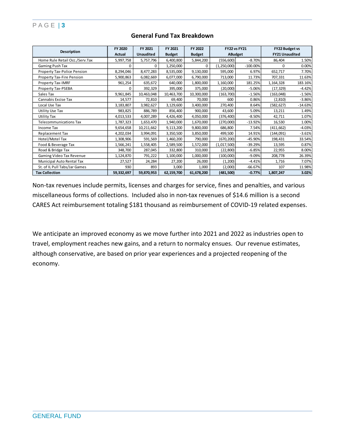|                                    | FY 2020       | FY 2021          | FY 2021       | FY 2022       | <b>FY22 vs FY21</b><br>ABudget |             | FY22 Budget vs        |           |
|------------------------------------|---------------|------------------|---------------|---------------|--------------------------------|-------------|-----------------------|-----------|
| <b>Description</b>                 | <b>Actual</b> | <b>Unaudited</b> | <b>Budget</b> | <b>Budget</b> |                                |             | <b>FY21 Unaudited</b> |           |
| Home Rule Retail Occ./Serv.Tax     | 5,997,758     | 5,757,796        | 6,400,800     | 5,844,200     | (556, 600)                     | $-8.70%$    | 86,404                | 1.50%     |
| Gaming Push Tax                    | $\Omega$      | O                | 1,250,000     | $\Omega$      | (1,250,000)                    | $-100.00\%$ | $\Omega$              | 0.00%     |
| <b>Property Tax-Police Pension</b> | 8,294,046     | 8,477,283        | 8,535,000     | 9,130,000     | 595,000                        | 6.97%       | 652,717               | 7.70%     |
| <b>Property Tax-Fire Pension</b>   | 5,900,863     | 6,082,669        | 6,077,000     | 6,790,000     | 713,000                        | 11.73%      | 707,331               | 11.63%    |
| Property Tax-IMRF                  | 961,254       | 635,672          | 640,000       | 1,800,000     | 1,160,000                      | 181.25%     | 1,164,328             | 183.16%   |
| Property Tax-PSEBA                 | 0             | 392,329          | 395,000       | 375,000       | (20,000)                       | $-5.06%$    | (17, 329)             | $-4.42%$  |
| Sales Tax                          | 9,961,845     | 10,463,048       | 10,463,700    | 10,300,000    | (163,700)                      | $-1.56%$    | (163,048)             | $-1.56%$  |
| Cannabis Excise Tax                | 14,577        | 72,810           | 69,400        | 70,000        | 600                            | 0.86%       | (2,810)               | $-3.86%$  |
| Local Use Tax                      | 3,183,807     | 3,982,627        | 3,129,600     | 3,400,000     | 270,400                        | 8.64%       | (582, 627)            | $-14.63%$ |
| Utility Use Tax                    | 983,825       | 886,789          | 856,400       | 900,000       | 43,600                         | 5.09%       | 13,211                | 1.49%     |
| Utility Tax                        | 4,013,533     | 4,007,289        | 4,426,400     | 4,050,000     | (376, 400)                     | $-8.50%$    | 42,711                | 1.07%     |
| <b>Telecommunications Tax</b>      | 1,787,323     | 1,653,470        | 1,940,000     | 1,670,000     | (270,000)                      | $-13.92%$   | 16,530                | 1.00%     |
| Income Tax                         | 9,654,658     | 10,211,662       | 9,113,200     | 9,800,000     | 686,800                        | 7.54%       | (411, 662)            | $-4.03%$  |
| Replacement Tax                    | 4,202,034     | 3,994,091        | 3,350,500     | 3,850,000     | 499,500                        | 14.91%      | (144,091)             | $-3.61%$  |
| Hotel/Motel Tax                    | 1,308,906     | 591,569          | 1,460,200     | 790,000       | (670, 200)                     | $-45.90%$   | 198,431               | 33.54%    |
| Food & Beverage Tax                | 1,566,241     | 1,558,405        | 2,589,500     | 1,572,000     | (1,017,500)                    | $-39.29%$   | 13,595                | 0.87%     |
| Road & Bridge Tax                  | 348,700       | 287,045          | 332,800       | 310,000       | (22, 800)                      | $-6.85%$    | 22,955                | 8.00%     |
| Gaming Video Tax Revenue           | 1,124,870     | 791,222          | 1,100,000     | 1,000,000     | (100,000)                      | $-9.09%$    | 208,778               | 26.39%    |
| Municipal Auto Rental Tax          | 27,527        | 24,284           | 27,200        | 26,000        | (1,200)                        | $-4.41%$    | 1,716                 | 7.07%     |
| St. of IL Pull Tabs/Jar Games      | 930           | 893              | 3,000         | 1,000         | (2,000)                        | $-66.67%$   | 107                   | 11.98%    |
| <b>Tax Collection</b>              | 59,332,697    | 59,870,953       | 62,159,700    | 61,678,200    | (481,500)                      | $-0.77%$    | 1,807,247             | 3.02%     |

#### **General Fund Tax Breakdown**

Non-tax revenues include permits, licenses and charges for service, fines and penalties, and various miscellaneous forms of collections. Included also in non-tax revenues of \$14.6 million is a second CARES Act reimbursement totaling \$181 thousand as reimbursement of COVID-19 related expenses.

We anticipate an improved economy as we move further into 2021 and 2022 as industries open to travel, employment reaches new gains, and a return to normalcy ensues. Our revenue estimates, although conservative, are based on prior year experiences and a projected reopening of the economy.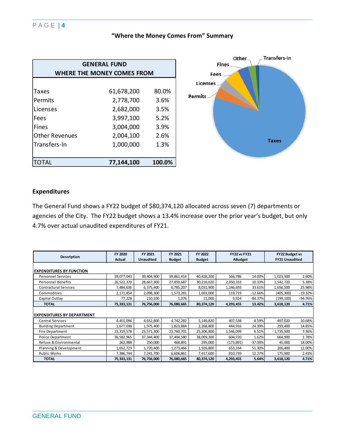| "Where the Money Comes From" Summary |  |  |
|--------------------------------------|--|--|
|--------------------------------------|--|--|

| <b>GENERAL FUND</b>        |            |        |  |  |  |  |  |  |
|----------------------------|------------|--------|--|--|--|--|--|--|
| WHERE THE MONEY COMES FROM |            |        |  |  |  |  |  |  |
|                            |            |        |  |  |  |  |  |  |
| Taxes                      | 61,678,200 | 80.0%  |  |  |  |  |  |  |
| Permits                    | 2,778,700  | 3.6%   |  |  |  |  |  |  |
| Licenses                   | 2,682,000  | 3.5%   |  |  |  |  |  |  |
| Fees                       | 3,997,100  | 5.2%   |  |  |  |  |  |  |
| <b>Fines</b>               | 3,004,000  | 3.9%   |  |  |  |  |  |  |
| <b>Other Revenues</b>      | 2,004,100  | 2.6%   |  |  |  |  |  |  |
| Transfers-In               | 1,000,000  | 1.3%   |  |  |  |  |  |  |
|                            |            |        |  |  |  |  |  |  |
| ITOTAL                     | 77,144,100 | 100.0% |  |  |  |  |  |  |



#### **Expenditures**

The General Fund shows a FY22 budget of \$80,374,120 allocated across seven (7) departments or agencies of the City. The FY22 budget shows a 13.4% increase over the prior year's budget, but only 4.7% over actual unaudited expenditures of FY21.

| <b>Description</b>                | FY 2020<br>Actual | FY 2021<br><b>Unaudited</b> | FY 2021<br><b>Budget</b> | FY 2022<br><b>Budget</b> | <b>FY22 vs FY21</b><br><b>ABudget</b> |           | <b>FY22 Budget vs</b><br><b>FY21 Unaudited</b> |           |
|-----------------------------------|-------------------|-----------------------------|--------------------------|--------------------------|---------------------------------------|-----------|------------------------------------------------|-----------|
| <b>EXPENDITURES BY FUNCTION</b>   |                   |                             |                          |                          |                                       |           |                                                |           |
| <b>Personnel Services</b>         | 39,077,043        | 39,404,900                  | 39,861,414               | 40,428,200               | 566,786                               | 14.00%    | 1,023,300                                      | 2.60%     |
| <b>Personnel Benefits</b>         | 26,522,370        | 28,667,300                  | 27,859,687               | 30,210,020               | 2,350,333                             | 10.33%    | 1,542,720                                      | 5.38%     |
| <b>Contractural Services</b>      | 7,484,636         | 6,375,400                   | 6,785,207                | 8,031,900                | 1,246,693                             | 33.61%    | 1,656,500                                      | 25.98%    |
| Commodities                       | 2,171,854         | 2,098,300                   | 1,573,281                | 1,693,000                | 119,719                               | $-12.66%$ | (405, 300)                                     | $-19.32%$ |
| Capital Outlay                    | 77,228            | 210,100                     | 1,076                    | 11,000                   | 9,924                                 | $-84.37%$ | (199,100)                                      | $-94.76%$ |
| <b>TOTAL</b>                      | 75,333,131        | 76,756,000                  | 76,080,665               | 80,374,120               | 4,293,455                             | 13.42%    | 3,618,120                                      | 4.71%     |
| <b>EXPENDITURES BY DEPARTMENT</b> |                   |                             |                          |                          |                                       |           |                                                |           |
| <b>Central Services</b>           | 4,451,096         | 4,652,800                   | 4,742,282                | 5,149,820                | 407,538                               | 8.59%     | 497,020                                        | 10.68%    |
| <b>Building Department</b>        | 1,677,038         | 1,975,400                   | 1,823,884                | 2,268,800                | 444,916                               | 24.39%    | 293,400                                        | 14.85%    |
| <b>Fire Department</b>            | 23,319,578        | 23,571,300                  | 23,760,701               | 25,306,800               | 1,546,099                             | 6.51%     | 1,735,500                                      | 7.36%     |
| Police Department                 | 36,582,965        | 37,344,400                  | 37,404,580               | 38,009,300               | 604,720                               | 1.62%     | 664,900                                        | 1.78%     |
| Refuse & Environmental            | 262,988           | 250,000                     | 468,891                  | 295,000                  | (173, 891)                            | $-37.09%$ | 45,000                                         | 18.00%    |
| Planning & Development            | 1,652,723         | 1,720,400                   | 1,273,466                | 1,926,800                | 653,334                               | 51.30%    | 206,400                                        | 12.00%    |
| <b>Public Works</b>               | 7,386,744         | 7,241,700                   | 6,606,861                | 7,417,600                | 810,739                               | 12.27%    | 175,900                                        | 2.43%     |
| <b>TOTAL</b>                      | 75,333,131        | 76,756,000                  | 76,080,665               | 80,374,120               | 4,293,455                             | 5.64%     | 3,618,120                                      | 4.71%     |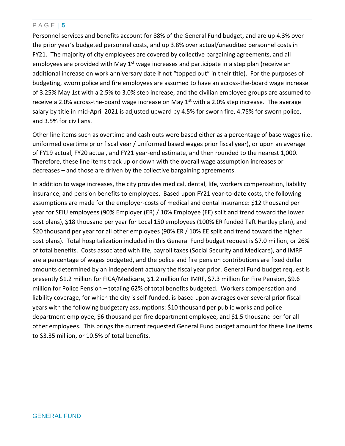Personnel services and benefits account for 88% of the General Fund budget, and are up 4.3% over the prior year's budgeted personnel costs, and up 3.8% over actual/unaudited personnel costs in FY21. The majority of city employees are covered by collective bargaining agreements, and all employees are provided with May  $1<sup>st</sup>$  wage increases and participate in a step plan (receive an additional increase on work anniversary date if not "topped out" in their title). For the purposes of budgeting, sworn police and fire employees are assumed to have an across-the-board wage increase of 3.25% May 1st with a 2.5% to 3.0% step increase, and the civilian employee groups are assumed to receive a 2.0% across-the-board wage increase on May  $1<sup>st</sup>$  with a 2.0% step increase. The average salary by title in mid-April 2021 is adjusted upward by 4.5% for sworn fire, 4.75% for sworn police, and 3.5% for civilians.

Other line items such as overtime and cash outs were based either as a percentage of base wages (i.e. uniformed overtime prior fiscal year / uniformed based wages prior fiscal year), or upon an average of FY19 actual, FY20 actual, and FY21 year-end estimate, and then rounded to the nearest 1,000. Therefore, these line items track up or down with the overall wage assumption increases or decreases – and those are driven by the collective bargaining agreements.

In addition to wage increases, the city provides medical, dental, life, workers compensation, liability insurance, and pension benefits to employees. Based upon FY21 year-to-date costs, the following assumptions are made for the employer-costs of medical and dental insurance: \$12 thousand per year for SEIU employees (90% Employer (ER) / 10% Employee (EE) split and trend toward the lower cost plans), \$18 thousand per year for Local 150 employees (100% ER funded Taft Hartley plan), and \$20 thousand per year for all other employees (90% ER / 10% EE split and trend toward the higher cost plans). Total hospitalization included in this General Fund budget request is \$7.0 million, or 26% of total benefits. Costs associated with life, payroll taxes (Social Security and Medicare), and IMRF are a percentage of wages budgeted, and the police and fire pension contributions are fixed dollar amounts determined by an independent actuary the fiscal year prior. General Fund budget request is presently \$1.2 million for FICA/Medicare, \$1.2 million for IMRF, \$7.3 million for Fire Pension, \$9.6 million for Police Pension – totaling 62% of total benefits budgeted. Workers compensation and liability coverage, for which the city is self-funded, is based upon averages over several prior fiscal years with the following budgetary assumptions: \$10 thousand per public works and police department employee, \$6 thousand per fire department employee, and \$1.5 thousand per for all other employees. This brings the current requested General Fund budget amount for these line items to \$3.35 million, or 10.5% of total benefits.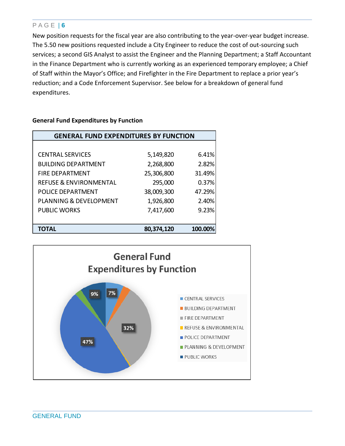New position requests for the fiscal year are also contributing to the year-over-year budget increase. The 5.50 new positions requested include a City Engineer to reduce the cost of out-sourcing such services; a second GIS Analyst to assist the Engineer and the Planning Department; a Staff Accountant in the Finance Department who is currently working as an experienced temporary employee; a Chief of Staff within the Mayor's Office; and Firefighter in the Fire Department to replace a prior year's reduction; and a Code Enforcement Supervisor. See below for a breakdown of general fund expenditures.

| <b>GENERAL FUND EXPENDITURES BY FUNCTION</b> |            |         |  |  |  |  |  |
|----------------------------------------------|------------|---------|--|--|--|--|--|
|                                              |            |         |  |  |  |  |  |
| <b>CENTRAL SERVICES</b>                      | 5,149,820  | 6.41%   |  |  |  |  |  |
| <b>BUILDING DEPARTMENT</b>                   | 2,268,800  | 2.82%   |  |  |  |  |  |
| <b>FIRE DEPARTMENT</b>                       | 25,306,800 | 31.49%  |  |  |  |  |  |
| <b>REFUSE &amp; ENVIRONMENTAL</b>            | 295,000    | 0.37%   |  |  |  |  |  |
| <b>POLICE DEPARTMENT</b>                     | 38,009,300 | 47.29%  |  |  |  |  |  |
| <b>PLANNING &amp; DEVELOPMENT</b>            | 1,926,800  | 2.40%   |  |  |  |  |  |
| <b>PUBLIC WORKS</b>                          | 7,417,600  | 9.23%   |  |  |  |  |  |
|                                              |            |         |  |  |  |  |  |
| TOTAL                                        | 80,374,120 | 100.00% |  |  |  |  |  |

#### **General Fund Expenditures by Function**

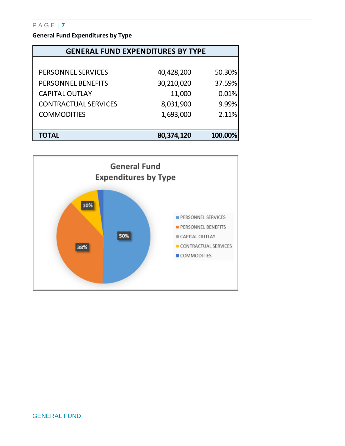**General Fund Expenditures by Type**

| <b>GENERAL FUND EXPENDITURES BY TYPE</b> |            |         |  |  |  |  |  |
|------------------------------------------|------------|---------|--|--|--|--|--|
|                                          |            |         |  |  |  |  |  |
| <b>PERSONNEL SERVICES</b>                | 40,428,200 | 50.30%  |  |  |  |  |  |
| <b>PERSONNEL BENEFITS</b>                | 30,210,020 | 37.59%  |  |  |  |  |  |
| <b>CAPITAL OUTLAY</b>                    | 11,000     | 0.01%   |  |  |  |  |  |
| <b>CONTRACTUAL SERVICES</b>              | 8,031,900  | 9.99%   |  |  |  |  |  |
| <b>COMMODITIES</b>                       | 1,693,000  | 2.11%   |  |  |  |  |  |
|                                          |            |         |  |  |  |  |  |
| <b>TOTAL</b>                             | 80,374,120 | 100.00% |  |  |  |  |  |

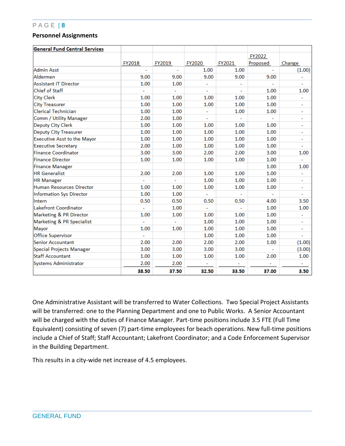#### **Personnel Assignments**

| <b>General Fund Central Services</b> |                          |                |               |        |                       |        |
|--------------------------------------|--------------------------|----------------|---------------|--------|-----------------------|--------|
|                                      |                          |                |               |        | FY2022                |        |
|                                      | FY2018                   | FY2019         | <b>FY2020</b> | FY2021 | Proposed              | Change |
| Admin Asst                           | $\overline{\phantom{a}}$ | $\blacksquare$ | 1.00          | 1.00   | $\tilde{\phantom{a}}$ | (1.00) |
| Aldermen                             | 9.00                     | 9.00           | 9.00          | 9.00   | 9.00                  |        |
| <b>Assistant IT Director</b>         | 1.00                     | 1.00           | ÷             |        |                       |        |
| Chief of Staff                       |                          |                |               |        | 1.00                  | 1.00   |
| <b>City Clerk</b>                    | 1.00                     | 1.00           | 1.00          | 1.00   | 1.00                  | ÷      |
| <b>City Treasurer</b>                | 1.00                     | 1.00           | 1.00          | 1.00   | 1.00                  | ۰      |
| Clerical Technician                  | 1.00                     | 1.00           |               | 1.00   | 1.00                  | ۰      |
| Comm / Utility Manager               | 2.00                     | 1.00           | ä,            |        |                       | ÷.     |
| Deputy City Clerk                    | 1.00                     | 1.00           | 1.00          | 1.00   | 1.00                  | ۰      |
| <b>Deputy City Treasurer</b>         | 1.00                     | 1.00           | 1.00          | 1.00   | 1.00                  | ۰      |
| <b>Executive Asst to the Mayor</b>   | 1.00                     | 1.00           | 1.00          | 1.00   | 1.00                  | ۰      |
| <b>Executive Secretary</b>           | 2.00                     | 1.00           | 1.00          | 1.00   | 1.00                  |        |
| <b>Finance Coordinator</b>           | 3.00                     | 3.00           | 2.00          | 2.00   | 3.00                  | 1.00   |
| <b>Finance Director</b>              | 1.00                     | 1.00           | 1.00          | 1.00   | 1.00                  |        |
| <b>Finance Manager</b>               |                          |                |               |        | 1.00                  | 1.00   |
| <b>HR</b> Generalist                 | 2.00                     | 2.00           | 1.00          | 1.00   | 1.00                  |        |
| <b>HR Manager</b>                    |                          |                | 1.00          | 1.00   | 1.00                  | ۰      |
| <b>Human Resources Director</b>      | 1.00                     | 1.00           | 1.00          | 1.00   | 1.00                  | Ξ      |
| <b>Information Sys Director</b>      | 1.00                     | 1.00           | ÷             |        |                       | ٠      |
| Intern                               | 0.50                     | 0.50           | 0.50          | 0.50   | 4.00                  | 3.50   |
| Lakefront Coordinator                |                          | 1.00           |               |        | 1.00                  | 1.00   |
| Marketing & PR Director              | 1.00                     | 1.00           | 1.00          | 1.00   | 1.00                  |        |
| Marketing & PR Specialist            |                          |                | 1.00          | 1.00   | 1.00                  | ۰      |
| Mayor                                | 1.00                     | 1.00           | 1.00          | 1.00   | 1.00                  | ۰      |
| Office Supervisor                    |                          |                | 1.00          | 1.00   | 1.00                  |        |
| <b>Senior Accountant</b>             | 2.00                     | 2.00           | 2.00          | 2.00   | 1.00                  | (1.00) |
| Special Projects Manager             | 3.00                     | 3.00           | 3.00          | 3.00   |                       | (3.00) |
| <b>Staff Accountant</b>              | 1.00                     | 1.00           | 1.00          | 1.00   | 2.00                  | 1.00   |
| <b>Systems Administrator</b>         | 2.00                     | 2.00           |               |        |                       |        |
|                                      | 38.50                    | 37.50          | 32.50         | 33.50  | 37.00                 | 3.50   |

One Administrative Assistant will be transferred to Water Collections. Two Special Project Assistants will be transferred: one to the Planning Department and one to Public Works. A Senior Accountant will be charged with the duties of Finance Manager. Part-time positions include 3.5 FTE (Full Time Equivalent) consisting of seven (7) part-time employees for beach operations. New full-time positions include a Chief of Staff; Staff Accountant; Lakefront Coordinator; and a Code Enforcement Supervisor in the Building Department.

This results in a city-wide net increase of 4.5 employees.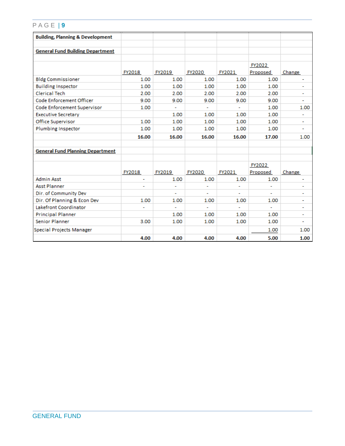| <b>Building, Planning &amp; Development</b> |                |                          |                |                |                          |                          |
|---------------------------------------------|----------------|--------------------------|----------------|----------------|--------------------------|--------------------------|
|                                             |                |                          |                |                |                          |                          |
| <b>General Fund Building Department</b>     |                |                          |                |                |                          |                          |
|                                             |                |                          |                |                |                          |                          |
|                                             | FY2018         | FY2019                   | FY2020         | FY2021         | FY2022<br>Proposed       | Change                   |
| <b>Bldg Commissioner</b>                    | 1.00           | 1.00                     | 1.00           | 1.00           | 1.00                     | ۰                        |
| <b>Building Inspector</b>                   | 1.00           | 1.00                     | 1.00           | 1.00           | 1.00                     | ۰                        |
| <b>Clerical Tech</b>                        | 2.00           | 2.00                     | 2.00           | 2.00           | 2.00                     | ۰                        |
| Code Enforcement Officer                    | 9.00           | 9.00                     | 9.00           | 9.00           | 9.00                     | ٠                        |
| Code Enforcement Supervisor                 | 1.00           |                          |                |                | 1.00                     | 1.00                     |
| <b>Executive Secretary</b>                  |                | 1.00                     | 1.00           | 1.00           | 1.00                     | ۰                        |
| <b>Office Supervisor</b>                    | 1.00           | 1.00                     | 1.00           | 1.00           | 1.00                     | ۰                        |
| Plumbing Inspector                          | 1.00           | 1.00                     | 1.00           | 1.00           | 1.00                     | $\overline{\phantom{a}}$ |
|                                             | 16.00          | 16.00                    | 16.00          | 16.00          | 17.00                    |                          |
|                                             |                |                          |                |                |                          | 1.00                     |
| <b>General Fund Planning Department</b>     |                |                          |                |                |                          |                          |
|                                             |                |                          |                |                |                          |                          |
|                                             |                |                          |                |                | FY2022                   |                          |
|                                             | FY2018         | FY2019                   | FY2020         | FY2021         | Proposed                 | Change                   |
| <b>Admin Asst</b>                           |                | 1.00                     | 1.00           | 1.00           | 1.00                     |                          |
| <b>Asst Planner</b>                         | $\blacksquare$ |                          |                |                |                          | $\blacksquare$           |
| Dir. of Community Dev                       |                | ۰                        | $\blacksquare$ | $\blacksquare$ | $\overline{\phantom{a}}$ | ۰                        |
| Dir. Of Planning & Econ Dev                 | 1.00           | 1.00                     | 1.00           | 1.00           | 1.00                     | ۰                        |
| Lakefront Coordinator                       |                | $\overline{\phantom{a}}$ | $\mathbf{r}$   | $\sim$         | $\ddot{\phantom{0}}$     | $\overline{\phantom{a}}$ |
| <b>Principal Planner</b>                    |                | 1.00                     | 1.00           | 1.00           | 1.00                     | ۰                        |
| <b>Senior Planner</b>                       | 3.00           | 1.00                     | 1.00           | 1.00           | 1.00                     | ٠                        |
| Special Projects Manager                    |                |                          |                |                | 1.00                     | 1.00                     |
|                                             | 4.00           | 4.00                     | 4.00           | 4.00           | 5.00                     | 1.00                     |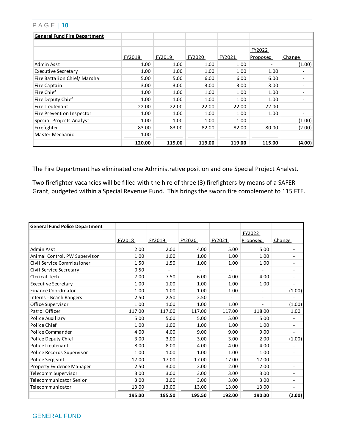| <b>General Fund Fire Department</b> |        |        |        |        |                          |        |
|-------------------------------------|--------|--------|--------|--------|--------------------------|--------|
|                                     |        |        |        |        |                          |        |
|                                     |        |        |        |        | FY2022                   |        |
|                                     | FY2018 | FY2019 | FY2020 | FY2021 | Proposed                 | Change |
| Admin Asst                          | 1.00   | 1.00   | 1.00   | 1.00   | $\overline{\phantom{0}}$ | (1.00) |
| <b>Executive Secretary</b>          | 1.00   | 1.00   | 1.00   | 1.00   | 1.00                     |        |
| Fire Battalion Chief/Marshal        | 5.00   | 5.00   | 6.00   | 6.00   | 6.00                     |        |
| Fire Captain                        | 3.00   | 3.00   | 3.00   | 3.00   | 3.00                     |        |
| Fire Chief                          | 1.00   | 1.00   | 1.00   | 1.00   | 1.00                     |        |
| Fire Deputy Chief                   | 1.00   | 1.00   | 1.00   | 1.00   | 1.00                     |        |
| Fire Lieutenant                     | 22.00  | 22.00  | 22.00  | 22.00  | 22.00                    |        |
| Fire Prevention Inspector           | 1.00   | 1.00   | 1.00   | 1.00   | 1.00                     |        |
| Special Projects Analyst            | 1.00   | 1.00   | 1.00   | 1.00   | $\overline{\phantom{0}}$ | (1.00) |
| Firefighter                         | 83.00  | 83.00  | 82.00  | 82.00  | 80.00                    | (2.00) |
| Master Mechanic                     | 1.00   |        |        |        |                          |        |
|                                     | 120.00 | 119.00 | 119.00 | 119.00 | 115.00                   | (4.00) |

The Fire Department has eliminated one Administrative position and one Special Project Analyst.

Two firefighter vacancies will be filled with the hire of three (3) firefighters by means of a SAFER Grant, budgeted within a Special Revenue Fund. This brings the sworn fire complement to 115 FTE.

| <b>General Fund Police Department</b> |        |        |        |        |          |                          |
|---------------------------------------|--------|--------|--------|--------|----------|--------------------------|
|                                       |        |        |        |        | FY2022   |                          |
|                                       | FY2018 | FY2019 | FY2020 | FY2021 | Proposed | Change                   |
| Admin Asst                            | 2.00   | 2.00   | 4.00   | 5.00   | 5.00     | $\overline{\phantom{a}}$ |
| Animal Control, PW Supervisor         | 1.00   | 1.00   | 1.00   | 1.00   | 1.00     | -                        |
| Civil Service Commissioner            | 1.50   | 1.50   | 1.00   | 1.00   | 1.00     | $\overline{\phantom{a}}$ |
| Civil Service Secretary               | 0.50   |        |        |        |          | $\overline{\phantom{a}}$ |
| Clerical Tech                         | 7.00   | 7.50   | 6.00   | 4.00   | 4.00     | $\overline{\phantom{a}}$ |
| <b>Executive Secretary</b>            | 1.00   | 1.00   | 1.00   | 1.00   | 1.00     | $\overline{\phantom{0}}$ |
| <b>Finance Coordinator</b>            | 1.00   | 1.00   | 1.00   | 1.00   |          | (1.00)                   |
| Interns - Beach Rangers               | 2.50   | 2.50   | 2.50   |        |          |                          |
| Office Supervisor                     | 1.00   | 1.00   | 1.00   | 1.00   |          | (1.00)                   |
| Patrol Officer                        | 117.00 | 117.00 | 117.00 | 117.00 | 118.00   | 1.00                     |
| Police Auxiliary                      | 5.00   | 5.00   | 5.00   | 5.00   | 5.00     | $\overline{\phantom{a}}$ |
| Police Chief                          | 1.00   | 1.00   | 1.00   | 1.00   | 1.00     | $\blacksquare$           |
| Police Commander                      | 4.00   | 4.00   | 9.00   | 9.00   | 9.00     | $\overline{\phantom{a}}$ |
| Police Deputy Chief                   | 3.00   | 3.00   | 3.00   | 3.00   | 2.00     | (1.00)                   |
| Police Lieutenant                     | 8.00   | 8.00   | 4.00   | 4.00   | 4.00     |                          |
| Police Records Supervisor             | 1.00   | 1.00   | 1.00   | 1.00   | 1.00     | $\overline{\phantom{a}}$ |
| Police Sergeant                       | 17.00  | 17.00  | 17.00  | 17.00  | 17.00    | -                        |
| Property Evidence Manager             | 2.50   | 3.00   | 2.00   | 2.00   | 2.00     | $\overline{\phantom{a}}$ |
| Telecomm Supervisor                   | 3.00   | 3.00   | 3.00   | 3.00   | 3.00     | $\overline{\phantom{a}}$ |
| Telecommunicator Senior               | 3.00   | 3.00   | 3.00   | 3.00   | 3.00     | $\overline{\phantom{a}}$ |
| Telecommunicator                      | 13.00  | 13.00  | 13.00  | 13.00  | 13.00    | $\overline{\phantom{a}}$ |
|                                       | 195.00 | 195.50 | 195.50 | 192.00 | 190.00   | (2.00)                   |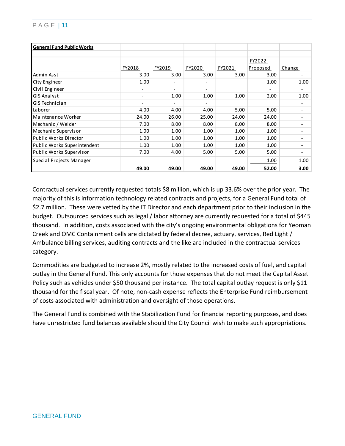| <b>General Fund Public Works</b> |                          |                          |                          |        |                 |                          |
|----------------------------------|--------------------------|--------------------------|--------------------------|--------|-----------------|--------------------------|
|                                  |                          |                          |                          |        |                 |                          |
|                                  |                          |                          |                          |        | FY2022          |                          |
|                                  | FY2018                   | FY2019                   | FY2020                   | FY2021 | <u>Proposed</u> | Change                   |
| Admin Asst                       | 3.00                     | 3.00                     | 3.00                     | 3.00   | 3.00            |                          |
| City Engineer                    | 1.00                     | $\overline{\phantom{a}}$ | $\overline{\phantom{a}}$ |        | 1.00            | 1.00                     |
| Civil Engineer                   | $\overline{\phantom{a}}$ | $\overline{\phantom{a}}$ | $\overline{\phantom{a}}$ |        |                 |                          |
| <b>GIS Analyst</b>               | $\overline{\phantom{a}}$ | 1.00                     | 1.00                     | 1.00   | 2.00            | 1.00                     |
| GIS Technician                   | $\qquad \qquad -$        | $\overline{\phantom{a}}$ | $\overline{\phantom{a}}$ |        |                 | -                        |
| Laborer                          | 4.00                     | 4.00                     | 4.00                     | 5.00   | 5.00            | $\overline{\phantom{0}}$ |
| Maintenance Worker               | 24.00                    | 26.00                    | 25.00                    | 24.00  | 24.00           | -                        |
| Mechanic / Welder                | 7.00                     | 8.00                     | 8.00                     | 8.00   | 8.00            | -                        |
| Mechanic Supervisor              | 1.00                     | 1.00                     | 1.00                     | 1.00   | 1.00            | -                        |
| Public Works Director            | 1.00                     | 1.00                     | 1.00                     | 1.00   | 1.00            | $\overline{\phantom{0}}$ |
| Public Works Superintendent      | 1.00                     | 1.00                     | 1.00                     | 1.00   | 1.00            | -                        |
| Public Works Supervisor          | 7.00                     | 4.00                     | 5.00                     | 5.00   | 5.00            | -                        |
| Special Projects Manager         |                          |                          |                          |        | 1.00            | 1.00                     |
|                                  | 49.00                    | 49.00                    | 49.00                    | 49.00  | 52.00           | 3.00                     |

Contractual services currently requested totals \$8 million, which is up 33.6% over the prior year. The majority of this is information technology related contracts and projects, for a General Fund total of \$2.7 million. These were vetted by the IT Director and each department prior to their inclusion in the budget. Outsourced services such as legal / labor attorney are currently requested for a total of \$445 thousand. In addition, costs associated with the city's ongoing environmental obligations for Yeoman Creek and OMC Containment cells are dictated by federal decree, actuary, services, Red Light / Ambulance billing services, auditing contracts and the like are included in the contractual services category.

Commodities are budgeted to increase 2%, mostly related to the increased costs of fuel, and capital outlay in the General Fund. This only accounts for those expenses that do not meet the Capital Asset Policy such as vehicles under \$50 thousand per instance. The total capital outlay request is only \$11 thousand for the fiscal year. Of note, non-cash expense reflects the Enterprise Fund reimbursement of costs associated with administration and oversight of those operations.

The General Fund is combined with the Stabilization Fund for financial reporting purposes, and does have unrestricted fund balances available should the City Council wish to make such appropriations.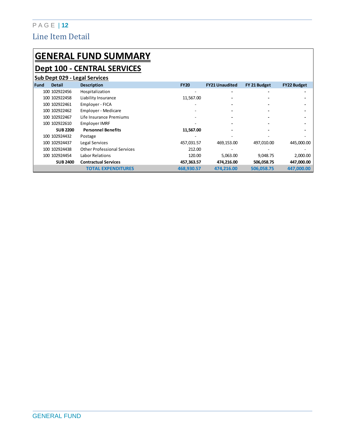## P A G E | **12** Line Item Detail

## **GENERAL FUND SUMMARY Dept 100 - CENTRAL SERVICES**

|      | Sub Dept 029 - Legal Services |                                    |             |                          |              |                    |  |  |  |
|------|-------------------------------|------------------------------------|-------------|--------------------------|--------------|--------------------|--|--|--|
| Fund | <b>Detail</b>                 | <b>Description</b>                 | <b>FY20</b> | <b>FY21 Unaudited</b>    | FY 21 Budget | <b>FY22 Budget</b> |  |  |  |
|      | 100 102922456                 | Hospitalization                    | -           | $\overline{\phantom{0}}$ |              |                    |  |  |  |
|      | 100 102922458                 | Liability Insurance                | 11,567.00   |                          |              |                    |  |  |  |
|      | 100 102922461                 | Employer - FICA                    |             |                          |              |                    |  |  |  |
|      | 100 102922462                 | Employer - Medicare                |             |                          |              |                    |  |  |  |
|      | 100 102922467                 | Life Insurance Premiums            |             |                          |              |                    |  |  |  |
|      | 100 102922610                 | Employer IMRF                      |             |                          |              |                    |  |  |  |
|      | <b>SUB 2200</b>               | <b>Personnel Benefits</b>          | 11,567.00   |                          |              |                    |  |  |  |
|      | 100 102924432                 | Postage                            |             |                          |              |                    |  |  |  |
|      | 100 102924437                 | Legal Services                     | 457,031.57  | 469,153.00               | 497,010.00   | 445,000.00         |  |  |  |
|      | 100 102924438                 | <b>Other Professional Services</b> | 212.00      |                          |              |                    |  |  |  |
|      | 100 102924454                 | Labor Relations                    | 120.00      | 5,063.00                 | 9,048.75     | 2,000.00           |  |  |  |
|      | <b>SUB 2400</b>               | <b>Contractual Services</b>        | 457,363.57  | 474,216.00               | 506,058.75   | 447,000.00         |  |  |  |
|      |                               | <b>TOTAL EXPENDITURES</b>          | 468.930.57  | 474,216.00               | 506.058.75   | 447.000.00         |  |  |  |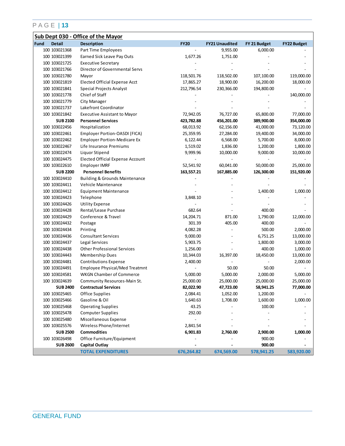|             | Sub Dept 030 - Office of the Mayor |                                           |             |                       |              |                    |  |  |  |
|-------------|------------------------------------|-------------------------------------------|-------------|-----------------------|--------------|--------------------|--|--|--|
| <b>Fund</b> | <b>Detail</b>                      | <b>Description</b>                        | <b>FY20</b> | <b>FY21 Unaudited</b> | FY 21 Budget | <b>FY22 Budget</b> |  |  |  |
|             | 100 103021368                      | Part Time Employees                       |             | 9,955.00              | 6,000.00     |                    |  |  |  |
|             | 100 103021399                      | Earned Sick Leave Pay Outs                | 1,677.26    | 1,751.00              |              |                    |  |  |  |
|             | 100 103021725                      | <b>Executive Secretary</b>                |             |                       |              |                    |  |  |  |
|             | 100 103021766                      | Director of Governmental Servs            |             |                       |              |                    |  |  |  |
|             | 100 103021780                      | Mayor                                     | 118,501.76  | 118,502.00            | 107,100.00   | 119,000.00         |  |  |  |
|             | 100 103021819                      | Elected Official Expense Acct             | 17,865.27   | 18,900.00             | 16,200.00    | 18,000.00          |  |  |  |
|             | 100 103021841                      | Special Projects Analyst                  | 212,796.54  | 230,366.00            | 194,800.00   |                    |  |  |  |
|             | 100 103021778                      | Chief of Staff                            |             |                       |              | 140,000.00         |  |  |  |
|             | 100 103021779                      | City Manager                              |             |                       |              |                    |  |  |  |
|             | 100 103021737                      | Lakefront Coordinator                     |             |                       |              |                    |  |  |  |
|             | 100 103021842                      | <b>Executive Assistant to Mayor</b>       | 72,942.05   | 76,727.00             | 65,800.00    | 77,000.00          |  |  |  |
|             | <b>SUB 2100</b>                    | <b>Personnel Services</b>                 | 423,782.88  | 456,201.00            | 389,900.00   | 354,000.00         |  |  |  |
|             | 100 103022456                      | Hospitalization                           | 68,013.92   | 62,156.00             | 41,000.00    | 73,120.00          |  |  |  |
|             | 100 103022461                      | Employer Portion-OASDI (FICA)             | 25,359.95   | 27,284.00             | 19,400.00    | 34,000.00          |  |  |  |
|             | 100 103022462                      | <b>Employer Portion-Medicare Ex</b>       | 6,122.44    | 6,568.00              | 5,700.00     | 8,000.00           |  |  |  |
|             | 100 103022467                      | Life Insurance Premiums                   | 1,519.02    | 1,836.00              | 1,200.00     | 1,800.00           |  |  |  |
|             | 100 103022474                      | Liquor Stipend                            | 9,999.96    | 10,000.00             | 9,000.00     | 10,000.00          |  |  |  |
|             | 100 103024475                      | <b>Elected Official Expense Account</b>   |             |                       |              |                    |  |  |  |
|             | 100 103022610                      | <b>Employer IMRF</b>                      | 52,541.92   | 60,041.00             | 50,000.00    | 25,000.00          |  |  |  |
|             | <b>SUB 2200</b>                    | <b>Personnel Benefits</b>                 | 163,557.21  | 167,885.00            | 126,300.00   | 151,920.00         |  |  |  |
|             | 100 103024410                      | <b>Building &amp; Grounds Maintenance</b> |             |                       |              |                    |  |  |  |
|             | 100 103024411                      | Vehicle Maintenance                       |             |                       |              |                    |  |  |  |
|             | 100 103024412                      | <b>Equipment Maintenance</b>              |             |                       | 1,400.00     | 1,000.00           |  |  |  |
|             | 100 103024423                      | Telephone                                 | 3,848.10    |                       |              |                    |  |  |  |
|             | 100 103024426                      | <b>Utility Expense</b>                    |             |                       |              |                    |  |  |  |
|             | 100 103024428                      | Rental/Lease Purchase                     | 682.64      |                       | 400.00       |                    |  |  |  |
|             | 100 103024429                      | Conference & Travel                       | 14,204.71   | 871.00                | 1,790.00     | 12,000.00          |  |  |  |
|             | 100 103024432                      | Postage                                   | 301.39      | 405.00                | 400.00       |                    |  |  |  |
|             | 100 103024434                      | Printing                                  | 4,082.28    |                       | 500.00       | 2,000.00           |  |  |  |
|             | 100 103024436                      | <b>Consultant Services</b>                | 9,000.00    |                       | 6,751.25     | 13,000.00          |  |  |  |
|             | 100 103024437                      | Legal Services                            | 5,903.75    |                       | 1,800.00     | 3,000.00           |  |  |  |
|             | 100 103024438                      | <b>Other Professional Services</b>        | 1,256.00    |                       | 400.00       | 1,000.00           |  |  |  |
|             | 100 103024443                      | Membership Dues                           | 10,344.03   | 16,397.00             | 18,450.00    | 13,000.00          |  |  |  |
|             | 100 103024481                      | <b>Contributions Expense</b>              | 2,400.00    |                       |              | 2,000.00           |  |  |  |
|             | 100 103024491                      | Employee Physical/Med Treatmnt            |             | 50.00                 | 50.00        |                    |  |  |  |
|             | 100 103024581                      | <b>WKGN Chamber of Commerce</b>           | 5,000.00    | 5,000.00              | 2,000.00     | 5,000.00           |  |  |  |
|             | 100 103024639                      | Community Resources-Main St.              | 25,000.00   | 25,000.00             | 25,000.00    | 25,000.00          |  |  |  |
|             | <b>SUB 2400</b>                    | <b>Contractual Services</b>               | 82,022.90   | 47,723.00             | 58,941.25    | 77,000.00          |  |  |  |
|             | 100 103025465                      | Office Supplies                           | 2,084.41    | 1,052.00              | 1,200.00     |                    |  |  |  |
|             | 100 103025466                      | Gasoline & Oil                            | 1,640.63    | 1,708.00              | 1,600.00     | 1,000.00           |  |  |  |
|             | 100 103025468                      | <b>Operating Supplies</b>                 | 43.25       |                       | 100.00       |                    |  |  |  |
|             | 100 103025478                      | <b>Computer Supplies</b>                  | 292.00      |                       |              |                    |  |  |  |
|             | 100 103025480                      | Miscellaneous Expense                     |             |                       |              |                    |  |  |  |
|             | 100 103025576                      | Wireless Phone/Internet                   | 2,841.54    |                       |              |                    |  |  |  |
|             | <b>SUB 2500</b>                    | <b>Commodities</b>                        | 6,901.83    | 2,760.00              | 2,900.00     | 1,000.00           |  |  |  |
|             | 100 103026498                      | Office Furniture/Equipment                |             |                       | 900.00       |                    |  |  |  |
|             | <b>SUB 2600</b>                    | <b>Capital Outlay</b>                     |             |                       | 900.00       |                    |  |  |  |
|             |                                    | <b>TOTAL EXPENDITURES</b>                 | 676,264.82  | 674,569.00            | 578,941.25   | 583,920.00         |  |  |  |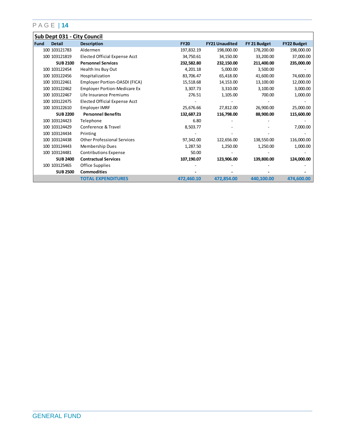|      | Sub Dept 031 - City Council |                                     |             |                       |              |                    |  |  |  |
|------|-----------------------------|-------------------------------------|-------------|-----------------------|--------------|--------------------|--|--|--|
| Fund | <b>Detail</b>               | <b>Description</b>                  | <b>FY20</b> | <b>FY21 Unaudited</b> | FY 21 Budget | <b>FY22 Budget</b> |  |  |  |
|      | 100 103121783               | Aldermen                            | 197,832.19  | 198,000.00            | 178,200.00   | 198,000.00         |  |  |  |
|      | 100 103121819               | Elected Official Expense Acct       | 34,750.61   | 34,150.00             | 33,200.00    | 37,000.00          |  |  |  |
|      | <b>SUB 2100</b>             | <b>Personnel Services</b>           | 232,582.80  | 232,150.00            | 211,400.00   | 235,000.00         |  |  |  |
|      | 100 103122454               | Health Ins Buy Out                  | 4,201.18    | 5,000.00              | 3,500.00     |                    |  |  |  |
|      | 100 103122456               | Hospitalization                     | 83,706.47   | 65,418.00             | 41,600.00    | 74,600.00          |  |  |  |
|      | 100 103122461               | Employer Portion-OASDI (FICA)       | 15,518.68   | 14,153.00             | 13,100.00    | 12,000.00          |  |  |  |
|      | 100 103122462               | <b>Employer Portion-Medicare Ex</b> | 3,307.73    | 3,310.00              | 3,100.00     | 3,000.00           |  |  |  |
|      | 100 103122467               | Life Insurance Premiums             | 276.51      | 1,105.00              | 700.00       | 1,000.00           |  |  |  |
|      | 100 103122475               | Elected Official Expense Acct       |             |                       |              |                    |  |  |  |
|      | 100 103122610               | Employer IMRF                       | 25,676.66   | 27,812.00             | 26,900.00    | 25,000.00          |  |  |  |
|      | <b>SUB 2200</b>             | <b>Personnel Benefits</b>           | 132,687.23  | 116,798.00            | 88,900.00    | 115,600.00         |  |  |  |
|      | 100 103124423               | Telephone                           | 6.80        |                       |              |                    |  |  |  |
|      | 100 103124429               | Conference & Travel                 | 8,503.77    |                       |              | 7,000.00           |  |  |  |
|      | 100 103124434               | Printing                            |             |                       |              |                    |  |  |  |
|      | 100 103124438               | <b>Other Professional Services</b>  | 97,342.00   | 122,656.00            | 138,550.00   | 116,000.00         |  |  |  |
|      | 100 103124443               | Membership Dues                     | 1,287.50    | 1,250.00              | 1,250.00     | 1,000.00           |  |  |  |
|      | 100 103124481               | <b>Contributions Expense</b>        | 50.00       |                       |              |                    |  |  |  |
|      | <b>SUB 2400</b>             | <b>Contractual Services</b>         | 107,190.07  | 123,906.00            | 139,800.00   | 124,000.00         |  |  |  |
|      | 100 103125465               | Office Supplies                     |             |                       |              |                    |  |  |  |
|      | <b>SUB 2500</b>             | <b>Commodities</b>                  |             |                       |              |                    |  |  |  |
|      |                             | <b>TOTAL EXPENDITURES</b>           | 472,460.10  | 472,854.00            | 440,100.00   | 474,600.00         |  |  |  |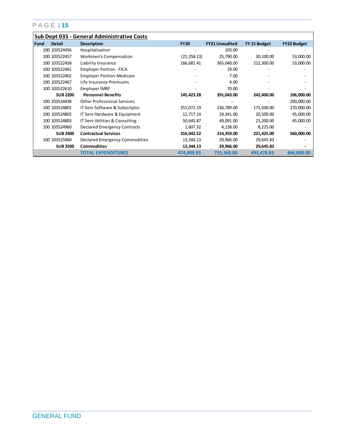|      | Sub Dept 035 - General Administrative Costs |                                    |              |                       |              |                    |  |  |  |  |
|------|---------------------------------------------|------------------------------------|--------------|-----------------------|--------------|--------------------|--|--|--|--|
| Fund | <b>Detail</b>                               | <b>Description</b>                 | <b>FY20</b>  | <b>FY21 Unaudited</b> | FY 21 Budget | <b>FY22 Budget</b> |  |  |  |  |
|      | 100 103524456                               | Hospitalization                    |              | 103.00                |              |                    |  |  |  |  |
|      | 100 103522457                               | Workmen's Compensation             | (21, 258.13) | 25,790.00             | 30,100.00    | 53,000.00          |  |  |  |  |
|      | 100 103522458                               | Liability Insurance                | 166,681.41   | 365,040.00            | 212,300.00   | 53,000.00          |  |  |  |  |
|      | 100 103522461                               | <b>Employer Portion - FICA</b>     |              | 29.00                 |              |                    |  |  |  |  |
|      | 100 103522462                               | <b>Employer Portion-Medicare</b>   |              | 7.00                  |              |                    |  |  |  |  |
|      | 100 103522467                               | Life Insurance Premiums            |              | 4.00                  |              |                    |  |  |  |  |
|      | 100 103522610                               | Employer IMRF                      |              | 70.00                 |              |                    |  |  |  |  |
|      | <b>SUB 2200</b>                             | <b>Personnel Benefits</b>          | 145,423.28   | 391,043.00            | 242,400.00   | 106,000.00         |  |  |  |  |
|      | 100 103524438                               | <b>Other Professional Services</b> |              |                       |              | 200,000.00         |  |  |  |  |
|      | 100 103524801                               | IT Serv Software & Subscriptio     | 251,072.19   | 236,789.00            | 171,500.00   | 270,000.00         |  |  |  |  |
|      | 100 103524802                               | IT Serv Hardware & Equipment       | 12,717.14    | 24,341.00             | 20,500.00    | 45,000.00          |  |  |  |  |
|      | 100 103524803                               | IT Serv Utilities & Consulting     | 50,645.87    | 49,091.00             | 21,200.00    | 45,000.00          |  |  |  |  |
|      | 100 103524960                               | Declared Emergency Contracts       | 1,607.32     | 4,138.00              | 8,225.00     |                    |  |  |  |  |
|      | <b>SUB 2400</b>                             | <b>Contractual Services</b>        | 316,042.52   | 314,359.00            | 221,425.00   | 560,000.00         |  |  |  |  |
|      | 100 103525960                               | Declared Emergency Commodities     | 13,344.13    | 29,966.00             | 29,645.83    |                    |  |  |  |  |
|      | <b>SUB 2500</b>                             | <b>Commodities</b>                 | 13,344.13    | 29,966.00             | 29,645.83    |                    |  |  |  |  |
|      |                                             | <b>TOTAL EXPENDITURES</b>          | 474,809.93   | 735,368.00            | 493,470.83   | 666,000.00         |  |  |  |  |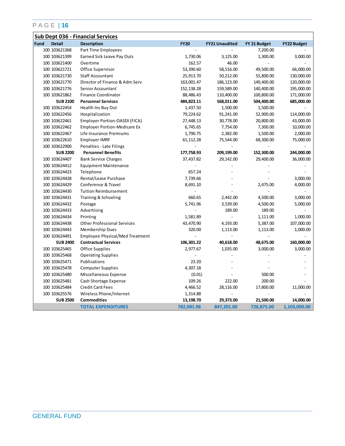|             |                 | <b>Sub Dept 036 - Financial Services</b> |                |                       |              |                    |
|-------------|-----------------|------------------------------------------|----------------|-----------------------|--------------|--------------------|
| <b>Fund</b> | <b>Detail</b>   | <b>Description</b>                       | <b>FY20</b>    | <b>FY21 Unaudited</b> | FY 21 Budget | <b>FY22 Budget</b> |
|             | 100 103621368   | Part Time Employees                      |                |                       | 7,200.00     |                    |
|             | 100 103621399   | Earned Sick Leave Pay Outs               | 1,730.06       | 3,125.00              | 1,300.00     | 3,000.00           |
|             | 100 103621400   | Overtime                                 | 162.57         | 46.00                 |              |                    |
|             | 100 103621721   | Office Supervisor                        | 53,390.60      | 58,516.00             | 49,500.00    | 66,000.00          |
|             | 100 103621730   | <b>Staff Accountant</b>                  | 25,913.70      | 50,212.00             | 55,800.00    | 130,000.00         |
|             | 100 103621770   | Director of Finance & Adm Serv           | 163,001.47     | 186,123.00            | 149,400.00   | 120,000.00         |
|             | 100 103621776   | Senior Accountant                        | 152, 138.28    | 159,589.00            | 140,400.00   | 195,000.00         |
|             | 100 103621862   | <b>Finance Coordinator</b>               | 88,486.43      | 110,400.00            | 100,800.00   | 171,000.00         |
|             | <b>SUB 2100</b> | <b>Personnel Services</b>                | 484,823.11     | 568,011.00            | 504,400.00   | 685,000.00         |
|             | 100 103622454   | Health Ins Buy Out                       | 1,437.50       | 1,500.00              | 1,500.00     |                    |
|             | 100 103622456   | Hospitalization                          | 79,224.62      | 91,241.00             | 52,900.00    | 114,000.00         |
|             | 100 103622461   | Employer Portion-OASDI (FICA)            | 27,448.13      | 30,778.00             | 20,800.00    | 43,000.00          |
|             | 100 103622462   | <b>Employer Portion-Medicare Ex</b>      | 6,745.65       | 7,754.00              | 7,300.00     | 10,000.00          |
|             | 100 103622467   | Life Insurance Premiums                  | 1,790.75       | 2,382.00              | 1,500.00     | 2,000.00           |
|             | 100 103622610   | Employer IMRF                            | 61,112.28      | 75,544.00             | 68,300.00    | 75,000.00          |
|             | 100 103622900   | Penalties - Late Filings                 |                |                       |              |                    |
|             | <b>SUB 2200</b> | <b>Personnel Benefits</b>                | 177,758.93     | 209,199.00            | 152,300.00   | 244,000.00         |
|             | 100 103624407   | <b>Bank Service Charges</b>              | 37,437.82      | 29,142.00             | 29,400.00    | 36,000.00          |
|             | 100 103624412   | <b>Equipment Maintenance</b>             |                |                       |              |                    |
|             | 100 103624423   | Telephone                                | 657.24         |                       |              |                    |
|             | 100 103624428   | Rental/Lease Purchase                    | 7,739.66       |                       |              | 3,000.00           |
|             | 100 103624429   | Conference & Travel                      | 8,691.10       |                       | 2,475.00     | 4,000.00           |
|             | 100 103624430   | <b>Tuition Reimbursement</b>             |                |                       |              |                    |
|             | 100 103624431   | Training & Schooling                     | 660.65         | 2,442.00              | 4,500.00     | 3,000.00           |
|             | 100 103624432   | Postage                                  | 5,741.96       | 3,539.00              | 4,500.00     | 5,000.00           |
|             | 100 103624433   | Advertising                              |                | 189.00                | 189.00       |                    |
|             | 100 103624434   | Printing                                 | 1,581.89       |                       | 1,111.00     | 1,000.00           |
|             | 100 103624438   | <b>Other Professional Services</b>       | 43,470.90      | 4,193.00              | 5,387.00     | 107,000.00         |
|             | 100 103624443   | Membership Dues                          | 320.00         | 1,113.00              | 1,113.00     | 1,000.00           |
|             | 100 103624491   | Employee Physical/Med Treatment          | $\overline{a}$ |                       |              |                    |
|             | <b>SUB 2400</b> | <b>Contractual Services</b>              | 106,301.22     | 40,618.00             | 48,675.00    | 160,000.00         |
|             | 100 103625465   | <b>Office Supplies</b>                   | 2,977.67       | 1,035.00              | 3,000.00     | 3,000.00           |
|             | 100 103625468   | <b>Operating Supplies</b>                |                |                       |              |                    |
|             | 100 103625471   | Publications                             | 23.20          |                       |              |                    |
|             | 100 103625478   | <b>Computer Supplies</b>                 | 4,307.18       |                       |              |                    |
|             | 100 103625480   | Miscellaneous Expense                    | (0.01)         |                       | 500.00       |                    |
|             | 100 103625481   | Cash Shortage Expense                    | 109.26         | 222.00                | 200.00       |                    |
|             | 100 103625484   | <b>Credit Card Fees</b>                  | 4,466.52       | 28,116.00             | 17,800.00    | 11,000.00          |
|             | 100 103625576   | Wireless Phone/Internet                  | 1,314.88       |                       |              |                    |
|             | <b>SUB 2500</b> | <b>Commodities</b>                       | 13,198.70      | 29,373.00             | 21,500.00    | 14,000.00          |
|             |                 | <b>TOTAL EXPENDITURES</b>                | 782,081.96     | 847,201.00            | 726,875.00   | 1,103,000.00       |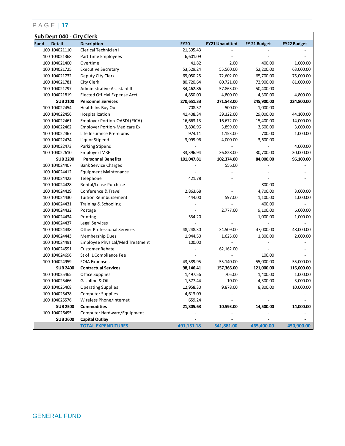|                       | Sub Dept 040 - City Clerk              |             |                       |              |                    |  |  |  |  |
|-----------------------|----------------------------------------|-------------|-----------------------|--------------|--------------------|--|--|--|--|
| <b>Detail</b><br>Fund | <b>Description</b>                     | <b>FY20</b> | <b>FY21 Unaudited</b> | FY 21 Budget | <b>FY22 Budget</b> |  |  |  |  |
| 100 104021110         | Clerical Technician I                  | 21,395.43   |                       |              |                    |  |  |  |  |
| 100 104021368         | Part Time Employees                    | 6,601.09    |                       |              |                    |  |  |  |  |
| 100 104021400         | Overtime                               | 41.82       | 2.00                  | 400.00       | 1,000.00           |  |  |  |  |
| 100 104021725         | <b>Executive Secretary</b>             | 53,529.24   | 55,560.00             | 52,200.00    | 63,000.00          |  |  |  |  |
| 100 104021732         | Deputy City Clerk                      | 69,050.25   | 72,602.00             | 65,700.00    | 75,000.00          |  |  |  |  |
| 100 104021781         | City Clerk                             | 80,720.64   | 80,721.00             | 72,900.00    | 81,000.00          |  |  |  |  |
| 100 104021797         | Administrative Assistant II            | 34,462.86   | 57,863.00             | 50,400.00    |                    |  |  |  |  |
| 100 104021819         | Elected Official Expense Acct          | 4,850.00    | 4,800.00              | 4,300.00     | 4,800.00           |  |  |  |  |
| <b>SUB 2100</b>       | <b>Personnel Services</b>              | 270,651.33  | 271,548.00            | 245,900.00   | 224,800.00         |  |  |  |  |
| 100 104022454         | Health Ins Buy Out                     | 708.37      | 500.00                | 1,000.00     |                    |  |  |  |  |
| 100 104022456         | Hospitalization                        | 41,408.34   | 39,322.00             | 29,000.00    | 44,100.00          |  |  |  |  |
| 100 104022461         | Employer Portion-OASDI (FICA)          | 16,663.13   | 16,672.00             | 15,400.00    | 14,000.00          |  |  |  |  |
| 100 104022462         | <b>Employer Portion-Medicare Ex</b>    | 3,896.96    | 3,899.00              | 3,600.00     | 3,000.00           |  |  |  |  |
| 100 104022467         | Life Insurance Premiums                | 974.11      | 1,153.00              | 700.00       | 1,000.00           |  |  |  |  |
| 100 104022474         | Liquor Stipend                         | 3,999.96    | 4,000.00              | 3,600.00     |                    |  |  |  |  |
| 100 104022473         | Parking Stipend                        |             |                       |              | 4,000.00           |  |  |  |  |
| 100 104022610         | Employer IMRF                          | 33,396.94   | 36,828.00             | 30,700.00    | 30,000.00          |  |  |  |  |
| <b>SUB 2200</b>       | <b>Personnel Benefits</b>              | 101,047.81  | 102,374.00            | 84,000.00    | 96,100.00          |  |  |  |  |
| 100 104024407         | <b>Bank Service Charges</b>            |             | 556.00                |              |                    |  |  |  |  |
| 100 104024412         | <b>Equipment Maintenance</b>           |             |                       |              |                    |  |  |  |  |
| 100 104024423         | Telephone                              | 421.78      |                       |              |                    |  |  |  |  |
| 100 104024428         | Rental/Lease Purchase                  |             |                       | 800.00       |                    |  |  |  |  |
| 100 104024429         | Conference & Travel                    | 2,863.68    |                       | 4,700.00     | 3,000.00           |  |  |  |  |
| 100 104024430         | <b>Tuition Reimbursement</b>           | 444.00      | 597.00                | 1,100.00     | 1,000.00           |  |  |  |  |
| 100 104024431         | Training & Schooling                   |             |                       | 400.00       |                    |  |  |  |  |
| 100 104024432         | Postage                                |             | 2,777.00              | 9,100.00     | 6,000.00           |  |  |  |  |
| 100 104024434         | Printing                               | 534.20      |                       | 1,000.00     | 1,000.00           |  |  |  |  |
| 100 104024437         | Legal Services                         |             |                       |              |                    |  |  |  |  |
| 100 104024438         | <b>Other Professional Services</b>     | 48,248.30   | 34,509.00             | 47,000.00    | 48,000.00          |  |  |  |  |
| 100 104024443         | Membership Dues                        | 1,944.50    | 1,625.00              | 1,800.00     | 2,000.00           |  |  |  |  |
| 100 104024491         | <b>Employee Physical/Med Treatment</b> | 100.00      |                       |              |                    |  |  |  |  |
| 100 104024591         | <b>Customer Rebate</b>                 |             | 62,162.00             |              |                    |  |  |  |  |
| 100 104024696         | St of IL Compliance Fee                |             | $\overline{a}$        | 100.00       |                    |  |  |  |  |
| 100 104024959         | <b>FOIA Expenses</b>                   | 43,589.95   | 55,140.00             | 55,000.00    | 55,000.00          |  |  |  |  |
| <b>SUB 2400</b>       | <b>Contractual Services</b>            | 98,146.41   | 157,366.00            | 121,000.00   | 116,000.00         |  |  |  |  |
| 100 104025465         | Office Supplies                        | 1,497.56    | 705.00                | 1,400.00     | 1,000.00           |  |  |  |  |
| 100 104025466         | Gasoline & Oil                         | 1,577.44    | 10.00                 | 4,300.00     | 3,000.00           |  |  |  |  |
| 100 104025468         | <b>Operating Supplies</b>              | 12,958.30   | 9,878.00              | 8,800.00     | 10,000.00          |  |  |  |  |
| 100 104025478         | <b>Computer Supplies</b>               | 4,613.09    |                       |              |                    |  |  |  |  |
| 100 104025576         | Wireless Phone/Internet                | 659.24      |                       |              |                    |  |  |  |  |
| <b>SUB 2500</b>       | <b>Commodities</b>                     | 21,305.63   | 10,593.00             | 14,500.00    | 14,000.00          |  |  |  |  |
| 100 104026495         | Computer Hardware/Equipment            |             |                       |              |                    |  |  |  |  |
| <b>SUB 2600</b>       | <b>Capital Outlay</b>                  |             |                       |              |                    |  |  |  |  |
|                       | <b>TOTAL EXPENDITURES</b>              | 491,151.18  | 541,881.00            | 465,400.00   | 450,900.00         |  |  |  |  |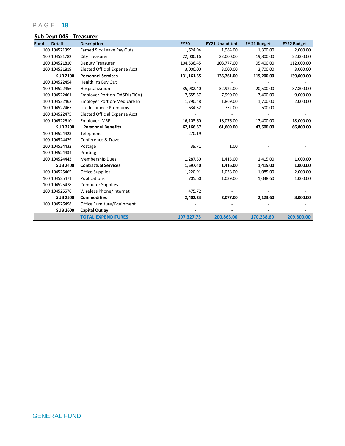|             | <b>Sub Dept 045 - Treasurer</b> |                                     |             |                       |              |                    |  |  |  |
|-------------|---------------------------------|-------------------------------------|-------------|-----------------------|--------------|--------------------|--|--|--|
| <b>Fund</b> | <b>Detail</b>                   | <b>Description</b>                  | <b>FY20</b> | <b>FY21 Unaudited</b> | FY 21 Budget | <b>FY22 Budget</b> |  |  |  |
|             | 100 104521399                   | Earned Sick Leave Pay Outs          | 1,624.94    | 1,984.00              | 1,300.00     | 2,000.00           |  |  |  |
|             | 100 104521782                   | City Treasurer                      | 22,000.16   | 22,000.00             | 19,800.00    | 22,000.00          |  |  |  |
|             | 100 104521810                   | Deputy Treasurer                    | 104,536.45  | 108,777.00            | 95,400.00    | 112,000.00         |  |  |  |
|             | 100 104521819                   | Elected Official Expense Acct       | 3,000.00    | 3,000.00              | 2,700.00     | 3,000.00           |  |  |  |
|             | <b>SUB 2100</b>                 | <b>Personnel Services</b>           | 131, 161.55 | 135,761.00            | 119,200.00   | 139,000.00         |  |  |  |
|             | 100 104522454                   | Health Ins Buy Out                  |             |                       |              |                    |  |  |  |
|             | 100 104522456                   | Hospitalization                     | 35,982.40   | 32,922.00             | 20,500.00    | 37,800.00          |  |  |  |
|             | 100 104522461                   | Employer Portion-OASDI (FICA)       | 7,655.57    | 7,990.00              | 7,400.00     | 9,000.00           |  |  |  |
|             | 100 104522462                   | <b>Employer Portion-Medicare Ex</b> | 1,790.48    | 1,869.00              | 1,700.00     | 2,000.00           |  |  |  |
|             | 100 104522467                   | Life Insurance Premiums             | 634.52      | 752.00                | 500.00       |                    |  |  |  |
|             | 100 104522475                   | Elected Official Expense Acct       |             |                       |              |                    |  |  |  |
|             | 100 104522610                   | Employer IMRF                       | 16,103.60   | 18,076.00             | 17,400.00    | 18,000.00          |  |  |  |
|             | <b>SUB 2200</b>                 | <b>Personnel Benefits</b>           | 62,166.57   | 61,609.00             | 47,500.00    | 66,800.00          |  |  |  |
|             | 100 104524423                   | Telephone                           | 270.19      |                       |              |                    |  |  |  |
|             | 100 104524429                   | Conference & Travel                 |             |                       |              |                    |  |  |  |
|             | 100 104524432                   | Postage                             | 39.71       | 1.00                  |              |                    |  |  |  |
|             | 100 104524434                   | Printing                            |             |                       |              |                    |  |  |  |
|             | 100 104524443                   | Membership Dues                     | 1,287.50    | 1,415.00              | 1,415.00     | 1,000.00           |  |  |  |
|             | <b>SUB 2400</b>                 | <b>Contractual Services</b>         | 1,597.40    | 1,416.00              | 1,415.00     | 1,000.00           |  |  |  |
|             | 100 104525465                   | Office Supplies                     | 1,220.91    | 1,038.00              | 1,085.00     | 2,000.00           |  |  |  |
|             | 100 104525471                   | Publications                        | 705.60      | 1,039.00              | 1,038.60     | 1,000.00           |  |  |  |
|             | 100 104525478                   | <b>Computer Supplies</b>            |             |                       |              |                    |  |  |  |
|             | 100 104525576                   | Wireless Phone/Internet             | 475.72      |                       |              |                    |  |  |  |
|             | <b>SUB 2500</b>                 | <b>Commodities</b>                  | 2,402.23    | 2,077.00              | 2,123.60     | 3,000.00           |  |  |  |
|             | 100 104526498                   | Office Furniture/Equipment          |             |                       |              |                    |  |  |  |
|             | <b>SUB 2600</b>                 | Capital Outlay                      |             |                       |              |                    |  |  |  |
|             |                                 | <b>TOTAL EXPENDITURES</b>           | 197,327.75  | 200,863.00            | 170,238.60   | 209,800.00         |  |  |  |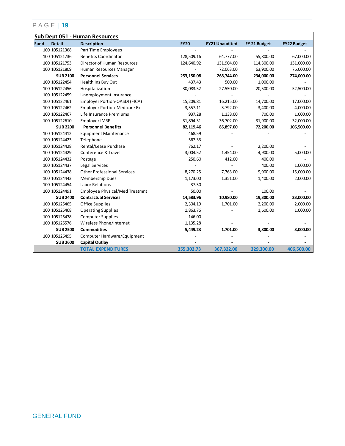| Sub Dept 051 - Human Resources |                                       |             |                       |              |                    |
|--------------------------------|---------------------------------------|-------------|-----------------------|--------------|--------------------|
| Fund<br><b>Detail</b>          | <b>Description</b>                    | <b>FY20</b> | <b>FY21 Unaudited</b> | FY 21 Budget | <b>FY22 Budget</b> |
| 100 105121368                  | Part Time Employees                   |             |                       |              |                    |
| 100 105121736                  | <b>Benefits Coordinator</b>           | 128,509.16  | 64,777.00             | 55,800.00    | 67,000.00          |
| 100 105121753                  | <b>Director of Human Resources</b>    | 124,640.92  | 131,904.00            | 114,300.00   | 131,000.00         |
| 100 105121809                  | Human Resources Manager               |             | 72,063.00             | 63,900.00    | 76,000.00          |
| <b>SUB 2100</b>                | <b>Personnel Services</b>             | 253,150.08  | 268,744.00            | 234,000.00   | 274,000.00         |
| 100 105122454                  | Health Ins Buy Out                    | 437.43      | 500.00                | 1,000.00     |                    |
| 100 105122456                  | Hospitalization                       | 30,083.52   | 27,550.00             | 20,500.00    | 52,500.00          |
| 100 105122459                  | Unemployment Insurance                |             |                       |              |                    |
| 100 105122461                  | Employer Portion-OASDI (FICA)         | 15,209.81   | 16,215.00             | 14,700.00    | 17,000.00          |
| 100 105122462                  | <b>Employer Portion-Medicare Ex</b>   | 3,557.11    | 3,792.00              | 3,400.00     | 4,000.00           |
| 100 105122467                  | Life Insurance Premiums               | 937.28      | 1,138.00              | 700.00       | 1,000.00           |
| 100 105122610                  | Employer IMRF                         | 31,894.31   | 36,702.00             | 31,900.00    | 32,000.00          |
| <b>SUB 2200</b>                | <b>Personnel Benefits</b>             | 82,119.46   | 85,897.00             | 72,200.00    | 106,500.00         |
| 100 105124412                  | <b>Equipment Maintenance</b>          | 468.59      |                       |              |                    |
| 100 105124423                  | Telephone                             | 567.33      |                       |              |                    |
| 100 105124428                  | Rental/Lease Purchase                 | 762.17      |                       | 2,200.00     |                    |
| 100 105124429                  | Conference & Travel                   | 3,004.52    | 1,454.00              | 4,900.00     | 5,000.00           |
| 100 105124432                  | Postage                               | 250.60      | 412.00                | 400.00       |                    |
| 100 105124437                  | Legal Services                        |             |                       | 400.00       | 1,000.00           |
| 100 105124438                  | <b>Other Professional Services</b>    | 8,270.25    | 7,763.00              | 9,900.00     | 15,000.00          |
| 100 105124443                  | Membership Dues                       | 1,173.00    | 1,351.00              | 1,400.00     | 2,000.00           |
| 100 105124454                  | <b>Labor Relations</b>                | 37.50       |                       |              |                    |
| 100 105124491                  | <b>Employee Physical/Med Treatmnt</b> | 50.00       |                       | 100.00       |                    |
| <b>SUB 2400</b>                | <b>Contractual Services</b>           | 14,583.96   | 10,980.00             | 19,300.00    | 23,000.00          |
| 100 105125465                  | Office Supplies                       | 2,304.19    | 1,701.00              | 2,200.00     | 2,000.00           |
| 100 105125468                  | <b>Operating Supplies</b>             | 1,863.76    |                       | 1,600.00     | 1,000.00           |
| 100 105125478                  | <b>Computer Supplies</b>              | 146.00      |                       |              |                    |
| 100 105125576                  | Wireless Phone/Internet               | 1,135.28    |                       |              |                    |
| <b>SUB 2500</b>                | <b>Commodities</b>                    | 5,449.23    | 1,701.00              | 3,800.00     | 3,000.00           |
| 100 105126495                  | Computer Hardware/Equipment           |             |                       |              |                    |
| <b>SUB 2600</b>                | Capital Outlay                        |             |                       |              |                    |
|                                | <b>TOTAL EXPENDITURES</b>             | 355,302.73  | 367,322.00            | 329,300.00   | 406,500.00         |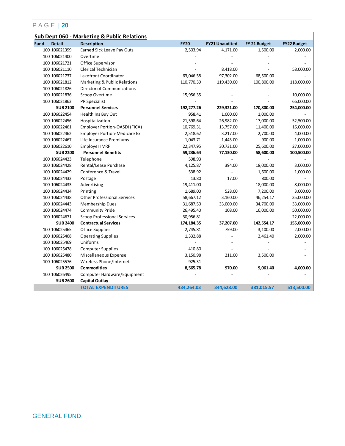|             |                 | Sub Dept 060 - Marketing & Public Relations |              |                          |              |                    |
|-------------|-----------------|---------------------------------------------|--------------|--------------------------|--------------|--------------------|
| <b>Fund</b> | <b>Detail</b>   | <b>Description</b>                          | <b>FY20</b>  | <b>FY21 Unaudited</b>    | FY 21 Budget | <b>FY22 Budget</b> |
|             | 100 106021399   | Earned Sick Leave Pay Outs                  | 2,503.94     | 4,171.00                 | 1,500.00     | 2,000.00           |
|             | 100 106021400   | Overtime                                    |              |                          |              |                    |
|             | 100 106021721   | Office Supervisor                           |              |                          |              |                    |
|             | 100 106021110   | Clerical Technician                         |              | 8,418.00                 |              | 58,000.00          |
|             | 100 106021737   | Lakefront Coordinator                       | 63,046.58    | 97,302.00                | 68,500.00    |                    |
|             | 100 106021812   | Marketing & Public Relations                | 110,770.39   | 119,430.00               | 100,800.00   | 118,000.00         |
|             | 100 106021826   | Director of Communications                  |              |                          |              |                    |
|             | 100 106021836   | Scoop Overtime                              | 15,956.35    |                          |              | 10,000.00          |
|             | 100 106021863   | <b>PR Specialist</b>                        |              |                          |              | 66,000.00          |
|             | <b>SUB 2100</b> | <b>Personnel Services</b>                   | 192,277.26   | 229,321.00               | 170,800.00   | 254,000.00         |
|             | 100 106022454   | Health Ins Buy Out                          | 958.41       | 1,000.00                 | 1,000.00     |                    |
|             | 100 106022456   | Hospitalization                             | 21,598.64    | 26,982.00                | 17,000.00    | 52,500.00          |
|             | 100 106022461   | Employer Portion-OASDI (FICA)               | 10,769.31    | 13,757.00                | 11,400.00    | 16,000.00          |
|             | 100 106022462   | <b>Employer Portion-Medicare Ex</b>         | 2,518.62     | 3,217.00                 | 2,700.00     | 4,000.00           |
|             | 100 106022467   | Life Insurance Premiums                     | 1,043.71     | 1,443.00                 | 900.00       | 1,000.00           |
|             | 100 106022610   | Employer IMRF                               | 22,347.95    | 30,731.00                | 25,600.00    | 27,000.00          |
|             | <b>SUB 2200</b> | <b>Personnel Benefits</b>                   | 59,236.64    | 77,130.00                | 58,600.00    | 100,500.00         |
|             | 100 106024423   | Telephone                                   | 598.93       |                          |              |                    |
|             | 100 106024428   | Rental/Lease Purchase                       | 4,125.87     | 394.00                   | 18,000.00    | 3,000.00           |
|             | 100 106024429   | Conference & Travel                         | 538.92       |                          | 1,600.00     | 1,000.00           |
|             | 100 106024432   | Postage                                     | 13.80        | 17.00                    | 800.00       |                    |
|             | 100 106024433   | Advertising                                 | 19,411.00    | $\overline{\phantom{a}}$ | 18,000.00    | 8,000.00           |
|             | 100 106024434   | Printing                                    | 1,689.00     | 528.00                   | 7,200.00     | 3,000.00           |
|             | 100 106024438   | <b>Other Professional Services</b>          | 58,667.12    | 3,160.00                 | 46,254.17    | 35,000.00          |
|             | 100 106024443   | Membership Dues                             | 31,687.50    | 33,000.00                | 34,700.00    | 33,000.00          |
|             | 100 106024474   | <b>Community Pride</b>                      | 26,495.40    | 108.00                   | 16,000.00    | 50,000.00          |
|             | 100 106024671   | <b>Scoop Professional Services</b>          | 30,956.81    |                          |              | 22,000.00          |
|             | <b>SUB 2400</b> | <b>Contractual Services</b>                 | 174, 184. 35 | 37,207.00                | 142,554.17   | 155,000.00         |
|             | 100 106025465   | Office Supplies                             | 2,745.81     | 759.00                   | 3,100.00     | 2,000.00           |
|             | 100 106025468   | <b>Operating Supplies</b>                   | 1,332.88     |                          | 2,461.40     | 2,000.00           |
|             | 100 106025469   | Uniforms                                    |              |                          |              |                    |
|             | 100 106025478   | <b>Computer Supplies</b>                    | 410.80       |                          |              |                    |
|             | 100 106025480   | Miscellaneous Expense                       | 3,150.98     | 211.00                   | 3,500.00     |                    |
|             | 100 106025576   | Wireless Phone/Internet                     | 925.31       |                          |              |                    |
|             | <b>SUB 2500</b> | <b>Commodities</b>                          | 8,565.78     | 970.00                   | 9,061.40     | 4,000.00           |
|             | 100 106026495   | Computer Hardware/Equipment                 |              |                          |              |                    |
|             | <b>SUB 2600</b> | <b>Capital Outlay</b>                       |              |                          |              |                    |
|             |                 | <b>TOTAL EXPENDITURES</b>                   | 434,264.03   | 344,628.00               | 381,015.57   | 513,500.00         |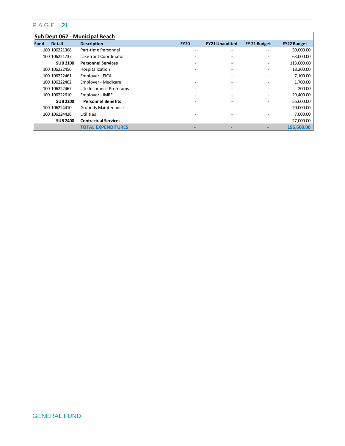|      | Sub Dept 062 - Municipal Beach |                             |             |                          |                       |              |                    |  |  |
|------|--------------------------------|-----------------------------|-------------|--------------------------|-----------------------|--------------|--------------------|--|--|
| Fund | <b>Detail</b>                  | <b>Description</b>          | <b>FY20</b> |                          | <b>FY21 Unaudited</b> | FY 21 Budget | <b>FY22 Budget</b> |  |  |
|      | 100 106221368                  | Part-time Personnel         |             | -                        | -                     |              | 50,000.00          |  |  |
|      | 100 106221737                  | Lakefront Coordinator       |             | ۰                        | ۰                     |              | 63,000.00          |  |  |
|      | <b>SUB 2100</b>                | <b>Personnel Services</b>   |             | $\overline{a}$           |                       |              | 113,000.00         |  |  |
|      | 100 106222456                  | Hospitalization             |             | $\overline{\phantom{a}}$ | ۰                     |              | 18,200.00          |  |  |
|      | 100 106222461                  | Employer - FICA             |             | $\overline{a}$           | -                     |              | 7,100.00           |  |  |
|      | 100 106222462                  | Employer - Medicare         |             | $\overline{\phantom{0}}$ | -                     |              | 1,700.00           |  |  |
|      | 100 106222467                  | Life Insurance Premiums     |             | -                        |                       |              | 200.00             |  |  |
|      | 100 106222610                  | Employer - IMRF             |             |                          |                       |              | 29,400.00          |  |  |
|      | <b>SUB 2200</b>                | <b>Personnel Benefits</b>   |             | -                        | -                     |              | 56,600.00          |  |  |
|      | 100 106224410                  | Grounds Maintenance         |             |                          |                       |              | 20,000.00          |  |  |
|      | 100 106224426                  | Utilities                   |             | -                        | -                     |              | 7,000.00           |  |  |
|      | <b>SUB 2400</b>                | <b>Contractual Services</b> |             | -                        |                       |              | 27,000.00          |  |  |
|      |                                | <b>TOTAL EXPENDITURES</b>   |             |                          |                       |              | 196.600.00         |  |  |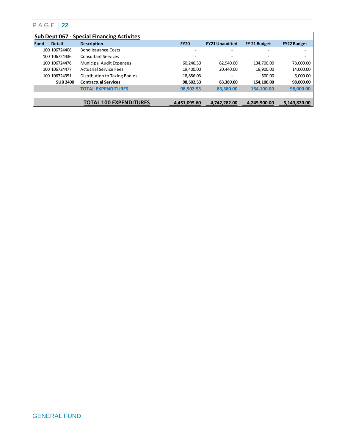|        | <b>Sub Dept 067 - Special Financing Activites</b> |                                 |                |                       |              |                    |  |  |  |
|--------|---------------------------------------------------|---------------------------------|----------------|-----------------------|--------------|--------------------|--|--|--|
| l Fund | <b>Detail</b>                                     | <b>Description</b>              | <b>FY20</b>    | <b>FY21 Unaudited</b> | FY 21 Budget | <b>FY22 Budget</b> |  |  |  |
|        | 100 106724406                                     | <b>Bond Issuance Costs</b>      | $\overline{a}$ |                       |              |                    |  |  |  |
|        | 100 106724436                                     | <b>Consultant Services</b>      | ۰              |                       |              |                    |  |  |  |
|        | 100 106724476                                     | <b>Municipal Audit Expenses</b> | 60,246.50      | 62.940.00             | 134.700.00   | 78,000.00          |  |  |  |
|        | 100 106724477                                     | <b>Actuarial Service Fees</b>   | 19.400.00      | 20.440.00             | 18.900.00    | 14,000.00          |  |  |  |
|        | 100 106724951                                     | Distribution to Taxing Bodies   | 18,856.03      | -                     | 500.00       | 6,000.00           |  |  |  |
|        | <b>SUB 2400</b>                                   | <b>Contractual Services</b>     | 98,502.53      | 83.380.00             | 154,100.00   | 98,000.00          |  |  |  |
|        |                                                   | <b>TOTAL EXPENDITURES</b>       | 98,502.53      | 83,380.00             | 154,100.00   | 98,000.00          |  |  |  |
|        |                                                   |                                 |                |                       |              |                    |  |  |  |
|        |                                                   | <b>TOTAL 100 EXPENDITURES</b>   | 4,451,095.60   | 4,742,282.00          | 4,245,500.00 | 5,149,820.00       |  |  |  |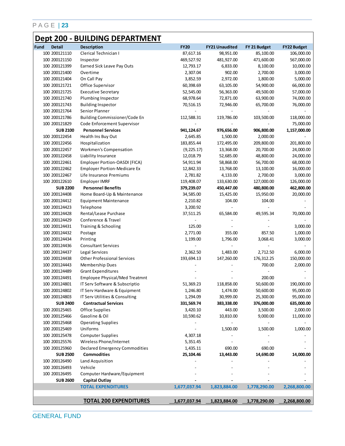## **Dept 200 - BUILDING DEPARTMENT**

| 100 200121110<br>Clerical Technician I<br>87,617.16<br>98,951.00<br>85,100.00<br>100 200121150<br>481,927.00<br>471,600.00<br>469,527.92<br>Inspector<br>100 200121399<br>Earned Sick Leave Pay Outs<br>12,793.17<br>6,833.00<br>8,100.00<br>100 200121400<br>2,307.04<br>902.00<br>2,700.00<br>Overtime<br>100 200121404<br>2,972.00<br>On Call Pay<br>3,852.59<br>1,800.00<br>100 200121721<br>60,398.69<br>63,105.00<br>54,900.00<br>Office Supervisor<br>100 200121725<br>49,500.00<br><b>Executive Secretary</b><br>52,545.00<br>56,363.00<br>100 200121740<br>Plumbing Inspector<br>68,978.64<br>72,871.00<br>63,900.00<br>100 200121743<br>72,946.00<br><b>Building Inspector</b><br>70,516.15<br>65,700.00<br>100 200121764<br>Senior Planner<br>100 200121786<br>Building Commissioner/Code En<br>112,588.31<br>119,786.00<br>103,500.00<br>100 200121829<br>Code Enforcement Supervisor<br><b>SUB 2100</b><br><b>Personnel Services</b><br>941,124.67<br>976,656.00<br>906,800.00<br>100 200122454<br>2,000.00<br>Health Ins Buy Out<br>2,645.85<br>1,500.00<br>100 200122456<br>Hospitalization<br>183,855.44<br>172,495.00<br>209,800.00<br>100 200122457<br>Workmen's Compensation<br>(9,225.17)<br>13,368.00<br>20,700.00<br>100 200122458<br>12,018.79<br>Liability Insurance<br>52,685.00<br>48,800.00<br>100 200122461<br>Employer Portion-OASDI (FICA)<br>54,911.94<br>58,868.00<br>56,700.00<br>100 200122462<br><b>Employer Portion-Medicare Ex</b><br>12,842.33<br>13,768.00<br>13,100.00<br>100 200122467<br>2,700.00<br>Life Insurance Premiums<br>2,781.82<br>4,133.00<br>100 200122610<br>119,408.07<br>127,000.00<br>Employer IMRF<br>133,630.00<br><b>SUB 2200</b><br><b>Personnel Benefits</b><br>480,800.00<br>379,239.07<br>450,447.00<br>100 200124408<br>Home Board-Up & Maintenance<br>34,585.00<br>15,425.00<br>15,950.00<br>100 200124412<br><b>Equipment Maintenance</b><br>2,210.82<br>104.00<br>104.00<br>100 200124423<br>Telephone<br>3,200.92<br>$\overline{\phantom{a}}$<br>100 200124428<br>Rental/Lease Purchase<br>37,511.25<br>49,595.34<br>65,584.00<br>100 200124429<br>Conference & Travel<br>100 200124431<br>125.00<br>Training & Schooling<br>100 200124432<br>2,771.00<br>355.00<br>857.50<br>Postage<br>100 200124434<br>Printing<br>1,199.00<br>1,796.00<br>3,068.41<br>100 200124436<br><b>Consultant Services</b><br>100 200124437<br>Legal Services<br>2,362.50<br>1,483.00<br>2,712.50<br>100 200124438<br><b>Other Professional Services</b><br>193,694.13<br>147,260.00<br>176,312.25<br>100 200124443<br>Membership Dues<br>700.00<br>100 200124489<br><b>Grant Expenditures</b><br>100 200124491<br><b>Employee Physical/Med Treatmnt</b><br>200.00<br>100 200124801<br>IT Serv Software & Subscriptio<br>51,369.23<br>118,858.00<br>50,600.00<br>100 200124802<br>50,600.00<br>IT Serv Hardware & Equipment<br>1,246.80<br>1,474.00<br>30,999.00<br>25,300.00<br>100 200124803<br>IT Serv Utilities & Consulting<br>1,294.09<br><b>Contractual Services</b><br>376,000.00<br><b>SUB 2400</b><br>331,569.74<br>383,338.00<br>Office Supplies<br>100 200125465<br>3,420.10<br>443.00<br>3,500.00<br>Gasoline & Oil<br>100 200125466<br>10,590.62<br>10,810.00<br>9,000.00<br>100 200125468<br><b>Operating Supplies</b><br>Uniforms<br>100 200125469<br>1,500.00<br>1,500.00<br>100 200125478<br><b>Computer Supplies</b><br>4,307.18<br>100 200125576<br>Wireless Phone/Internet<br>5,351.45<br>100 200125960<br>Declared Emergency Commodities<br>1,435.11<br>690.00<br>690.00<br><b>SUB 2500</b><br><b>Commodities</b><br>14,690.00<br>25,104.46<br>13,443.00<br>100 200126490<br>Land Acquisition<br>100 200126493<br>Vehicle<br>100 200126495<br>Computer Hardware/Equipment<br><b>SUB 2600</b><br><b>Capital Outlay</b><br><b>TOTAL EXPENDITURES</b><br>1,677,037.94<br>1,823,884.00<br>1,778,290.00<br><b>TOTAL 200 EXPENDITURES</b> | Fund | <b>Detail</b> | <b>Description</b> | <b>FY20</b>  | <b>FY21 Unaudited</b> | FY 21 Budget | <b>FY22 Budget</b> |
|-----------------------------------------------------------------------------------------------------------------------------------------------------------------------------------------------------------------------------------------------------------------------------------------------------------------------------------------------------------------------------------------------------------------------------------------------------------------------------------------------------------------------------------------------------------------------------------------------------------------------------------------------------------------------------------------------------------------------------------------------------------------------------------------------------------------------------------------------------------------------------------------------------------------------------------------------------------------------------------------------------------------------------------------------------------------------------------------------------------------------------------------------------------------------------------------------------------------------------------------------------------------------------------------------------------------------------------------------------------------------------------------------------------------------------------------------------------------------------------------------------------------------------------------------------------------------------------------------------------------------------------------------------------------------------------------------------------------------------------------------------------------------------------------------------------------------------------------------------------------------------------------------------------------------------------------------------------------------------------------------------------------------------------------------------------------------------------------------------------------------------------------------------------------------------------------------------------------------------------------------------------------------------------------------------------------------------------------------------------------------------------------------------------------------------------------------------------------------------------------------------------------------------------------------------------------------------------------------------------------------------------------------------------------------------------------------------------------------------------------------------------------------------------------------------------------------------------------------------------------------------------------------------------------------------------------------------------------------------------------------------------------------------------------------------------------------------------------------------------------------------------------------------------------------------------------------------------------------------------------------------------------------------------------------------------------------------------------------------------------------------------------------------------------------------------------------------------------------------------------------------------------------------------------------------------------------------------------------------------------------------------------------------------------------------------------------------------------------------------------------------------------------------------------------------------------------------------------------------------------------------------------------------------|------|---------------|--------------------|--------------|-----------------------|--------------|--------------------|
|                                                                                                                                                                                                                                                                                                                                                                                                                                                                                                                                                                                                                                                                                                                                                                                                                                                                                                                                                                                                                                                                                                                                                                                                                                                                                                                                                                                                                                                                                                                                                                                                                                                                                                                                                                                                                                                                                                                                                                                                                                                                                                                                                                                                                                                                                                                                                                                                                                                                                                                                                                                                                                                                                                                                                                                                                                                                                                                                                                                                                                                                                                                                                                                                                                                                                                                                                                                                                                                                                                                                                                                                                                                                                                                                                                                                                                                                                                           |      |               |                    |              |                       |              | 106,000.00         |
|                                                                                                                                                                                                                                                                                                                                                                                                                                                                                                                                                                                                                                                                                                                                                                                                                                                                                                                                                                                                                                                                                                                                                                                                                                                                                                                                                                                                                                                                                                                                                                                                                                                                                                                                                                                                                                                                                                                                                                                                                                                                                                                                                                                                                                                                                                                                                                                                                                                                                                                                                                                                                                                                                                                                                                                                                                                                                                                                                                                                                                                                                                                                                                                                                                                                                                                                                                                                                                                                                                                                                                                                                                                                                                                                                                                                                                                                                                           |      |               |                    |              |                       |              | 567,000.00         |
|                                                                                                                                                                                                                                                                                                                                                                                                                                                                                                                                                                                                                                                                                                                                                                                                                                                                                                                                                                                                                                                                                                                                                                                                                                                                                                                                                                                                                                                                                                                                                                                                                                                                                                                                                                                                                                                                                                                                                                                                                                                                                                                                                                                                                                                                                                                                                                                                                                                                                                                                                                                                                                                                                                                                                                                                                                                                                                                                                                                                                                                                                                                                                                                                                                                                                                                                                                                                                                                                                                                                                                                                                                                                                                                                                                                                                                                                                                           |      |               |                    |              |                       |              | 10,000.00          |
|                                                                                                                                                                                                                                                                                                                                                                                                                                                                                                                                                                                                                                                                                                                                                                                                                                                                                                                                                                                                                                                                                                                                                                                                                                                                                                                                                                                                                                                                                                                                                                                                                                                                                                                                                                                                                                                                                                                                                                                                                                                                                                                                                                                                                                                                                                                                                                                                                                                                                                                                                                                                                                                                                                                                                                                                                                                                                                                                                                                                                                                                                                                                                                                                                                                                                                                                                                                                                                                                                                                                                                                                                                                                                                                                                                                                                                                                                                           |      |               |                    |              |                       |              | 3,000.00           |
|                                                                                                                                                                                                                                                                                                                                                                                                                                                                                                                                                                                                                                                                                                                                                                                                                                                                                                                                                                                                                                                                                                                                                                                                                                                                                                                                                                                                                                                                                                                                                                                                                                                                                                                                                                                                                                                                                                                                                                                                                                                                                                                                                                                                                                                                                                                                                                                                                                                                                                                                                                                                                                                                                                                                                                                                                                                                                                                                                                                                                                                                                                                                                                                                                                                                                                                                                                                                                                                                                                                                                                                                                                                                                                                                                                                                                                                                                                           |      |               |                    |              |                       |              | 5,000.00           |
|                                                                                                                                                                                                                                                                                                                                                                                                                                                                                                                                                                                                                                                                                                                                                                                                                                                                                                                                                                                                                                                                                                                                                                                                                                                                                                                                                                                                                                                                                                                                                                                                                                                                                                                                                                                                                                                                                                                                                                                                                                                                                                                                                                                                                                                                                                                                                                                                                                                                                                                                                                                                                                                                                                                                                                                                                                                                                                                                                                                                                                                                                                                                                                                                                                                                                                                                                                                                                                                                                                                                                                                                                                                                                                                                                                                                                                                                                                           |      |               |                    |              |                       |              | 66,000.00          |
|                                                                                                                                                                                                                                                                                                                                                                                                                                                                                                                                                                                                                                                                                                                                                                                                                                                                                                                                                                                                                                                                                                                                                                                                                                                                                                                                                                                                                                                                                                                                                                                                                                                                                                                                                                                                                                                                                                                                                                                                                                                                                                                                                                                                                                                                                                                                                                                                                                                                                                                                                                                                                                                                                                                                                                                                                                                                                                                                                                                                                                                                                                                                                                                                                                                                                                                                                                                                                                                                                                                                                                                                                                                                                                                                                                                                                                                                                                           |      |               |                    |              |                       |              | 57,000.00          |
|                                                                                                                                                                                                                                                                                                                                                                                                                                                                                                                                                                                                                                                                                                                                                                                                                                                                                                                                                                                                                                                                                                                                                                                                                                                                                                                                                                                                                                                                                                                                                                                                                                                                                                                                                                                                                                                                                                                                                                                                                                                                                                                                                                                                                                                                                                                                                                                                                                                                                                                                                                                                                                                                                                                                                                                                                                                                                                                                                                                                                                                                                                                                                                                                                                                                                                                                                                                                                                                                                                                                                                                                                                                                                                                                                                                                                                                                                                           |      |               |                    |              |                       |              | 74,000.00          |
|                                                                                                                                                                                                                                                                                                                                                                                                                                                                                                                                                                                                                                                                                                                                                                                                                                                                                                                                                                                                                                                                                                                                                                                                                                                                                                                                                                                                                                                                                                                                                                                                                                                                                                                                                                                                                                                                                                                                                                                                                                                                                                                                                                                                                                                                                                                                                                                                                                                                                                                                                                                                                                                                                                                                                                                                                                                                                                                                                                                                                                                                                                                                                                                                                                                                                                                                                                                                                                                                                                                                                                                                                                                                                                                                                                                                                                                                                                           |      |               |                    |              |                       |              | 76,000.00          |
|                                                                                                                                                                                                                                                                                                                                                                                                                                                                                                                                                                                                                                                                                                                                                                                                                                                                                                                                                                                                                                                                                                                                                                                                                                                                                                                                                                                                                                                                                                                                                                                                                                                                                                                                                                                                                                                                                                                                                                                                                                                                                                                                                                                                                                                                                                                                                                                                                                                                                                                                                                                                                                                                                                                                                                                                                                                                                                                                                                                                                                                                                                                                                                                                                                                                                                                                                                                                                                                                                                                                                                                                                                                                                                                                                                                                                                                                                                           |      |               |                    |              |                       |              |                    |
|                                                                                                                                                                                                                                                                                                                                                                                                                                                                                                                                                                                                                                                                                                                                                                                                                                                                                                                                                                                                                                                                                                                                                                                                                                                                                                                                                                                                                                                                                                                                                                                                                                                                                                                                                                                                                                                                                                                                                                                                                                                                                                                                                                                                                                                                                                                                                                                                                                                                                                                                                                                                                                                                                                                                                                                                                                                                                                                                                                                                                                                                                                                                                                                                                                                                                                                                                                                                                                                                                                                                                                                                                                                                                                                                                                                                                                                                                                           |      |               |                    |              |                       |              | 118,000.00         |
|                                                                                                                                                                                                                                                                                                                                                                                                                                                                                                                                                                                                                                                                                                                                                                                                                                                                                                                                                                                                                                                                                                                                                                                                                                                                                                                                                                                                                                                                                                                                                                                                                                                                                                                                                                                                                                                                                                                                                                                                                                                                                                                                                                                                                                                                                                                                                                                                                                                                                                                                                                                                                                                                                                                                                                                                                                                                                                                                                                                                                                                                                                                                                                                                                                                                                                                                                                                                                                                                                                                                                                                                                                                                                                                                                                                                                                                                                                           |      |               |                    |              |                       |              | 75,000.00          |
|                                                                                                                                                                                                                                                                                                                                                                                                                                                                                                                                                                                                                                                                                                                                                                                                                                                                                                                                                                                                                                                                                                                                                                                                                                                                                                                                                                                                                                                                                                                                                                                                                                                                                                                                                                                                                                                                                                                                                                                                                                                                                                                                                                                                                                                                                                                                                                                                                                                                                                                                                                                                                                                                                                                                                                                                                                                                                                                                                                                                                                                                                                                                                                                                                                                                                                                                                                                                                                                                                                                                                                                                                                                                                                                                                                                                                                                                                                           |      |               |                    |              |                       |              | 1,157,000.00       |
|                                                                                                                                                                                                                                                                                                                                                                                                                                                                                                                                                                                                                                                                                                                                                                                                                                                                                                                                                                                                                                                                                                                                                                                                                                                                                                                                                                                                                                                                                                                                                                                                                                                                                                                                                                                                                                                                                                                                                                                                                                                                                                                                                                                                                                                                                                                                                                                                                                                                                                                                                                                                                                                                                                                                                                                                                                                                                                                                                                                                                                                                                                                                                                                                                                                                                                                                                                                                                                                                                                                                                                                                                                                                                                                                                                                                                                                                                                           |      |               |                    |              |                       |              |                    |
|                                                                                                                                                                                                                                                                                                                                                                                                                                                                                                                                                                                                                                                                                                                                                                                                                                                                                                                                                                                                                                                                                                                                                                                                                                                                                                                                                                                                                                                                                                                                                                                                                                                                                                                                                                                                                                                                                                                                                                                                                                                                                                                                                                                                                                                                                                                                                                                                                                                                                                                                                                                                                                                                                                                                                                                                                                                                                                                                                                                                                                                                                                                                                                                                                                                                                                                                                                                                                                                                                                                                                                                                                                                                                                                                                                                                                                                                                                           |      |               |                    |              |                       |              | 201,800.00         |
|                                                                                                                                                                                                                                                                                                                                                                                                                                                                                                                                                                                                                                                                                                                                                                                                                                                                                                                                                                                                                                                                                                                                                                                                                                                                                                                                                                                                                                                                                                                                                                                                                                                                                                                                                                                                                                                                                                                                                                                                                                                                                                                                                                                                                                                                                                                                                                                                                                                                                                                                                                                                                                                                                                                                                                                                                                                                                                                                                                                                                                                                                                                                                                                                                                                                                                                                                                                                                                                                                                                                                                                                                                                                                                                                                                                                                                                                                                           |      |               |                    |              |                       |              | 24,000.00          |
|                                                                                                                                                                                                                                                                                                                                                                                                                                                                                                                                                                                                                                                                                                                                                                                                                                                                                                                                                                                                                                                                                                                                                                                                                                                                                                                                                                                                                                                                                                                                                                                                                                                                                                                                                                                                                                                                                                                                                                                                                                                                                                                                                                                                                                                                                                                                                                                                                                                                                                                                                                                                                                                                                                                                                                                                                                                                                                                                                                                                                                                                                                                                                                                                                                                                                                                                                                                                                                                                                                                                                                                                                                                                                                                                                                                                                                                                                                           |      |               |                    |              |                       |              | 24,000.00          |
|                                                                                                                                                                                                                                                                                                                                                                                                                                                                                                                                                                                                                                                                                                                                                                                                                                                                                                                                                                                                                                                                                                                                                                                                                                                                                                                                                                                                                                                                                                                                                                                                                                                                                                                                                                                                                                                                                                                                                                                                                                                                                                                                                                                                                                                                                                                                                                                                                                                                                                                                                                                                                                                                                                                                                                                                                                                                                                                                                                                                                                                                                                                                                                                                                                                                                                                                                                                                                                                                                                                                                                                                                                                                                                                                                                                                                                                                                                           |      |               |                    |              |                       |              | 68,000.00          |
|                                                                                                                                                                                                                                                                                                                                                                                                                                                                                                                                                                                                                                                                                                                                                                                                                                                                                                                                                                                                                                                                                                                                                                                                                                                                                                                                                                                                                                                                                                                                                                                                                                                                                                                                                                                                                                                                                                                                                                                                                                                                                                                                                                                                                                                                                                                                                                                                                                                                                                                                                                                                                                                                                                                                                                                                                                                                                                                                                                                                                                                                                                                                                                                                                                                                                                                                                                                                                                                                                                                                                                                                                                                                                                                                                                                                                                                                                                           |      |               |                    |              |                       |              | 16,000.00          |
|                                                                                                                                                                                                                                                                                                                                                                                                                                                                                                                                                                                                                                                                                                                                                                                                                                                                                                                                                                                                                                                                                                                                                                                                                                                                                                                                                                                                                                                                                                                                                                                                                                                                                                                                                                                                                                                                                                                                                                                                                                                                                                                                                                                                                                                                                                                                                                                                                                                                                                                                                                                                                                                                                                                                                                                                                                                                                                                                                                                                                                                                                                                                                                                                                                                                                                                                                                                                                                                                                                                                                                                                                                                                                                                                                                                                                                                                                                           |      |               |                    |              |                       |              | 3,000.00           |
|                                                                                                                                                                                                                                                                                                                                                                                                                                                                                                                                                                                                                                                                                                                                                                                                                                                                                                                                                                                                                                                                                                                                                                                                                                                                                                                                                                                                                                                                                                                                                                                                                                                                                                                                                                                                                                                                                                                                                                                                                                                                                                                                                                                                                                                                                                                                                                                                                                                                                                                                                                                                                                                                                                                                                                                                                                                                                                                                                                                                                                                                                                                                                                                                                                                                                                                                                                                                                                                                                                                                                                                                                                                                                                                                                                                                                                                                                                           |      |               |                    |              |                       |              | 126,000.00         |
|                                                                                                                                                                                                                                                                                                                                                                                                                                                                                                                                                                                                                                                                                                                                                                                                                                                                                                                                                                                                                                                                                                                                                                                                                                                                                                                                                                                                                                                                                                                                                                                                                                                                                                                                                                                                                                                                                                                                                                                                                                                                                                                                                                                                                                                                                                                                                                                                                                                                                                                                                                                                                                                                                                                                                                                                                                                                                                                                                                                                                                                                                                                                                                                                                                                                                                                                                                                                                                                                                                                                                                                                                                                                                                                                                                                                                                                                                                           |      |               |                    |              |                       |              | 462,800.00         |
|                                                                                                                                                                                                                                                                                                                                                                                                                                                                                                                                                                                                                                                                                                                                                                                                                                                                                                                                                                                                                                                                                                                                                                                                                                                                                                                                                                                                                                                                                                                                                                                                                                                                                                                                                                                                                                                                                                                                                                                                                                                                                                                                                                                                                                                                                                                                                                                                                                                                                                                                                                                                                                                                                                                                                                                                                                                                                                                                                                                                                                                                                                                                                                                                                                                                                                                                                                                                                                                                                                                                                                                                                                                                                                                                                                                                                                                                                                           |      |               |                    |              |                       |              | 20,000.00          |
|                                                                                                                                                                                                                                                                                                                                                                                                                                                                                                                                                                                                                                                                                                                                                                                                                                                                                                                                                                                                                                                                                                                                                                                                                                                                                                                                                                                                                                                                                                                                                                                                                                                                                                                                                                                                                                                                                                                                                                                                                                                                                                                                                                                                                                                                                                                                                                                                                                                                                                                                                                                                                                                                                                                                                                                                                                                                                                                                                                                                                                                                                                                                                                                                                                                                                                                                                                                                                                                                                                                                                                                                                                                                                                                                                                                                                                                                                                           |      |               |                    |              |                       |              |                    |
|                                                                                                                                                                                                                                                                                                                                                                                                                                                                                                                                                                                                                                                                                                                                                                                                                                                                                                                                                                                                                                                                                                                                                                                                                                                                                                                                                                                                                                                                                                                                                                                                                                                                                                                                                                                                                                                                                                                                                                                                                                                                                                                                                                                                                                                                                                                                                                                                                                                                                                                                                                                                                                                                                                                                                                                                                                                                                                                                                                                                                                                                                                                                                                                                                                                                                                                                                                                                                                                                                                                                                                                                                                                                                                                                                                                                                                                                                                           |      |               |                    |              |                       |              |                    |
|                                                                                                                                                                                                                                                                                                                                                                                                                                                                                                                                                                                                                                                                                                                                                                                                                                                                                                                                                                                                                                                                                                                                                                                                                                                                                                                                                                                                                                                                                                                                                                                                                                                                                                                                                                                                                                                                                                                                                                                                                                                                                                                                                                                                                                                                                                                                                                                                                                                                                                                                                                                                                                                                                                                                                                                                                                                                                                                                                                                                                                                                                                                                                                                                                                                                                                                                                                                                                                                                                                                                                                                                                                                                                                                                                                                                                                                                                                           |      |               |                    |              |                       |              | 70,000.00          |
|                                                                                                                                                                                                                                                                                                                                                                                                                                                                                                                                                                                                                                                                                                                                                                                                                                                                                                                                                                                                                                                                                                                                                                                                                                                                                                                                                                                                                                                                                                                                                                                                                                                                                                                                                                                                                                                                                                                                                                                                                                                                                                                                                                                                                                                                                                                                                                                                                                                                                                                                                                                                                                                                                                                                                                                                                                                                                                                                                                                                                                                                                                                                                                                                                                                                                                                                                                                                                                                                                                                                                                                                                                                                                                                                                                                                                                                                                                           |      |               |                    |              |                       |              |                    |
|                                                                                                                                                                                                                                                                                                                                                                                                                                                                                                                                                                                                                                                                                                                                                                                                                                                                                                                                                                                                                                                                                                                                                                                                                                                                                                                                                                                                                                                                                                                                                                                                                                                                                                                                                                                                                                                                                                                                                                                                                                                                                                                                                                                                                                                                                                                                                                                                                                                                                                                                                                                                                                                                                                                                                                                                                                                                                                                                                                                                                                                                                                                                                                                                                                                                                                                                                                                                                                                                                                                                                                                                                                                                                                                                                                                                                                                                                                           |      |               |                    |              |                       |              | 3,000.00           |
|                                                                                                                                                                                                                                                                                                                                                                                                                                                                                                                                                                                                                                                                                                                                                                                                                                                                                                                                                                                                                                                                                                                                                                                                                                                                                                                                                                                                                                                                                                                                                                                                                                                                                                                                                                                                                                                                                                                                                                                                                                                                                                                                                                                                                                                                                                                                                                                                                                                                                                                                                                                                                                                                                                                                                                                                                                                                                                                                                                                                                                                                                                                                                                                                                                                                                                                                                                                                                                                                                                                                                                                                                                                                                                                                                                                                                                                                                                           |      |               |                    |              |                       |              | 1,000.00           |
|                                                                                                                                                                                                                                                                                                                                                                                                                                                                                                                                                                                                                                                                                                                                                                                                                                                                                                                                                                                                                                                                                                                                                                                                                                                                                                                                                                                                                                                                                                                                                                                                                                                                                                                                                                                                                                                                                                                                                                                                                                                                                                                                                                                                                                                                                                                                                                                                                                                                                                                                                                                                                                                                                                                                                                                                                                                                                                                                                                                                                                                                                                                                                                                                                                                                                                                                                                                                                                                                                                                                                                                                                                                                                                                                                                                                                                                                                                           |      |               |                    |              |                       |              | 3,000.00           |
|                                                                                                                                                                                                                                                                                                                                                                                                                                                                                                                                                                                                                                                                                                                                                                                                                                                                                                                                                                                                                                                                                                                                                                                                                                                                                                                                                                                                                                                                                                                                                                                                                                                                                                                                                                                                                                                                                                                                                                                                                                                                                                                                                                                                                                                                                                                                                                                                                                                                                                                                                                                                                                                                                                                                                                                                                                                                                                                                                                                                                                                                                                                                                                                                                                                                                                                                                                                                                                                                                                                                                                                                                                                                                                                                                                                                                                                                                                           |      |               |                    |              |                       |              |                    |
|                                                                                                                                                                                                                                                                                                                                                                                                                                                                                                                                                                                                                                                                                                                                                                                                                                                                                                                                                                                                                                                                                                                                                                                                                                                                                                                                                                                                                                                                                                                                                                                                                                                                                                                                                                                                                                                                                                                                                                                                                                                                                                                                                                                                                                                                                                                                                                                                                                                                                                                                                                                                                                                                                                                                                                                                                                                                                                                                                                                                                                                                                                                                                                                                                                                                                                                                                                                                                                                                                                                                                                                                                                                                                                                                                                                                                                                                                                           |      |               |                    |              |                       |              | 6,000.00           |
|                                                                                                                                                                                                                                                                                                                                                                                                                                                                                                                                                                                                                                                                                                                                                                                                                                                                                                                                                                                                                                                                                                                                                                                                                                                                                                                                                                                                                                                                                                                                                                                                                                                                                                                                                                                                                                                                                                                                                                                                                                                                                                                                                                                                                                                                                                                                                                                                                                                                                                                                                                                                                                                                                                                                                                                                                                                                                                                                                                                                                                                                                                                                                                                                                                                                                                                                                                                                                                                                                                                                                                                                                                                                                                                                                                                                                                                                                                           |      |               |                    |              |                       |              | 150,000.00         |
|                                                                                                                                                                                                                                                                                                                                                                                                                                                                                                                                                                                                                                                                                                                                                                                                                                                                                                                                                                                                                                                                                                                                                                                                                                                                                                                                                                                                                                                                                                                                                                                                                                                                                                                                                                                                                                                                                                                                                                                                                                                                                                                                                                                                                                                                                                                                                                                                                                                                                                                                                                                                                                                                                                                                                                                                                                                                                                                                                                                                                                                                                                                                                                                                                                                                                                                                                                                                                                                                                                                                                                                                                                                                                                                                                                                                                                                                                                           |      |               |                    |              |                       |              | 2,000.00           |
|                                                                                                                                                                                                                                                                                                                                                                                                                                                                                                                                                                                                                                                                                                                                                                                                                                                                                                                                                                                                                                                                                                                                                                                                                                                                                                                                                                                                                                                                                                                                                                                                                                                                                                                                                                                                                                                                                                                                                                                                                                                                                                                                                                                                                                                                                                                                                                                                                                                                                                                                                                                                                                                                                                                                                                                                                                                                                                                                                                                                                                                                                                                                                                                                                                                                                                                                                                                                                                                                                                                                                                                                                                                                                                                                                                                                                                                                                                           |      |               |                    |              |                       |              |                    |
|                                                                                                                                                                                                                                                                                                                                                                                                                                                                                                                                                                                                                                                                                                                                                                                                                                                                                                                                                                                                                                                                                                                                                                                                                                                                                                                                                                                                                                                                                                                                                                                                                                                                                                                                                                                                                                                                                                                                                                                                                                                                                                                                                                                                                                                                                                                                                                                                                                                                                                                                                                                                                                                                                                                                                                                                                                                                                                                                                                                                                                                                                                                                                                                                                                                                                                                                                                                                                                                                                                                                                                                                                                                                                                                                                                                                                                                                                                           |      |               |                    |              |                       |              |                    |
|                                                                                                                                                                                                                                                                                                                                                                                                                                                                                                                                                                                                                                                                                                                                                                                                                                                                                                                                                                                                                                                                                                                                                                                                                                                                                                                                                                                                                                                                                                                                                                                                                                                                                                                                                                                                                                                                                                                                                                                                                                                                                                                                                                                                                                                                                                                                                                                                                                                                                                                                                                                                                                                                                                                                                                                                                                                                                                                                                                                                                                                                                                                                                                                                                                                                                                                                                                                                                                                                                                                                                                                                                                                                                                                                                                                                                                                                                                           |      |               |                    |              |                       |              | 190,000.00         |
|                                                                                                                                                                                                                                                                                                                                                                                                                                                                                                                                                                                                                                                                                                                                                                                                                                                                                                                                                                                                                                                                                                                                                                                                                                                                                                                                                                                                                                                                                                                                                                                                                                                                                                                                                                                                                                                                                                                                                                                                                                                                                                                                                                                                                                                                                                                                                                                                                                                                                                                                                                                                                                                                                                                                                                                                                                                                                                                                                                                                                                                                                                                                                                                                                                                                                                                                                                                                                                                                                                                                                                                                                                                                                                                                                                                                                                                                                                           |      |               |                    |              |                       |              | 95,000.00          |
|                                                                                                                                                                                                                                                                                                                                                                                                                                                                                                                                                                                                                                                                                                                                                                                                                                                                                                                                                                                                                                                                                                                                                                                                                                                                                                                                                                                                                                                                                                                                                                                                                                                                                                                                                                                                                                                                                                                                                                                                                                                                                                                                                                                                                                                                                                                                                                                                                                                                                                                                                                                                                                                                                                                                                                                                                                                                                                                                                                                                                                                                                                                                                                                                                                                                                                                                                                                                                                                                                                                                                                                                                                                                                                                                                                                                                                                                                                           |      |               |                    |              |                       |              | 95,000.00          |
|                                                                                                                                                                                                                                                                                                                                                                                                                                                                                                                                                                                                                                                                                                                                                                                                                                                                                                                                                                                                                                                                                                                                                                                                                                                                                                                                                                                                                                                                                                                                                                                                                                                                                                                                                                                                                                                                                                                                                                                                                                                                                                                                                                                                                                                                                                                                                                                                                                                                                                                                                                                                                                                                                                                                                                                                                                                                                                                                                                                                                                                                                                                                                                                                                                                                                                                                                                                                                                                                                                                                                                                                                                                                                                                                                                                                                                                                                                           |      |               |                    |              |                       |              | 635,000.00         |
|                                                                                                                                                                                                                                                                                                                                                                                                                                                                                                                                                                                                                                                                                                                                                                                                                                                                                                                                                                                                                                                                                                                                                                                                                                                                                                                                                                                                                                                                                                                                                                                                                                                                                                                                                                                                                                                                                                                                                                                                                                                                                                                                                                                                                                                                                                                                                                                                                                                                                                                                                                                                                                                                                                                                                                                                                                                                                                                                                                                                                                                                                                                                                                                                                                                                                                                                                                                                                                                                                                                                                                                                                                                                                                                                                                                                                                                                                                           |      |               |                    |              |                       |              | 2,000.00           |
|                                                                                                                                                                                                                                                                                                                                                                                                                                                                                                                                                                                                                                                                                                                                                                                                                                                                                                                                                                                                                                                                                                                                                                                                                                                                                                                                                                                                                                                                                                                                                                                                                                                                                                                                                                                                                                                                                                                                                                                                                                                                                                                                                                                                                                                                                                                                                                                                                                                                                                                                                                                                                                                                                                                                                                                                                                                                                                                                                                                                                                                                                                                                                                                                                                                                                                                                                                                                                                                                                                                                                                                                                                                                                                                                                                                                                                                                                                           |      |               |                    |              |                       |              | 11,000.00          |
|                                                                                                                                                                                                                                                                                                                                                                                                                                                                                                                                                                                                                                                                                                                                                                                                                                                                                                                                                                                                                                                                                                                                                                                                                                                                                                                                                                                                                                                                                                                                                                                                                                                                                                                                                                                                                                                                                                                                                                                                                                                                                                                                                                                                                                                                                                                                                                                                                                                                                                                                                                                                                                                                                                                                                                                                                                                                                                                                                                                                                                                                                                                                                                                                                                                                                                                                                                                                                                                                                                                                                                                                                                                                                                                                                                                                                                                                                                           |      |               |                    |              |                       |              |                    |
|                                                                                                                                                                                                                                                                                                                                                                                                                                                                                                                                                                                                                                                                                                                                                                                                                                                                                                                                                                                                                                                                                                                                                                                                                                                                                                                                                                                                                                                                                                                                                                                                                                                                                                                                                                                                                                                                                                                                                                                                                                                                                                                                                                                                                                                                                                                                                                                                                                                                                                                                                                                                                                                                                                                                                                                                                                                                                                                                                                                                                                                                                                                                                                                                                                                                                                                                                                                                                                                                                                                                                                                                                                                                                                                                                                                                                                                                                                           |      |               |                    |              |                       |              | 1,000.00           |
|                                                                                                                                                                                                                                                                                                                                                                                                                                                                                                                                                                                                                                                                                                                                                                                                                                                                                                                                                                                                                                                                                                                                                                                                                                                                                                                                                                                                                                                                                                                                                                                                                                                                                                                                                                                                                                                                                                                                                                                                                                                                                                                                                                                                                                                                                                                                                                                                                                                                                                                                                                                                                                                                                                                                                                                                                                                                                                                                                                                                                                                                                                                                                                                                                                                                                                                                                                                                                                                                                                                                                                                                                                                                                                                                                                                                                                                                                                           |      |               |                    |              |                       |              |                    |
|                                                                                                                                                                                                                                                                                                                                                                                                                                                                                                                                                                                                                                                                                                                                                                                                                                                                                                                                                                                                                                                                                                                                                                                                                                                                                                                                                                                                                                                                                                                                                                                                                                                                                                                                                                                                                                                                                                                                                                                                                                                                                                                                                                                                                                                                                                                                                                                                                                                                                                                                                                                                                                                                                                                                                                                                                                                                                                                                                                                                                                                                                                                                                                                                                                                                                                                                                                                                                                                                                                                                                                                                                                                                                                                                                                                                                                                                                                           |      |               |                    |              |                       |              |                    |
|                                                                                                                                                                                                                                                                                                                                                                                                                                                                                                                                                                                                                                                                                                                                                                                                                                                                                                                                                                                                                                                                                                                                                                                                                                                                                                                                                                                                                                                                                                                                                                                                                                                                                                                                                                                                                                                                                                                                                                                                                                                                                                                                                                                                                                                                                                                                                                                                                                                                                                                                                                                                                                                                                                                                                                                                                                                                                                                                                                                                                                                                                                                                                                                                                                                                                                                                                                                                                                                                                                                                                                                                                                                                                                                                                                                                                                                                                                           |      |               |                    |              |                       |              |                    |
|                                                                                                                                                                                                                                                                                                                                                                                                                                                                                                                                                                                                                                                                                                                                                                                                                                                                                                                                                                                                                                                                                                                                                                                                                                                                                                                                                                                                                                                                                                                                                                                                                                                                                                                                                                                                                                                                                                                                                                                                                                                                                                                                                                                                                                                                                                                                                                                                                                                                                                                                                                                                                                                                                                                                                                                                                                                                                                                                                                                                                                                                                                                                                                                                                                                                                                                                                                                                                                                                                                                                                                                                                                                                                                                                                                                                                                                                                                           |      |               |                    |              |                       |              | 14,000.00          |
|                                                                                                                                                                                                                                                                                                                                                                                                                                                                                                                                                                                                                                                                                                                                                                                                                                                                                                                                                                                                                                                                                                                                                                                                                                                                                                                                                                                                                                                                                                                                                                                                                                                                                                                                                                                                                                                                                                                                                                                                                                                                                                                                                                                                                                                                                                                                                                                                                                                                                                                                                                                                                                                                                                                                                                                                                                                                                                                                                                                                                                                                                                                                                                                                                                                                                                                                                                                                                                                                                                                                                                                                                                                                                                                                                                                                                                                                                                           |      |               |                    |              |                       |              |                    |
|                                                                                                                                                                                                                                                                                                                                                                                                                                                                                                                                                                                                                                                                                                                                                                                                                                                                                                                                                                                                                                                                                                                                                                                                                                                                                                                                                                                                                                                                                                                                                                                                                                                                                                                                                                                                                                                                                                                                                                                                                                                                                                                                                                                                                                                                                                                                                                                                                                                                                                                                                                                                                                                                                                                                                                                                                                                                                                                                                                                                                                                                                                                                                                                                                                                                                                                                                                                                                                                                                                                                                                                                                                                                                                                                                                                                                                                                                                           |      |               |                    |              |                       |              |                    |
|                                                                                                                                                                                                                                                                                                                                                                                                                                                                                                                                                                                                                                                                                                                                                                                                                                                                                                                                                                                                                                                                                                                                                                                                                                                                                                                                                                                                                                                                                                                                                                                                                                                                                                                                                                                                                                                                                                                                                                                                                                                                                                                                                                                                                                                                                                                                                                                                                                                                                                                                                                                                                                                                                                                                                                                                                                                                                                                                                                                                                                                                                                                                                                                                                                                                                                                                                                                                                                                                                                                                                                                                                                                                                                                                                                                                                                                                                                           |      |               |                    |              |                       |              |                    |
|                                                                                                                                                                                                                                                                                                                                                                                                                                                                                                                                                                                                                                                                                                                                                                                                                                                                                                                                                                                                                                                                                                                                                                                                                                                                                                                                                                                                                                                                                                                                                                                                                                                                                                                                                                                                                                                                                                                                                                                                                                                                                                                                                                                                                                                                                                                                                                                                                                                                                                                                                                                                                                                                                                                                                                                                                                                                                                                                                                                                                                                                                                                                                                                                                                                                                                                                                                                                                                                                                                                                                                                                                                                                                                                                                                                                                                                                                                           |      |               |                    |              |                       |              |                    |
|                                                                                                                                                                                                                                                                                                                                                                                                                                                                                                                                                                                                                                                                                                                                                                                                                                                                                                                                                                                                                                                                                                                                                                                                                                                                                                                                                                                                                                                                                                                                                                                                                                                                                                                                                                                                                                                                                                                                                                                                                                                                                                                                                                                                                                                                                                                                                                                                                                                                                                                                                                                                                                                                                                                                                                                                                                                                                                                                                                                                                                                                                                                                                                                                                                                                                                                                                                                                                                                                                                                                                                                                                                                                                                                                                                                                                                                                                                           |      |               |                    |              |                       |              | 2,268,800.00       |
|                                                                                                                                                                                                                                                                                                                                                                                                                                                                                                                                                                                                                                                                                                                                                                                                                                                                                                                                                                                                                                                                                                                                                                                                                                                                                                                                                                                                                                                                                                                                                                                                                                                                                                                                                                                                                                                                                                                                                                                                                                                                                                                                                                                                                                                                                                                                                                                                                                                                                                                                                                                                                                                                                                                                                                                                                                                                                                                                                                                                                                                                                                                                                                                                                                                                                                                                                                                                                                                                                                                                                                                                                                                                                                                                                                                                                                                                                                           |      |               |                    | 1,677,037.94 | 1,823,884.00          | 1,778,290.00 | 2,268,800.00       |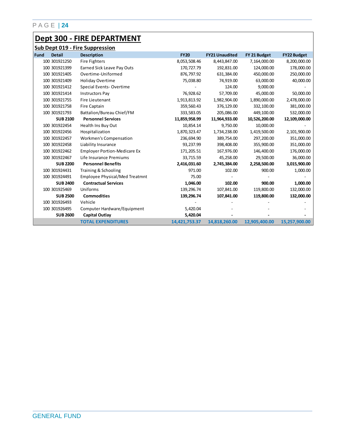## **Dept 300 - FIRE DEPARTMENT**

|             | <b>Sub Dept 019 - Fire Suppression</b> |                                       |               |                       |               |                    |  |  |  |
|-------------|----------------------------------------|---------------------------------------|---------------|-----------------------|---------------|--------------------|--|--|--|
| <b>Fund</b> | <b>Detail</b>                          | <b>Description</b>                    | <b>FY20</b>   | <b>FY21 Unaudited</b> | FY 21 Budget  | <b>FY22 Budget</b> |  |  |  |
|             | 100 301921250                          | <b>Fire Fighters</b>                  | 8,053,508.46  | 8,443,847.00          | 7,164,000.00  | 8,200,000.00       |  |  |  |
|             | 100 301921399                          | Earned Sick Leave Pay Outs            | 170,727.79    | 192,831.00            | 124,000.00    | 178,000.00         |  |  |  |
|             | 100 301921405                          | Overtime-Uniformed                    | 876,797.92    | 631,384.00            | 450,000.00    | 250,000.00         |  |  |  |
|             | 100 301921409                          | <b>Holiday Overtime</b>               | 75,038.80     | 74,919.00             | 63,000.00     | 40,000.00          |  |  |  |
|             | 100 301921412                          | Special Events-Overtime               |               | 124.00                | 9,000.00      |                    |  |  |  |
|             | 100 301921414                          | <b>Instructors Pay</b>                | 76,928.62     | 57,709.00             | 45,000.00     | 50,000.00          |  |  |  |
|             | 100 301921755                          | Fire Lieutenant                       | 1,913,813.92  | 1,982,904.00          | 1,890,000.00  | 2,478,000.00       |  |  |  |
|             | 100 301921758                          | Fire Captain                          | 359,560.43    | 376,129.00            | 332,100.00    | 381,000.00         |  |  |  |
|             | 100 301921793                          | Battalion/Bureau Chief/FM             | 333,583.05    | 205,086.00            | 449,100.00    | 532,000.00         |  |  |  |
|             | <b>SUB 2100</b>                        | <b>Personnel Services</b>             | 11,859,958.99 | 11,964,933.00         | 10,526,200.00 | 12,109,000.00      |  |  |  |
|             | 100 301922454                          | Health Ins Buy Out                    | 10,854.14     | 9,750.00              | 10,000.00     |                    |  |  |  |
|             | 100 301922456                          | Hospitalization                       | 1,870,323.47  | 1,734,238.00          | 1,419,500.00  | 2,101,900.00       |  |  |  |
|             | 100 301922457                          | Workmen's Compensation                | 236,694.90    | 389,754.00            | 297,200.00    | 351,000.00         |  |  |  |
|             | 100 301922458                          | Liability Insurance                   | 93,237.99     | 398,408.00            | 355,900.00    | 351,000.00         |  |  |  |
|             | 100 301922462                          | <b>Employer Portion-Medicare Ex</b>   | 171,205.51    | 167,976.00            | 146,400.00    | 176,000.00         |  |  |  |
|             | 100 301922467                          | Life Insurance Premiums               | 33,715.59     | 45,258.00             | 29,500.00     | 36,000.00          |  |  |  |
|             | <b>SUB 2200</b>                        | <b>Personnel Benefits</b>             | 2,416,031.60  | 2,745,384.00          | 2,258,500.00  | 3,015,900.00       |  |  |  |
|             | 100 301924431                          | Training & Schooling                  | 971.00        | 102.00                | 900.00        | 1,000.00           |  |  |  |
|             | 100 301924491                          | <b>Employee Physical/Med Treatmnt</b> | 75.00         |                       |               |                    |  |  |  |
|             | <b>SUB 2400</b>                        | <b>Contractual Services</b>           | 1,046.00      | 102.00                | 900.00        | 1,000.00           |  |  |  |
|             | 100 301925469                          | Uniforms                              | 139,296.74    | 107,841.00            | 119,800.00    | 132,000.00         |  |  |  |
|             | <b>SUB 2500</b>                        | <b>Commodities</b>                    | 139,296.74    | 107,841.00            | 119,800.00    | 132,000.00         |  |  |  |
|             | 100 301926493                          | Vehicle                               |               |                       |               |                    |  |  |  |
|             | 100 301926495                          | Computer Hardware/Equipment           | 5,420.04      |                       |               |                    |  |  |  |
|             | <b>SUB 2600</b>                        | <b>Capital Outlay</b>                 | 5,420.04      |                       |               |                    |  |  |  |
|             |                                        | <b>TOTAL EXPENDITURES</b>             | 14,421,753.37 | 14,818,260.00         | 12,905,400.00 | 15,257,900.00      |  |  |  |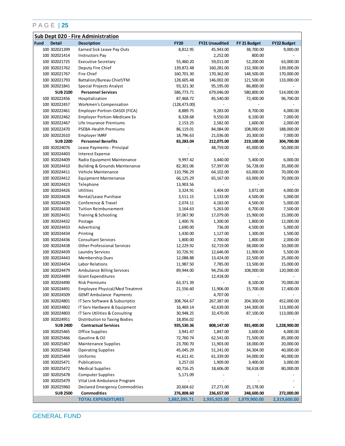| Sub Dept 020 - Fire Administration |                 |                                           |               |                          |              |                    |
|------------------------------------|-----------------|-------------------------------------------|---------------|--------------------------|--------------|--------------------|
| <b>Fund</b>                        | <b>Detail</b>   | <b>Description</b>                        | <b>FY20</b>   | <b>FY21 Unaudited</b>    | FY 21 Budget | <b>FY22 Budget</b> |
|                                    | 100 302021399   | Earned Sick Leave Pay Outs                | 8,812.95      | 45,943.00                | 38,700.00    | 9,000.00           |
|                                    | 100 302021414   | <b>Instructors Pay</b>                    |               | 2,252.00                 | 800.00       |                    |
|                                    | 100 302021725   | <b>Executive Secretary</b>                | 55,460.20     | 59,011.00                | 52,200.00    | 63,000.00          |
|                                    | 100 302021762   | Deputy Fire Chief                         | 139,872.48    | 160,281.00               | 132,300.00   | 139,000.00         |
|                                    | 100 302021767   | Fire Chief                                | 160,701.30    | 170,362.00               | 148,500.00   | 170,000.00         |
|                                    | 100 302021793   | Battalion/Bureau Chief/FM                 | 128,605.48    | 146,002.00               | 121,500.00   | 133,000.00         |
|                                    | 100 302021841   | Special Projects Analyst                  | 93,321.30     | 95,195.00                | 86,800.00    |                    |
|                                    | <b>SUB 2100</b> | <b>Personnel Services</b>                 | 586,773.71    | 679,046.00               | 580,800.00   | 514,000.00         |
|                                    | 100 302022456   | Hospitalization                           | 87,468.72     | 85,540.00                | 72,400.00    | 96,700.00          |
|                                    | 100 302022457   | Workmen's Compensation                    | (128, 473.00) |                          |              |                    |
|                                    | 100 302022461   | Employer Portion-OASDI (FICA)             | 8,889.75      | 9,283.00                 | 8,700.00     | 4,000.00           |
|                                    | 100 302022462   | <b>Employer Portion-Medicare Ex</b>       | 8,328.68      | 9,550.00                 | 8,100.00     | 7,000.00           |
|                                    | 100 302022467   | Life Insurance Premiums                   | 2,153.25      | 2,582.00                 | 1,600.00     | 2,000.00           |
|                                    | 100 302022470   | PSEBA-Health Premiums                     | 86,119.01     | 84,084.00                | 108,000.00   | 188,000.00         |
|                                    | 100 302022610   | Employer IMRF                             | 18,796.63     | 21,036.00                | 20,300.00    | 7,000.00           |
|                                    | <b>SUB 2200</b> | <b>Personnel Benefits</b>                 | 83,283.04     | 212,075.00               | 219,100.00   | 304,700.00         |
|                                    | 100 302024076   | Lease Payments - Principal                |               | 48,759.00                | 45,000.00    | 50,000.00          |
|                                    | 100 302024403   | <b>Interest Expense</b>                   |               |                          |              |                    |
|                                    |                 | Radio Equipment Maintenance               |               |                          |              |                    |
|                                    | 100 302024409   |                                           | 9,997.42      | 3,440.00                 | 5,400.00     | 6,000.00           |
|                                    | 100 302024410   | <b>Building &amp; Grounds Maintenance</b> | 82,301.06     | 57,397.00                | 56,728.00    | 35,000.00          |
|                                    | 100 302024411   | Vehicle Maintenance                       | 110,796.29    | 64,102.00                | 63,000.00    | 70,000.00          |
|                                    | 100 302024412   | <b>Equipment Maintenance</b>              | 66,125.29     | 65,167.00                | 63,000.00    | 70,000.00          |
|                                    | 100 302024423   | Telephone                                 | 13,903.56     |                          |              |                    |
|                                    | 100 302024426   | Utilities                                 | 3,324.91      | 3,404.00                 | 3,872.00     | 4,000.00           |
|                                    | 100 302024428   | Rental/Lease Purchase                     | 3,511.15      | 1,133.00                 | 4,500.00     | 5,000.00           |
|                                    | 100 302024429   | Conference & Travel                       | 2,074.11      | 4,183.00                 | 4,500.00     | 5,000.00           |
|                                    | 100 302024430   | <b>Tuition Reimbursement</b>              | 3,164.63      | 5,263.00                 | 6,700.00     | 7,500.00           |
|                                    | 100 302024431   | Training & Schooling                      | 37,067.90     | 17,079.00                | 15,900.00    | 15,000.00          |
|                                    | 100 302024432   | Postage                                   | 1,400.76      | 1,300.00                 | 1,800.00     | 12,000.00          |
|                                    | 100 302024433   | Advertising                               | 1,690.00      | 736.00                   | 4,500.00     | 5,000.00           |
|                                    | 100 302024434   | Printing                                  | 1,430.00      | 1,127.00                 | 1,300.00     | 1,500.00           |
|                                    | 100 302024436   | <b>Consultant Services</b>                | 1,800.00      | 2,700.00                 | 1,800.00     | 2,000.00           |
|                                    | 100 302024438   | <b>Other Professional Services</b>        | 12,229.92     | 32,719.00                | 38,000.00    | 10,000.00          |
|                                    | 100 302024439   | Laundry Services                          | 10,726.91     | 12,646.00                | 11,900.00    | 5,500.00           |
|                                    | 100 302024443   | <b>Membership Dues</b>                    | 12,088.88     | 13,424.00                | 22,500.00    | 25,000.00          |
|                                    | 100 302024454   | Labor Relations                           | 11,987.50     | 7,785.00                 | 13,500.00    | 15,000.00          |
|                                    | 100 302024479   | <b>Ambulance Billing Services</b>         | 89,944.00     | 94,256.00                | 108,000.00   | 120,000.00         |
|                                    | 100 302024489   | <b>Grant Expenditures</b>                 |               | 12,418.00                |              |                    |
|                                    | 100 302024490   | <b>Risk Premiums</b>                      | 63,371.39     | $\overline{\phantom{a}}$ | 8,100.00     | 70,000.00          |
|                                    | 100 302024491   | Employee Physical/Med Treatmnt            | 21,556.60     | 11,906.00                | 15,700.00    | 17,400.00          |
|                                    | 100 302024509   | <b>GEMT Ambulance Payments</b>            |               | 4,707.00                 |              |                    |
|                                    | 100 302024801   | IT Serv Software & Subscriptio            | 308,764.67    | 267,387.00               | 204,300.00   | 452,000.00         |
|                                    | 100 302024802   | IT Serv Hardware & Equipment              | 16,469.14     | 42,639.00                | 144,300.00   | 113,000.00         |
|                                    | 100 302024803   | IT Serv Utilities & Consulting            | 30,948.25     | 32,470.00                | 87,100.00    | 113,000.00         |
|                                    | 100 302024951   | Distribution to Taxing Bodies             | 18,856.02     |                          |              |                    |
|                                    | <b>SUB 2400</b> | <b>Contractual Services</b>               | 935,530.36    | 808,147.00               | 931,400.00   | 1,228,900.00       |
|                                    | 100 302025465   | Office Supplies                           | 3,941.47      | 1,847.00                 | 3,600.00     | 4,000.00           |
|                                    | 100 302025466   | Gasoline & Oil                            | 72,760.74     | 62,541.00                | 71,500.00    | 85,000.00          |
|                                    | 100 302025467   | <b>Maintenance Supplies</b>               | 23,700.70     | 11,903.00                | 18,000.00    | 20,000.00          |
|                                    | 100 302025468   | <b>Operating Supplies</b>                 | 45,045.29     | 51,241.00                | 34,304.00    | 40,000.00          |
|                                    | 100 302025469   | Uniforms                                  | 41,611.41     | 61,339.00                | 34,000.00    | 40,000.00          |
|                                    | 100 302025471   | Publications                              | 3,257.03      | 1,909.00                 | 3,400.00     | 3,000.00           |
|                                    | 100 302025472   | <b>Medical Supplies</b>                   | 60,716.25     | 18,606.00                | 58,618.00    | 80,000.00          |
|                                    | 100 302025478   | <b>Computer Supplies</b>                  | 5,171.09      |                          |              |                    |
|                                    | 100 302025479   | Vital Link Ambulance Program              |               |                          |              |                    |
|                                    | 100 302025960   | Declared Emergency Commodities            | 20,604.62     | 27,271.00                | 25,178.00    |                    |
|                                    | <b>SUB 2500</b> | <b>Commodities</b>                        | 276,808.60    | 236,657.00               | 248,600.00   | 272,000.00         |
|                                    |                 | <b>TOTAL EXPENDITURES</b>                 | 1,882,395.71  | 1,935,925.00             | 1,979,900.00 | 2,319,600.00       |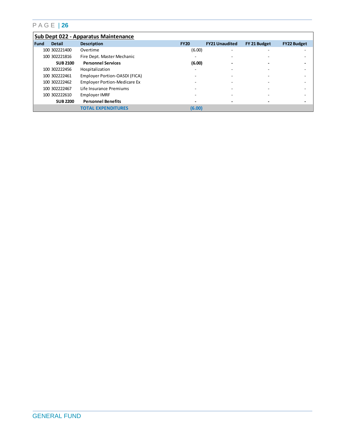|        | Sub Dept 022 - Apparatus Maintenance |                                     |                          |                          |              |                    |  |  |
|--------|--------------------------------------|-------------------------------------|--------------------------|--------------------------|--------------|--------------------|--|--|
| l Fund | <b>Detail</b>                        | <b>Description</b>                  | <b>FY20</b>              | <b>FY21 Unaudited</b>    | FY 21 Budget | <b>FY22 Budget</b> |  |  |
|        | 100 302221400                        | Overtime                            | (6.00)                   | $\overline{\phantom{0}}$ |              |                    |  |  |
|        | 100 302221816                        | Fire Dept. Master Mechanic          | -                        |                          |              |                    |  |  |
|        | <b>SUB 2100</b>                      | <b>Personnel Services</b>           | (6.00)                   | -                        |              |                    |  |  |
|        | 100 302222456                        | Hospitalization                     | -                        |                          |              |                    |  |  |
|        | 100 302222461                        | Employer Portion-OASDI (FICA)       |                          |                          |              |                    |  |  |
|        | 100 302222462                        | <b>Employer Portion-Medicare Ex</b> |                          | -                        |              |                    |  |  |
|        | 100 302222467                        | Life Insurance Premiums             |                          | -                        |              |                    |  |  |
|        | 100 302222610                        | Employer IMRF                       | -                        | -                        |              |                    |  |  |
|        | <b>SUB 2200</b>                      | <b>Personnel Benefits</b>           | $\overline{\phantom{0}}$ | $\overline{\phantom{0}}$ |              |                    |  |  |
|        |                                      | <b>TOTAL EXPENDITURES</b>           | (6.00)                   |                          |              |                    |  |  |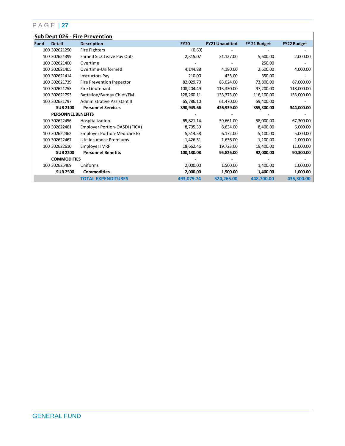|      | <b>Sub Dept 026 - Fire Prevention</b> |                                     |             |                       |              |                    |  |  |
|------|---------------------------------------|-------------------------------------|-------------|-----------------------|--------------|--------------------|--|--|
| Fund | <b>Detail</b>                         | <b>Description</b>                  | <b>FY20</b> | <b>FY21 Unaudited</b> | FY 21 Budget | <b>FY22 Budget</b> |  |  |
|      | 100 302621250                         | Fire Fighters                       | (0.69)      |                       |              |                    |  |  |
|      | 100 302621399                         | Earned Sick Leave Pay Outs          | 2,315.07    | 31,127.00             | 5,600.00     | 2,000.00           |  |  |
|      | 100 302621400                         | Overtime                            |             |                       | 250.00       |                    |  |  |
|      | 100 302621405                         | Overtime-Uniformed                  | 4,144.88    | 4,180.00              | 2,600.00     | 4,000.00           |  |  |
|      | 100 302621414                         | <b>Instructors Pay</b>              | 210.00      | 435.00                | 350.00       |                    |  |  |
|      | 100 302621739                         | Fire Prevention Inspector           | 82,029.70   | 83,024.00             | 73,800.00    | 87,000.00          |  |  |
|      | 100 302621755                         | Fire Lieutenant                     | 108,204.49  | 113,330.00            | 97,200.00    | 118,000.00         |  |  |
|      | 100 302621793                         | Battalion/Bureau Chief/FM           | 128,260.11  | 133,373.00            | 116,100.00   | 133,000.00         |  |  |
|      | 100 302621797                         | Administrative Assistant II         | 65,786.10   | 61,470.00             | 59,400.00    |                    |  |  |
|      | <b>SUB 2100</b>                       | <b>Personnel Services</b>           | 390,949.66  | 426,939.00            | 355,300.00   | 344,000.00         |  |  |
|      | <b>PERSONNEL BENEFITS</b>             |                                     |             |                       |              |                    |  |  |
|      | 100 302622456                         | Hospitalization                     | 65,821.14   | 59,661.00             | 58,000.00    | 67,300.00          |  |  |
|      | 100 302622461                         | Employer Portion-OASDI (FICA)       | 8,705.39    | 8,634.00              | 8,400.00     | 6,000.00           |  |  |
|      | 100 302622462                         | <b>Employer Portion-Medicare Ex</b> | 5,514.58    | 6,172.00              | 5,100.00     | 5,000.00           |  |  |
|      | 100 302622467                         | Life Insurance Premiums             | 1,426.51    | 1,636.00              | 1,100.00     | 1,000.00           |  |  |
|      | 100 302622610                         | Employer IMRF                       | 18,662.46   | 19,723.00             | 19,400.00    | 11,000.00          |  |  |
|      | <b>SUB 2200</b>                       | <b>Personnel Benefits</b>           | 100,130.08  | 95,826.00             | 92,000.00    | 90,300.00          |  |  |
|      | <b>COMMODITIES</b>                    |                                     |             |                       |              |                    |  |  |
|      | 100 302625469                         | Uniforms                            | 2,000.00    | 1,500.00              | 1,400.00     | 1,000.00           |  |  |
|      | <b>SUB 2500</b>                       | <b>Commodities</b>                  | 2,000.00    | 1,500.00              | 1,400.00     | 1,000.00           |  |  |
|      |                                       | <b>TOTAL EXPENDITURES</b>           | 493,079.74  | 524,265.00            | 448.700.00   | 435,300.00         |  |  |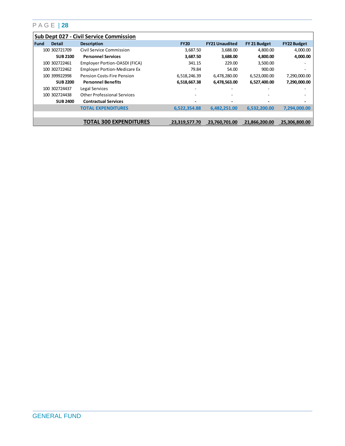|             | Sub Dept 027 - Civil Service Commission |                                     |               |                       |               |                          |  |  |
|-------------|-----------------------------------------|-------------------------------------|---------------|-----------------------|---------------|--------------------------|--|--|
| <b>Fund</b> | <b>Detail</b>                           | <b>Description</b>                  | <b>FY20</b>   | <b>FY21 Unaudited</b> | FY 21 Budget  | <b>FY22 Budget</b>       |  |  |
|             | 100 302721709                           | Civil Service Commission            | 3,687.50      | 3,688.00              | 4,800.00      | 4,000.00                 |  |  |
|             | <b>SUB 2100</b>                         | <b>Personnel Services</b>           | 3,687.50      | 3,688.00              | 4,800.00      | 4,000.00                 |  |  |
|             | 100 302722461                           | Employer Portion-OASDI (FICA)       | 341.15        | 229.00                | 3,500.00      |                          |  |  |
|             | 100 302722462                           | <b>Employer Portion-Medicare Ex</b> | 79.84         | 54.00                 | 900.00        | $\overline{\phantom{a}}$ |  |  |
|             | 100 399922998                           | <b>Pension Costs-Fire Pension</b>   | 6,518,246.39  | 6,478,280.00          | 6,523,000.00  | 7,290,000.00             |  |  |
|             | <b>SUB 2200</b>                         | <b>Personnel Benefits</b>           | 6,518,667.38  | 6,478,563.00          | 6,527,400.00  | 7,290,000.00             |  |  |
|             | 100 302724437                           | Legal Services                      | -             |                       |               | $\overline{\phantom{a}}$ |  |  |
|             | 100 302724438                           | <b>Other Professional Services</b>  | ۰             |                       |               |                          |  |  |
|             | <b>SUB 2400</b>                         | <b>Contractual Services</b>         |               |                       |               |                          |  |  |
|             |                                         | <b>TOTAL EXPENDITURES</b>           | 6,522,354.88  | 6,482,251.00          | 6,532,200.00  | 7,294,000.00             |  |  |
|             |                                         |                                     |               |                       |               |                          |  |  |
|             |                                         | <b>TOTAL 300 EXPENDITURES</b>       | 23.319.577.70 | 23.760.701.00         | 21.866.200.00 | 25.306.800.00            |  |  |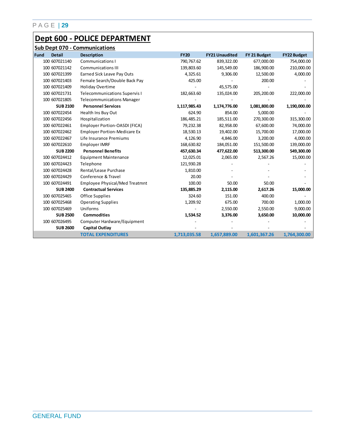## **Dept 600 - POLICE DEPARTMENT**

|      | <b>Sub Dept 070 - Communications</b> |                                       |              |                       |              |                    |  |  |
|------|--------------------------------------|---------------------------------------|--------------|-----------------------|--------------|--------------------|--|--|
| Fund | <b>Detail</b>                        | <b>Description</b>                    | <b>FY20</b>  | <b>FY21 Unaudited</b> | FY 21 Budget | <b>FY22 Budget</b> |  |  |
|      | 100 607021140                        | <b>Communications I</b>               | 790,767.62   | 839,322.00            | 677,000.00   | 754,000.00         |  |  |
|      | 100 607021142                        | <b>Communications III</b>             | 139,803.60   | 145,549.00            | 186,900.00   | 210,000.00         |  |  |
|      | 100 607021399                        | Earned Sick Leave Pay Outs            | 4,325.61     | 9,306.00              | 12,500.00    | 4,000.00           |  |  |
|      | 100 607021403                        | Female Search/Double Back Pay         | 425.00       |                       | 200.00       |                    |  |  |
|      | 100 607021409                        | Holiday Overtime                      |              | 45,575.00             |              |                    |  |  |
|      | 100 607021731                        | <b>Telecommunications Supervis I</b>  | 182,663.60   | 135,024.00            | 205,200.00   | 222,000.00         |  |  |
|      | 100 607021805                        | <b>Telecommunications Manager</b>     |              |                       |              |                    |  |  |
|      | <b>SUB 2100</b>                      | <b>Personnel Services</b>             | 1,117,985.43 | 1,174,776.00          | 1,081,800.00 | 1,190,000.00       |  |  |
|      | 100 607022454                        | Health Ins Buy Out                    | 624.90       | 854.00                | 5,000.00     |                    |  |  |
|      | 100 607022456                        | Hospitalization                       | 186,485.21   | 185,511.00            | 270,300.00   | 315,300.00         |  |  |
|      | 100 607022461                        | Employer Portion-OASDI (FICA)         | 79,232.38    | 82,958.00             | 67,600.00    | 74,000.00          |  |  |
|      | 100 607022462                        | <b>Employer Portion-Medicare Ex</b>   | 18,530.13    | 19,402.00             | 15,700.00    | 17,000.00          |  |  |
|      | 100 607022467                        | Life Insurance Premiums               | 4,126.90     | 4,846.00              | 3,200.00     | 4,000.00           |  |  |
|      | 100 607022610                        | Employer IMRF                         | 168,630.82   | 184,051.00            | 151,500.00   | 139,000.00         |  |  |
|      | <b>SUB 2200</b>                      | <b>Personnel Benefits</b>             | 457,630.34   | 477,622.00            | 513,300.00   | 549,300.00         |  |  |
|      | 100 607024412                        | <b>Equipment Maintenance</b>          | 12,025.01    | 2,065.00              | 2,567.26     | 15,000.00          |  |  |
|      | 100 607024423                        | Telephone                             | 121,930.28   |                       |              |                    |  |  |
|      | 100 607024428                        | Rental/Lease Purchase                 | 1,810.00     |                       |              |                    |  |  |
|      | 100 607024429                        | Conference & Travel                   | 20.00        |                       |              |                    |  |  |
|      | 100 607024491                        | <b>Employee Physical/Med Treatmnt</b> | 100.00       | 50.00                 | 50.00        |                    |  |  |
|      | <b>SUB 2400</b>                      | <b>Contractual Services</b>           | 135,885.29   | 2,115.00              | 2,617.26     | 15,000.00          |  |  |
|      | 100 607025465                        | Office Supplies                       | 324.60       | 151.00                | 400.00       |                    |  |  |
|      | 100 607025468                        | <b>Operating Supplies</b>             | 1,209.92     | 675.00                | 700.00       | 1,000.00           |  |  |
|      | 100 607025469                        | Uniforms                              |              | 2,550.00              | 2,550.00     | 9,000.00           |  |  |
|      | <b>SUB 2500</b>                      | <b>Commodities</b>                    | 1,534.52     | 3,376.00              | 3,650.00     | 10,000.00          |  |  |
|      | 100 607026495                        | Computer Hardware/Equipment           |              |                       |              |                    |  |  |
|      | <b>SUB 2600</b>                      | Capital Outlay                        |              |                       |              |                    |  |  |
|      |                                      | <b>TOTAL EXPENDITURES</b>             | 1,713,035.58 | 1,657,889.00          | 1,601,367.26 | 1,764,300.00       |  |  |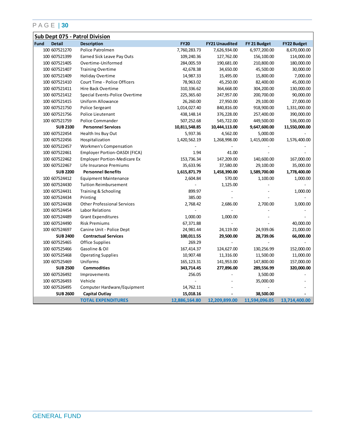| <b>Sub Dept 075 - Patrol Division</b> |                                     |               |                       |               |                    |  |  |
|---------------------------------------|-------------------------------------|---------------|-----------------------|---------------|--------------------|--|--|
| Fund<br><b>Detail</b>                 | <b>Description</b>                  | <b>FY20</b>   | <b>FY21 Unaudited</b> | FY 21 Budget  | <b>FY22 Budget</b> |  |  |
| 100 607521270                         | Police Patrolmen                    | 7,760,283.73  | 7,626,934.00          | 6,977,200.00  | 8,670,000.00       |  |  |
| 100 607521399                         | Earned Sick Leave Pay Outs          | 109,240.36    | 127,762.00            | 156,100.00    | 114,000.00         |  |  |
| 100 607521405                         | Overtime-Uniformed                  | 284,005.59    | 190,681.00            | 210,800.00    | 180,000.00         |  |  |
| 100 607521407                         | <b>Training Overtime</b>            | 42,678.38     | 34,650.00             | 45,500.00     | 30,000.00          |  |  |
| 100 607521409                         | <b>Holiday Overtime</b>             | 14,987.33     | 15,495.00             | 15,800.00     | 7,000.00           |  |  |
| 100 607521410                         | Court Time - Police Officers        | 78,963.02     | 45,250.00             | 82,400.00     | 45,000.00          |  |  |
| 100 607521411                         | Hire Back Overtime                  | 310,336.62    | 364,668.00            | 304,200.00    | 130,000.00         |  |  |
| 100 607521412                         | Special Events-Police Overtime      | 225,365.60    | 247,957.00            | 200,700.00    | 90,000.00          |  |  |
| 100 607521415                         | Uniform Allowance                   | 26,260.00     | 27,950.00             | 29,100.00     | 27,000.00          |  |  |
| 100 607521750                         | Police Sergeant                     | 1,014,027.40  | 840,816.00            | 918,900.00    | 1,331,000.00       |  |  |
| 100 607521756                         | Police Lieutenant                   | 438,148.14    | 376,228.00            | 257,400.00    | 390,000.00         |  |  |
| 100 607521759                         | Police Commander                    | 507,252.68    | 545,722.00            | 449,500.00    | 536,000.00         |  |  |
| <b>SUB 2100</b>                       | <b>Personnel Services</b>           | 10,811,548.85 | 10,444,113.00         | 9,647,600.00  | 11,550,000.00      |  |  |
| 100 607522454                         | Health Ins Buy Out                  | 5,937.36      | 4,562.00              | 5,000.00      |                    |  |  |
| 100 607522456                         | Hospitalization                     | 1,420,562.19  | 1,268,998.00          | 1,415,000.00  | 1,576,400.00       |  |  |
| 100 607522457                         | Workmen's Compensation              |               |                       |               |                    |  |  |
| 100 607522461                         | Employer Portion-OASDI (FICA)       | 1.94          | 41.00                 |               |                    |  |  |
| 100 607522462                         | <b>Employer Portion-Medicare Ex</b> | 153,736.34    | 147,209.00            | 140,600.00    | 167,000.00         |  |  |
| 100 607522467                         | Life Insurance Premiums             | 35,633.96     | 37,580.00             | 29,100.00     | 35,000.00          |  |  |
| <b>SUB 2200</b>                       | <b>Personnel Benefits</b>           | 1,615,871.79  | 1,458,390.00          | 1,589,700.00  | 1,778,400.00       |  |  |
| 100 607524412                         | <b>Equipment Maintenance</b>        | 2,604.84      | 570.00                | 1,100.00      | 1,000.00           |  |  |
| 100 607524430                         | <b>Tuition Reimbursement</b>        |               | 1,125.00              |               |                    |  |  |
| 100 607524431                         | Training & Schooling                | 899.97        |                       |               | 1,000.00           |  |  |
| 100 607524434                         | Printing                            | 385.00        |                       |               |                    |  |  |
| 100 607524438                         | <b>Other Professional Services</b>  | 2,768.42      | 2,686.00              | 2,700.00      | 3,000.00           |  |  |
| 100 607524454                         | Labor Relations                     |               |                       |               |                    |  |  |
| 100 607524489                         | <b>Grant Expenditures</b>           | 1,000.00      | 1,000.00              |               |                    |  |  |
| 100 607524490                         | <b>Risk Premiums</b>                | 67,371.88     |                       |               | 40,000.00          |  |  |
| 100 607524697                         | Canine Unit - Police Dept           | 24,981.44     | 24,119.00             | 24,939.06     | 21,000.00          |  |  |
| <b>SUB 2400</b>                       | <b>Contractual Services</b>         | 100,011.55    | 29,500.00             | 28,739.06     | 66,000.00          |  |  |
| 100 607525465                         | Office Supplies                     | 269.29        |                       |               |                    |  |  |
| 100 607525466                         | Gasoline & Oil                      | 167,414.37    | 124,627.00            | 130,256.99    | 152,000.00         |  |  |
| 100 607525468                         | <b>Operating Supplies</b>           | 10,907.48     | 11,316.00             | 11,500.00     | 11,000.00          |  |  |
| 100 607525469                         | Uniforms                            | 165, 123. 31  | 141,953.00            | 147,800.00    | 157,000.00         |  |  |
| <b>SUB 2500</b>                       | <b>Commodities</b>                  | 343,714.45    | 277,896.00            | 289,556.99    | 320,000.00         |  |  |
| 100 607526492                         | Improvements                        | 256.05        |                       | 3,500.00      |                    |  |  |
| 100 607526493                         | Vehicle                             |               |                       | 35,000.00     |                    |  |  |
| 100 607526495                         | Computer Hardware/Equipment         | 14,762.11     |                       |               |                    |  |  |
| <b>SUB 2600</b>                       | Capital Outlay                      | 15,018.16     |                       | 38,500.00     |                    |  |  |
|                                       | <b>TOTAL EXPENDITURES</b>           | 12,886,164.80 | 12,209,899.00         | 11,594,096.05 | 13,714,400.00      |  |  |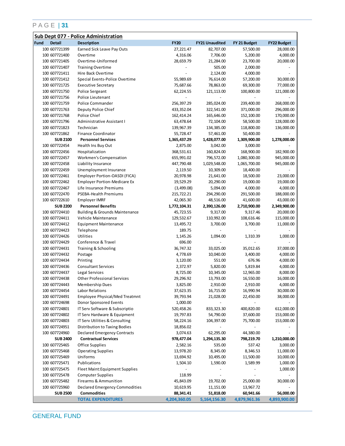| <b>Sub Dept 077 - Police Administration</b> |                                |                                           |                    |                       |                |                       |  |
|---------------------------------------------|--------------------------------|-------------------------------------------|--------------------|-----------------------|----------------|-----------------------|--|
| Fund                                        | <b>Detail</b>                  | <b>Description</b>                        | <b>FY20</b>        | <b>FY21 Unaudited</b> | FY 21 Budget   | <b>FY22 Budget</b>    |  |
|                                             | 100 607721399                  | Earned Sick Leave Pay Outs                | 27,221.47          | 82,707.00             | 57,500.00      | 28,000.00             |  |
|                                             | 100 607721400                  | Overtime                                  | 4,316.06           | 7,706.00              | 5,200.00       | 4,000.00              |  |
|                                             | 100 607721405                  | Overtime-Uniformed                        | 28,659.79          | 21,284.00             | 23,700.00      | 20,000.00             |  |
|                                             | 100 607721407                  | <b>Training Overtime</b>                  |                    | 505.00                | 2,000.00       |                       |  |
|                                             | 100 607721411                  | Hire Back Overtime                        |                    | 2,124.00              | 4,000.00       |                       |  |
|                                             | 100 607721412                  | Special Events-Police Overtime            | 55,989.69          | 76,614.00             | 57,200.00      | 30,000.00             |  |
|                                             | 100 607721725                  | <b>Executive Secretary</b>                | 75,687.66          | 78,863.00             | 69,300.00      | 77,000.00             |  |
|                                             | 100 607721750                  | <b>Police Sergeant</b>                    | 62,224.55          | 121,113.00            | 100,800.00     | 121,000.00            |  |
|                                             | 100 607721756                  | Police Lieutenant                         |                    |                       |                |                       |  |
|                                             | 100 607721759                  | Police Commander                          | 256,397.29         | 285,024.00            | 239,400.00     | 268,000.00            |  |
|                                             | 100 607721763                  | Deputy Police Chief                       | 433,352.04         | 322,541.00            | 371,000.00     | 296,000.00            |  |
|                                             | 100 607721768                  | Police Chief                              | 162,414.24         | 165,646.00            | 152,100.00     | 170,000.00            |  |
|                                             | 100 607721796                  | Administrative Assistant I                | 63,478.64          | 72,104.00             | 58,500.00      | 128,000.00            |  |
|                                             | 100 607721823                  | Technician                                | 139,967.39         | 134,385.00            | 118,800.00     | 136,000.00            |  |
|                                             | 100 607721862                  | <b>Finance Coordinator</b>                | 55,728.47          | 57,461.00             | 50,400.00      |                       |  |
|                                             | <b>SUB 2100</b>                | <b>Personnel Services</b>                 | 1,365,437.29       | 1,428,077.00          | 1,309,900.00   | 1,278,000.00          |  |
|                                             | 100 607722454                  | Health Ins Buy Out                        | 2,875.00           | 3,042.00              | 3,000.00       |                       |  |
|                                             | 100 607722456                  | Hospitalization                           | 368,531.61         | 160,824.00            | 168,900.00     | 182,900.00            |  |
|                                             | 100 607722457                  | <b>Workmen's Compensation</b>             | 655,991.02         | 796,572.00            | 1,080,300.00   | 945,000.00            |  |
|                                             | 100 607722458                  | Liability Insurance                       | 447,790.48         | 1,029,548.00          | 1,065,700.00   | 945,000.00            |  |
|                                             | 100 607722459                  | Unemployment Insurance                    | 2,119.50           | 10,309.00             | 18,400.00      |                       |  |
|                                             | 100 607722461                  | Employer Portion-OASDI (FICA)             | 20,978.98          | 21,641.00             | 18,500.00      | 23,000.00             |  |
|                                             | 100 607722462                  | <b>Employer Portion-Medicare Ex</b>       | 19,529.29          | 20,290.00             | 19,000.00      | 19,000.00             |  |
|                                             | 100 607722467                  | Life Insurance Premiums                   | (3,499.08)         | 5,094.00              | 4,000.00       | 4,000.00              |  |
|                                             | 100 607722470                  | <b>PSEBA-Health Premiums</b>              | 215,722.21         | 294,290.00            | 291,500.00     | 188,000.00            |  |
|                                             | 100 607722610                  | <b>Employer IMRF</b>                      | 42,065.30          | 48,516.00             | 41,600.00      | 43,000.00             |  |
|                                             | <b>SUB 2200</b>                | <b>Personnel Benefits</b>                 | 1,772,104.31       | 2,390,126.00          | 2,710,900.00   | 2,349,900.00          |  |
|                                             | 100 607724410                  | <b>Building &amp; Grounds Maintenance</b> | 45,723.55          | 9,317.00              | 9,317.46       | 20,000.00             |  |
|                                             | 100 607724411                  | Vehicle Maintenance                       | 129,532.67         | 110,992.00            | 108,616.46     | 115,000.00            |  |
|                                             | 100 607724412                  | <b>Equipment Maintenance</b>              | 13,495.72          | 3,700.00              | 3,700.00       | 11,000.00             |  |
|                                             | 100 607724423                  | Telephone                                 | 189.75             |                       |                |                       |  |
|                                             | 100 607724426<br>100 607724429 | <b>Utilities</b><br>Conference & Travel   | 1,145.26<br>696.00 | 1,094.00              | 1,310.39       | 1,000.00              |  |
|                                             | 100 607724431                  | Training & Schooling                      | 36,747.32          | 33,025.00             | 35,012.65      |                       |  |
|                                             | 100 607724432                  |                                           | 4,778.69           |                       | 3,400.00       | 37,000.00<br>4,000.00 |  |
|                                             | 100 607724434                  | Postage<br>Printing                       | 3,120.00           | 10,040.00<br>551.00   | 676.96         | 4,000.00              |  |
|                                             | 100 607724436                  | <b>Consultant Services</b>                | 2,372.97           | 5,820.00              | 5,819.84       | 4,000.00              |  |
|                                             | 100 607724437                  | Legal Services                            | 8,725.00           | 10,345.00             | 12,965.00      | 8,000.00              |  |
|                                             | 100 607724438                  | <b>Other Professional Services</b>        | 29,296.92          | 13,793.00             | 16,550.00      | 16,000.00             |  |
|                                             | 100 607724443                  | Membership Dues                           | 3,825.00           | 2,910.00              | 2,910.00       | 4,000.00              |  |
|                                             | 100 607724454                  | Labor Relations                           | 37,623.35          | 16,715.00             | 16,990.94      | 30,000.00             |  |
|                                             | 100 607724491                  | <b>Employee Physical/Med Treatmnt</b>     | 39,793.94          | 21,028.00             | 22,450.00      | 38,000.00             |  |
|                                             | 100 607724698                  | Donor Sponsored Events                    | 1,000.00           | $\blacksquare$        | $\blacksquare$ |                       |  |
|                                             | 100 607724801                  | IT Serv Software & Subscriptio            | 520,458.26         | 833,323.30            | 400,820.00     | 612,000.00            |  |
|                                             | 100 607724802                  | IT Serv Hardware & Equipment              | 19,797.83          | 54,790.00             | 37,600.00      | 153,000.00            |  |
|                                             | 100 607724803                  | IT Serv Utilities & Consulting            | 58,224.16          | 104,397.00            | 75,700.00      | 153,000.00            |  |
|                                             | 100 607724951                  | Distribution to Taxing Bodies             | 18,856.02          | $\blacksquare$        |                |                       |  |
|                                             | 100 607724960                  | <b>Declared Emergency Contracts</b>       | 3,074.63           | 62,295.00             | 44,380.00      |                       |  |
|                                             | <b>SUB 2400</b>                | <b>Contractual Services</b>               | 978,477.04         | 1,294,135.30          | 798,219.70     | 1,210,000.00          |  |
|                                             | 100 607725465                  | <b>Office Supplies</b>                    | 2,582.16           | 535.00                | 537.42         | 3,000.00              |  |
|                                             | 100 607725468                  | <b>Operating Supplies</b>                 | 13,978.20          | 8,345.00              | 8,346.53       | 11,000.00             |  |
|                                             | 100 607725469                  | Uniforms                                  | 13,694.92          | 10,495.00             | 11,500.00      | 10,000.00             |  |
|                                             | 100 607725471                  | Publications                              | 1,504.10           | 1,590.00              | 1,589.99       | 1,000.00              |  |
|                                             | 100 607725475                  | Fleet Maint: Equipment Supplies           |                    |                       | $\frac{1}{2}$  | 1,000.00              |  |
|                                             | 100 607725478                  | <b>Computer Supplies</b>                  | 118.99             |                       |                |                       |  |
|                                             | 100 607725482                  | Firearms & Ammunition                     | 45,843.09          | 19,702.00             | 25,000.00      | 30,000.00             |  |
|                                             | 100 607725960                  | Declared Emergency Commodities            | 10,619.95          | 11,151.00             | 13,967.72      |                       |  |
|                                             | <b>SUB 2500</b>                | <b>Commodities</b>                        | 88,341.41          | 51,818.00             | 60,941.66      | 56,000.00             |  |
|                                             |                                | <b>TOTAL EXPENDITURES</b>                 | 4,204,360.05       | 5,164,156.30          | 4,879,961.36   | 4,893,900.00          |  |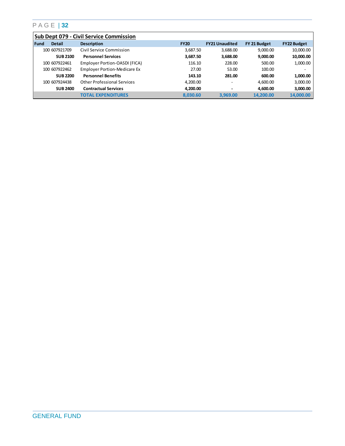|        | <b>Sub Dept 079 - Civil Service Commission</b> |                                     |             |                          |              |                    |  |  |  |
|--------|------------------------------------------------|-------------------------------------|-------------|--------------------------|--------------|--------------------|--|--|--|
| l Fund | <b>Detail</b>                                  | <b>Description</b>                  | <b>FY20</b> | <b>FY21 Unaudited</b>    | FY 21 Budget | <b>FY22 Budget</b> |  |  |  |
|        | 100 607921709                                  | Civil Service Commission            | 3.687.50    | 3,688.00                 | 9,000.00     | 10,000.00          |  |  |  |
|        | <b>SUB 2100</b>                                | <b>Personnel Services</b>           | 3,687.50    | 3,688.00                 | 9,000.00     | 10,000.00          |  |  |  |
|        | 100 607922461                                  | Employer Portion-OASDI (FICA)       | 116.10      | 228.00                   | 500.00       | 1,000.00           |  |  |  |
|        | 100 607922462                                  | <b>Employer Portion-Medicare Ex</b> | 27.00       | 53.00                    | 100.00       | ۰                  |  |  |  |
|        | <b>SUB 2200</b>                                | <b>Personnel Benefits</b>           | 143.10      | 281.00                   | 600.00       | 1,000.00           |  |  |  |
|        | 100 607924438                                  | <b>Other Professional Services</b>  | 4,200.00    | $\overline{\phantom{0}}$ | 4,600.00     | 3,000.00           |  |  |  |
|        | <b>SUB 2400</b>                                | <b>Contractual Services</b>         | 4.200.00    | $\overline{\phantom{0}}$ | 4.600.00     | 3,000.00           |  |  |  |
|        |                                                | <b>TOTAL EXPENDITURES</b>           | 8.030.60    | 3.969.00                 | 14.200.00    | 14,000.00          |  |  |  |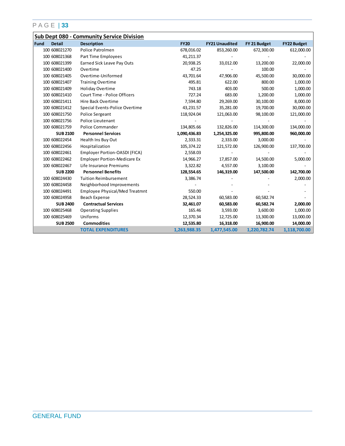|      |                 | <b>Sub Dept 080 - Community Service Division</b> |              |                       |              |                    |
|------|-----------------|--------------------------------------------------|--------------|-----------------------|--------------|--------------------|
| Fund | <b>Detail</b>   | <b>Description</b>                               | <b>FY20</b>  | <b>FY21 Unaudited</b> | FY 21 Budget | <b>FY22 Budget</b> |
|      | 100 608021270   | Police Patrolmen                                 | 678,016.02   | 853,260.00            | 672,300.00   | 612,000.00         |
|      | 100 608021368   | Part Time Employees                              | 41,211.37    |                       |              |                    |
|      | 100 608021399   | <b>Earned Sick Leave Pay Outs</b>                | 20,938.25    | 33,012.00             | 13,200.00    | 22,000.00          |
|      | 100 608021400   | Overtime                                         | 47.25        |                       | 100.00       |                    |
|      | 100 608021405   | Overtime-Uniformed                               | 43,701.64    | 47,906.00             | 45,500.00    | 30,000.00          |
|      | 100 608021407   | <b>Training Overtime</b>                         | 495.81       | 622.00                | 800.00       | 1,000.00           |
|      | 100 608021409   | Holiday Overtime                                 | 743.18       | 403.00                | 500.00       | 1,000.00           |
|      | 100 608021410   | Court Time - Police Officers                     | 727.24       | 683.00                | 1,200.00     | 1,000.00           |
|      | 100 608021411   | Hire Back Overtime                               | 7,594.80     | 29,269.00             | 30,100.00    | 8,000.00           |
|      | 100 608021412   | Special Events-Police Overtime                   | 43,231.57    | 35,281.00             | 19,700.00    | 30,000.00          |
|      | 100 608021750   | Police Sergeant                                  | 118,924.04   | 121,063.00            | 98,100.00    | 121,000.00         |
|      | 100 608021756   | Police Lieutenant                                |              |                       |              |                    |
|      | 100 608021759   | Police Commander                                 | 134,805.66   | 132,826.00            | 114,300.00   | 134,000.00         |
|      | <b>SUB 2100</b> | <b>Personnel Services</b>                        | 1,090,436.83 | 1,254,325.00          | 995,800.00   | 960,000.00         |
|      | 100 608022454   | Health Ins Buy Out                               | 2,333.31     | 2,333.00              | 3,000.00     |                    |
|      | 100 608022456   | Hospitalization                                  | 105,374.22   | 121,572.00            | 126,900.00   | 137,700.00         |
|      | 100 608022461   | Employer Portion-OASDI (FICA)                    | 2,558.03     |                       |              |                    |
|      | 100 608022462   | <b>Employer Portion-Medicare Ex</b>              | 14,966.27    | 17,857.00             | 14,500.00    | 5,000.00           |
|      | 100 608022467   | Life Insurance Premiums                          | 3,322.82     | 4,557.00              | 3,100.00     |                    |
|      | <b>SUB 2200</b> | <b>Personnel Benefits</b>                        | 128,554.65   | 146,319.00            | 147,500.00   | 142,700.00         |
|      | 100 608024430   | <b>Tuition Reimbursement</b>                     | 3,386.74     |                       |              | 2,000.00           |
|      | 100 608024458   | Neighborhood Improvements                        |              |                       |              |                    |
|      | 100 608024491   | Employee Physical/Med Treatmnt                   | 550.00       |                       |              |                    |
|      | 100 608024958   | Beach Expense                                    | 28,524.33    | 60,583.00             | 60,582.74    |                    |
|      | <b>SUB 2400</b> | <b>Contractual Services</b>                      | 32,461.07    | 60,583.00             | 60,582.74    | 2,000.00           |
|      | 100 608025468   | <b>Operating Supplies</b>                        | 165.46       | 3,593.00              | 3,600.00     | 1,000.00           |
|      | 100 608025469   | Uniforms                                         | 12,370.34    | 12,725.00             | 13,300.00    | 13,000.00          |
|      | <b>SUB 2500</b> | <b>Commodities</b>                               | 12,535.80    | 16,318.00             | 16,900.00    | 14,000.00          |
|      |                 | <b>TOTAL EXPENDITURES</b>                        | 1,263,988.35 | 1,477,545.00          | 1,220,782.74 | 1,118,700.00       |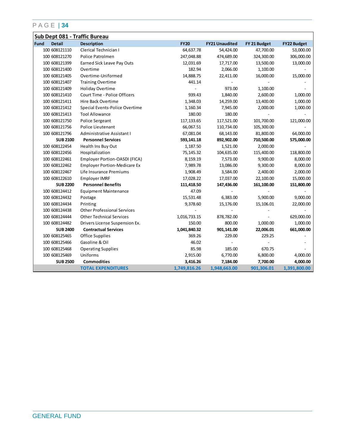|      |                 | Sub Dept 081 - Traffic Bureau       |              |                       |              |                    |
|------|-----------------|-------------------------------------|--------------|-----------------------|--------------|--------------------|
| Fund | <b>Detail</b>   | <b>Description</b>                  | <b>FY20</b>  | <b>FY21 Unaudited</b> | FY 21 Budget | <b>FY22 Budget</b> |
|      | 100 608121110   | Clerical Technician I               | 64,637.78    | 54,424.00             | 47,700.00    | 53,000.00          |
|      | 100 608121270   | Police Patrolmen                    | 247,048.88   | 474,689.00            | 324,300.00   | 306,000.00         |
|      | 100 608121399   | Earned Sick Leave Pay Outs          | 12,031.69    | 17,717.00             | 13,500.00    | 13,000.00          |
|      | 100 608121400   | Overtime                            | 182.94       | 2,066.00              | 1,100.00     |                    |
|      | 100 608121405   | Overtime-Uniformed                  | 14,888.75    | 22,411.00             | 16,000.00    | 15,000.00          |
|      | 100 608121407   | <b>Training Overtime</b>            | 441.14       |                       |              |                    |
|      | 100 608121409   | Holiday Overtime                    |              | 973.00                | 1,100.00     |                    |
|      | 100 608121410   | Court Time - Police Officers        | 939.43       | 1,840.00              | 2,600.00     | 1,000.00           |
|      | 100 608121411   | Hire Back Overtime                  | 1,348.03     | 14,259.00             | 13,400.00    | 1,000.00           |
|      | 100 608121412   | Special Events-Police Overtime      | 1,160.34     | 7,945.00              | 2,000.00     | 1,000.00           |
|      | 100 608121413   | <b>Tool Allowance</b>               | 180.00       | 180.00                |              |                    |
|      | 100 608121750   | Police Sergeant                     | 117, 133.65  | 117,521.00            | 101,700.00   | 121,000.00         |
|      | 100 608121756   | Police Lieutenant                   | 66,067.51    | 110,734.00            | 105,300.00   |                    |
|      | 100 608121796   | Administrative Assistant I          | 67,081.04    | 68,143.00             | 81,800.00    | 64,000.00          |
|      | <b>SUB 2100</b> | <b>Personnel Services</b>           | 593,141.18   | 892,902.00            | 710,500.00   | 575,000.00         |
|      | 100 608122454   | Health Ins Buy Out                  | 1,187.50     | 1,521.00              | 2,000.00     |                    |
|      | 100 608122456   | Hospitalization                     | 75,145.32    | 104,635.00            | 115,400.00   | 118,800.00         |
|      | 100 608122461   | Employer Portion-OASDI (FICA)       | 8,159.19     | 7,573.00              | 9,900.00     | 8,000.00           |
|      | 100 608122462   | <b>Employer Portion-Medicare Ex</b> | 7,989.78     | 13,086.00             | 9,300.00     | 8,000.00           |
|      | 100 608122467   | Life Insurance Premiums             | 1,908.49     | 3,584.00              | 2,400.00     | 2,000.00           |
|      | 100 608122610   | Employer IMRF                       | 17,028.22    | 17,037.00             | 22,100.00    | 15,000.00          |
|      | <b>SUB 2200</b> | <b>Personnel Benefits</b>           | 111,418.50   | 147,436.00            | 161,100.00   | 151,800.00         |
|      | 100 608124412   | <b>Equipment Maintenance</b>        | 47.09        |                       |              |                    |
|      | 100 608124432   | Postage                             | 15,531.48    | 6,383.00              | 5,900.00     | 9,000.00           |
|      | 100 608124434   | Printing                            | 9,378.60     | 15,176.00             | 15,106.01    | 22,000.00          |
|      | 100 608124438   | <b>Other Professional Services</b>  |              |                       |              |                    |
|      | 100 608124444   | <b>Other Technical Services</b>     | 1,016,733.15 | 878,782.00            |              | 629,000.00         |
|      | 100 608124482   | Drivers License Suspension Ex.      | 150.00       | 800.00                | 1,000.00     | 1,000.00           |
|      | <b>SUB 2400</b> | <b>Contractual Services</b>         | 1,041,840.32 | 901,141.00            | 22,006.01    | 661,000.00         |
|      | 100 608125465   | Office Supplies                     | 369.26       | 229.00                | 229.25       |                    |
|      | 100 608125466   | Gasoline & Oil                      | 46.02        |                       |              |                    |
|      | 100 608125468   | <b>Operating Supplies</b>           | 85.98        | 185.00                | 670.75       |                    |
|      | 100 608125469   | Uniforms                            | 2,915.00     | 6,770.00              | 6,800.00     | 4,000.00           |
|      | <b>SUB 2500</b> | <b>Commodities</b>                  | 3,416.26     | 7,184.00              | 7,700.00     | 4,000.00           |
|      |                 | <b>TOTAL EXPENDITURES</b>           | 1,749,816.26 | 1,948,663.00          | 901,306.01   | 1,391,800.00       |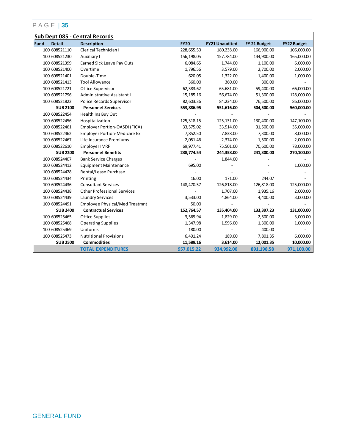|                       | Sub Dept 085 - Central Records        |             |                       |              |                    |  |  |  |
|-----------------------|---------------------------------------|-------------|-----------------------|--------------|--------------------|--|--|--|
| Fund<br><b>Detail</b> | <b>Description</b>                    | <b>FY20</b> | <b>FY21 Unaudited</b> | FY 21 Budget | <b>FY22 Budget</b> |  |  |  |
| 100 608521110         | Clerical Technician I                 | 228,655.50  | 180,238.00            | 166,900.00   | 106,000.00         |  |  |  |
| 100 608521230         | Auxiliary I                           | 156,198.05  | 157,784.00            | 144,900.00   | 165,000.00         |  |  |  |
| 100 608521399         | Earned Sick Leave Pay Outs            | 6,084.65    | 1,744.00              | 1,100.00     | 6,000.00           |  |  |  |
| 100 608521400         | Overtime                              | 1,796.56    | 3,579.00              | 2,700.00     | 2,000.00           |  |  |  |
| 100 608521401         | Double-Time                           | 620.05      | 1,322.00              | 1,400.00     | 1,000.00           |  |  |  |
| 100 608521413         | <b>Tool Allowance</b>                 | 360.00      | 360.00                | 300.00       |                    |  |  |  |
| 100 608521721         | Office Supervisor                     | 62,383.62   | 65,681.00             | 59,400.00    | 66,000.00          |  |  |  |
| 100 608521796         | Administrative Assistant I            | 15, 185. 16 | 56,674.00             | 51,300.00    | 128,000.00         |  |  |  |
| 100 608521822         | Police Records Supervisor             | 82,603.36   | 84,234.00             | 76,500.00    | 86,000.00          |  |  |  |
| <b>SUB 2100</b>       | <b>Personnel Services</b>             | 553,886.95  | 551,616.00            | 504,500.00   | 560,000.00         |  |  |  |
| 100 608522454         | Health Ins Buy Out                    |             |                       |              |                    |  |  |  |
| 100 608522456         | Hospitalization                       | 125,318.15  | 125,131.00            | 130,400.00   | 147,100.00         |  |  |  |
| 100 608522461         | Employer Portion-OASDI (FICA)         | 33,575.02   | 33,514.00             | 31,500.00    | 35,000.00          |  |  |  |
| 100 608522462         | <b>Employer Portion-Medicare Ex</b>   | 7,852.50    | 7,838.00              | 7,300.00     | 8,000.00           |  |  |  |
| 100 608522467         | Life Insurance Premiums               | 2,051.46    | 2,374.00              | 1,500.00     | 2,000.00           |  |  |  |
| 100 608522610         | Employer IMRF                         | 69,977.41   | 75,501.00             | 70,600.00    | 78,000.00          |  |  |  |
| <b>SUB 2200</b>       | <b>Personnel Benefits</b>             | 238,774.54  | 244,358.00            | 241,300.00   | 270,100.00         |  |  |  |
| 100 608524407         | <b>Bank Service Charges</b>           |             | 1,844.00              |              |                    |  |  |  |
| 100 608524412         | <b>Equipment Maintenance</b>          | 695.00      |                       |              | 1,000.00           |  |  |  |
| 100 608524428         | Rental/Lease Purchase                 |             |                       |              |                    |  |  |  |
| 100 608524434         | Printing                              | 16.00       | 171.00                | 244.07       |                    |  |  |  |
| 100 608524436         | <b>Consultant Services</b>            | 148,470.57  | 126,818.00            | 126,818.00   | 125,000.00         |  |  |  |
| 100 608524438         | <b>Other Professional Services</b>    |             | 1,707.00              | 1,935.16     | 2,000.00           |  |  |  |
| 100 608524439         | <b>Laundry Services</b>               | 3,533.00    | 4,864.00              | 4,400.00     | 3,000.00           |  |  |  |
| 100 608524491         | <b>Employee Physical/Med Treatmnt</b> | 50.00       |                       |              |                    |  |  |  |
| <b>SUB 2400</b>       | <b>Contractual Services</b>           | 152,764.57  | 135,404.00            | 133,397.23   | 131,000.00         |  |  |  |
| 100 608525465         | Office Supplies                       | 3,569.94    | 1,829.00              | 2,500.00     | 3,000.00           |  |  |  |
| 100 608525468         | <b>Operating Supplies</b>             | 1,347.98    | 1,596.00              | 1,300.00     | 1,000.00           |  |  |  |
| 100 608525469         | Uniforms                              | 180.00      |                       | 400.00       |                    |  |  |  |
| 100 608525473         | <b>Nutritional Provisions</b>         | 6,491.24    | 189.00                | 7,801.35     | 6,000.00           |  |  |  |
| <b>SUB 2500</b>       | <b>Commodities</b>                    | 11,589.16   | 3,614.00              | 12,001.35    | 10,000.00          |  |  |  |
|                       | <b>TOTAL EXPENDITURES</b>             | 957,015.22  | 934,992.00            | 891,198.58   | 971,100.00         |  |  |  |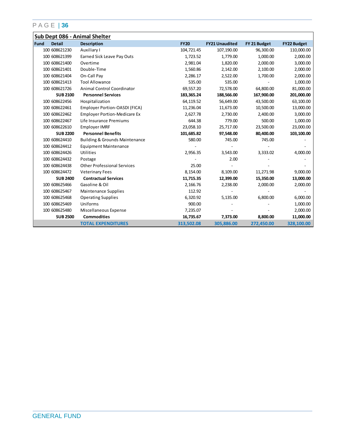|      |                 | Sub Dept 086 - Animal Shelter             |             |                       |              |                    |
|------|-----------------|-------------------------------------------|-------------|-----------------------|--------------|--------------------|
| Fund | <b>Detail</b>   | <b>Description</b>                        | <b>FY20</b> | <b>FY21 Unaudited</b> | FY 21 Budget | <b>FY22 Budget</b> |
|      | 100 608621230   | Auxiliary I                               | 104,721.45  | 107,190.00            | 96,300.00    | 110,000.00         |
|      | 100 608621399   | Earned Sick Leave Pay Outs                | 1,723.52    | 1,779.00              | 1,000.00     | 2,000.00           |
|      | 100 608621400   | Overtime                                  | 2,981.04    | 1,820.00              | 2,000.00     | 3,000.00           |
|      | 100 608621401   | Double-Time                               | 1,560.86    | 2,142.00              | 2,100.00     | 2,000.00           |
|      | 100 608621404   | On-Call Pay                               | 2,286.17    | 2,522.00              | 1,700.00     | 2,000.00           |
|      | 100 608621413   | <b>Tool Allowance</b>                     | 535.00      | 535.00                |              | 1,000.00           |
|      | 100 608621726   | Animal Control Coordinator                | 69,557.20   | 72,578.00             | 64,800.00    | 81,000.00          |
|      | <b>SUB 2100</b> | <b>Personnel Services</b>                 | 183,365.24  | 188,566.00            | 167,900.00   | 201,000.00         |
|      | 100 608622456   | Hospitalization                           | 64,119.52   | 56,649.00             | 43,500.00    | 63,100.00          |
|      | 100 608622461   | Employer Portion-OASDI (FICA)             | 11,236.04   | 11,673.00             | 10,500.00    | 13,000.00          |
|      | 100 608622462   | <b>Employer Portion-Medicare Ex</b>       | 2,627.78    | 2,730.00              | 2,400.00     | 3,000.00           |
|      | 100 608622467   | Life Insurance Premiums                   | 644.38      | 779.00                | 500.00       | 1,000.00           |
|      | 100 608622610   | Employer IMRF                             | 23,058.10   | 25,717.00             | 23,500.00    | 23,000.00          |
|      | <b>SUB 2200</b> | <b>Personnel Benefits</b>                 | 101,685.82  | 97,548.00             | 80,400.00    | 103,100.00         |
|      | 100 608624410   | <b>Building &amp; Grounds Maintenance</b> | 580.00      | 745.00                | 745.00       |                    |
|      | 100 608624412   | <b>Equipment Maintenance</b>              |             |                       |              |                    |
|      | 100 608624426   | Utilities                                 | 2,956.35    | 3,543.00              | 3,333.02     | 4,000.00           |
|      | 100 608624432   | Postage                                   |             | 2.00                  |              |                    |
|      | 100 608624438   | <b>Other Professional Services</b>        | 25.00       |                       |              |                    |
|      | 100 608624472   | <b>Veterinary Fees</b>                    | 8,154.00    | 8,109.00              | 11,271.98    | 9,000.00           |
|      | <b>SUB 2400</b> | <b>Contractual Services</b>               | 11,715.35   | 12,399.00             | 15,350.00    | 13,000.00          |
|      | 100 608625466   | Gasoline & Oil                            | 2,166.76    | 2,238.00              | 2,000.00     | 2,000.00           |
|      | 100 608625467   | Maintenance Supplies                      | 112.92      |                       |              |                    |
|      | 100 608625468   | <b>Operating Supplies</b>                 | 6,320.92    | 5,135.00              | 6,800.00     | 6,000.00           |
|      | 100 608625469   | Uniforms                                  | 900.00      |                       |              | 1,000.00           |
|      | 100 608625480   | Miscellaneous Expense                     | 7,235.07    |                       |              | 2,000.00           |
|      | <b>SUB 2500</b> | <b>Commodities</b>                        | 16,735.67   | 7,373.00              | 8,800.00     | 11,000.00          |
|      |                 | <b>TOTAL EXPENDITURES</b>                 | 313,502.08  | 305,886.00            | 272,450.00   | 328,100.00         |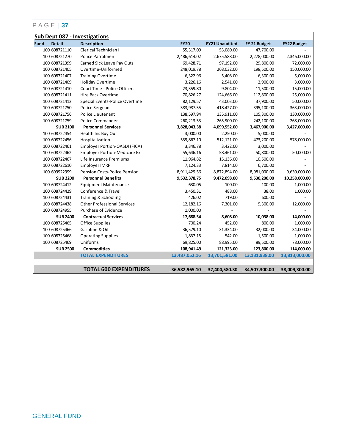|      |                 | <b>Sub Dept 087 - Investigations</b> |               |                       |               |                    |
|------|-----------------|--------------------------------------|---------------|-----------------------|---------------|--------------------|
| Fund | <b>Detail</b>   | <b>Description</b>                   | <b>FY20</b>   | <b>FY21 Unaudited</b> | FY 21 Budget  | <b>FY22 Budget</b> |
|      | 100 608721110   | Clerical Technician I                | 55,317.09     | 53,080.00             | 47,700.00     |                    |
|      | 100 608721270   | Police Patrolmen                     | 2,486,614.02  | 2,675,588.00          | 2,278,000.00  | 2,346,000.00       |
|      | 100 608721399   | <b>Earned Sick Leave Pay Outs</b>    | 69,428.71     | 97,192.00             | 29,800.00     | 72,000.00          |
|      | 100 608721405   | Overtime-Uniformed                   | 248,019.78    | 268,032.00            | 198,500.00    | 150,000.00         |
|      | 100 608721407   | <b>Training Overtime</b>             | 6,322.96      | 5,408.00              | 6,300.00      | 5,000.00           |
|      | 100 608721409   | Holiday Overtime                     | 3,226.16      | 2,541.00              | 2,900.00      | 3,000.00           |
|      | 100 608721410   | Court Time - Police Officers         | 23,359.80     | 9,804.00              | 11,500.00     | 15,000.00          |
|      | 100 608721411   | Hire Back Overtime                   | 70,826.27     | 124,666.00            | 112,800.00    | 25,000.00          |
|      | 100 608721412   | Special Events-Police Overtime       | 82,129.57     | 43,003.00             | 37,900.00     | 50,000.00          |
|      | 100 608721750   | Police Sergeant                      | 383,987.55    | 418,427.00            | 395,100.00    | 363,000.00         |
|      | 100 608721756   | Police Lieutenant                    | 138,597.94    | 135,911.00            | 105,300.00    | 130,000.00         |
|      | 100 608721759   | Police Commander                     | 260, 213.53   | 265,900.00            | 242,100.00    | 268,000.00         |
|      | <b>SUB 2100</b> | <b>Personnel Services</b>            | 3,828,043.38  | 4,099,552.00          | 3,467,900.00  | 3,427,000.00       |
|      | 100 608722454   | Health Ins Buy Out                   | 3,000.00      | 2,250.00              | 5,000.00      |                    |
|      | 100 608722456   | Hospitalization                      | 539,867.10    | 512,121.00            | 473,200.00    | 578,000.00         |
|      | 100 608722461   | Employer Portion-OASDI (FICA)        | 3,346.78      | 3,422.00              | 3,000.00      |                    |
|      | 100 608722462   | <b>Employer Portion-Medicare Ex</b>  | 55,646.16     | 58,461.00             | 50,800.00     | 50,000.00          |
|      | 100 608722467   | Life Insurance Premiums              | 11,964.82     | 15,136.00             | 10,500.00     |                    |
|      | 100 608722610   | Employer IMRF                        | 7,124.33      | 7,814.00              | 6,700.00      |                    |
|      | 100 699922999   | <b>Pension Costs-Police Pension</b>  | 8,911,429.56  | 8,872,894.00          | 8,981,000.00  | 9,630,000.00       |
|      | <b>SUB 2200</b> | <b>Personnel Benefits</b>            | 9,532,378.75  | 9,472,098.00          | 9,530,200.00  | 10,258,000.00      |
|      | 100 608724412   | <b>Equipment Maintenance</b>         | 630.05        | 100.00                | 100.00        | 1,000.00           |
|      | 100 608724429   | Conference & Travel                  | 3,450.31      | 488.00                | 38.00         | 1,000.00           |
|      | 100 608724431   | Training & Schooling                 | 426.02        | 719.00                | 600.00        |                    |
|      | 100 608724438   | <b>Other Professional Services</b>   | 12,182.16     | 7,301.00              | 9,300.00      | 12,000.00          |
|      | 100 608724955   | Purchase of Evidence                 | 1,000.00      |                       |               |                    |
|      | <b>SUB 2400</b> | <b>Contractual Services</b>          | 17,688.54     | 8,608.00              | 10,038.00     | 14,000.00          |
|      | 100 608725465   | Office Supplies                      | 700.24        | 452.00                | 800.00        | 1,000.00           |
|      | 100 608725466   | Gasoline & Oil                       | 36,579.10     | 31,334.00             | 32,000.00     | 34,000.00          |
|      | 100 608725468   | <b>Operating Supplies</b>            | 1,837.15      | 542.00                | 1,500.00      | 1,000.00           |
|      | 100 608725469   | Uniforms                             | 69,825.00     | 88,995.00             | 89,500.00     | 78,000.00          |
|      | <b>SUB 2500</b> | <b>Commodities</b>                   | 108,941.49    | 121,323.00            | 123,800.00    | 114,000.00         |
|      |                 | <b>TOTAL EXPENDITURES</b>            | 13,487,052.16 | 13,701,581.00         | 13,131,938.00 | 13,813,000.00      |
|      |                 |                                      |               |                       |               |                    |
|      |                 | <b>TOTAL 600 EXPENDITURES</b>        | 36,582,965.10 | 37,404,580.30         | 34,507,300.00 | 38,009,300.00      |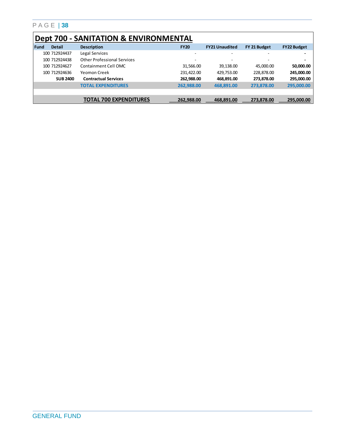|             | <b>Dept 700 - SANITATION &amp; ENVIRONMENTAL</b> |                                    |                          |                          |              |                    |  |  |  |  |
|-------------|--------------------------------------------------|------------------------------------|--------------------------|--------------------------|--------------|--------------------|--|--|--|--|
| <b>Fund</b> | <b>Detail</b>                                    | <b>Description</b>                 | <b>FY20</b>              | <b>FY21 Unaudited</b>    | FY 21 Budget | <b>FY22 Budget</b> |  |  |  |  |
|             | 100 712924437                                    | Legal Services                     | $\overline{\phantom{0}}$ | $\overline{\phantom{0}}$ |              | ۰                  |  |  |  |  |
|             | 100 712924438                                    | <b>Other Professional Services</b> | $\overline{\phantom{a}}$ | $\overline{\phantom{0}}$ |              | ۰                  |  |  |  |  |
|             | 100 712924627                                    | Containment Cell OMC               | 31,566.00                | 39,138.00                | 45,000,00    | 50,000.00          |  |  |  |  |
|             | 100 712924636                                    | Yeomon Creek                       | 231,422.00               | 429,753.00               | 228,878.00   | 245,000.00         |  |  |  |  |
|             | <b>SUB 2400</b>                                  | <b>Contractual Services</b>        | 262,988.00               | 468,891.00               | 273,878.00   | 295,000.00         |  |  |  |  |
|             |                                                  | <b>TOTAL EXPENDITURES</b>          | 262.988.00               | 468.891.00               | 273.878.00   | 295,000.00         |  |  |  |  |
|             |                                                  |                                    |                          |                          |              |                    |  |  |  |  |
|             |                                                  | TOTAL 700 EXPENDITURES             | 262,988.00               | 468.891.00               | 273,878.00   | 295.000.00         |  |  |  |  |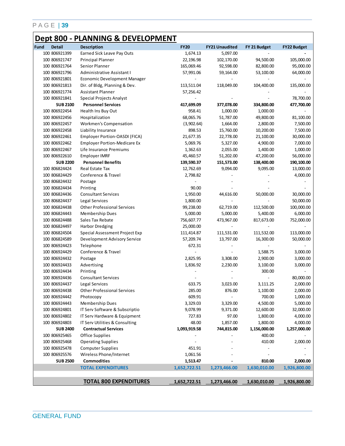## **Dept 800 - PLANNING & DEVELOPMENT**

| Fund | <b>Detail</b>                  | <b>Description</b>                  | <b>FY20</b>  | <b>FY21 Unaudited</b> | FY 21 Budget             | <b>FY22 Budget</b>     |
|------|--------------------------------|-------------------------------------|--------------|-----------------------|--------------------------|------------------------|
|      | 100 806921399                  | Earned Sick Leave Pay Outs          | 1,674.13     | 5,097.00              |                          |                        |
|      | 100 806921747                  | Principal Planner                   | 22,196.98    | 102,170.00            | 94,500.00                | 105,000.00             |
|      | 100 806921764                  | Senior Planner                      | 165,069.46   | 92,598.00             | 82,800.00                | 95,000.00              |
|      | 100 806921796                  | Administrative Assistant I          | 57,991.06    | 59,164.00             | 53,100.00                | 64,000.00              |
|      | 100 806921801                  | Economic Development Manager        |              |                       | $\overline{\phantom{a}}$ |                        |
|      | 100 806921813                  | Dir. of Bldg, Planning & Dev.       | 113,511.04   | 118,049.00            | 104,400.00               | 135,000.00             |
|      | 100 806921774                  | Assistant Planner                   | 57,256.42    |                       |                          |                        |
|      | 100 806921841                  | Special Projects Analyst            |              |                       |                          | 78,700.00              |
|      | <b>SUB 2100</b>                | <b>Personnel Services</b>           | 417,699.09   | 377,078.00            | 334,800.00               | 477,700.00             |
|      | 100 806922454                  | Health Ins Buy Out                  | 958.41       | 1,000.00              | 1,000.00                 |                        |
|      | 100 806922456                  | Hospitalization                     | 68,065.76    | 51,787.00             | 49,800.00                | 81,100.00              |
|      | 100 806922457                  | Workmen's Compensation              | (3,902.64)   | 1,664.00              | 2,800.00                 | 7,500.00               |
|      | 100 806922458                  | Liability Insurance                 | 898.53       | 15,760.00             | 10,200.00                | 7,500.00               |
|      | 100 806922461                  | Employer Portion-OASDI (FICA)       | 21,677.35    | 22,778.00             | 21,100.00                | 30,000.00              |
|      | 100 806922462                  | <b>Employer Portion-Medicare Ex</b> | 5,069.76     | 5,327.00              | 4,900.00                 | 7,000.00               |
|      | 100 806922467                  | Life Insurance Premiums             | 1,362.63     | 2,055.00              | 1,400.00                 | 1,000.00               |
|      | 100 806922610                  | <b>Employer IMRF</b>                | 45,460.57    | 51,202.00             | 47,200.00                | 56,000.00              |
|      | <b>SUB 2200</b>                | <b>Personnel Benefits</b>           | 139,590.37   | 151,573.00            | 138,400.00               | 190,100.00             |
|      | 100 806824424                  | Real Estate Tax                     | 12,762.69    | 9,094.00              | 9,095.00                 | 13,000.00              |
|      | 100 806824429                  | Conference & Travel                 | 2,798.82     |                       |                          | 4,000.00               |
|      | 100 806824432                  | Postage                             |              |                       |                          |                        |
|      | 100 806824434                  | Printing                            | 90.00        |                       |                          |                        |
|      | 100 806824436                  | <b>Consultant Services</b>          | 1,950.00     | 44,616.00             | 50,000.00                | 30,000.00              |
|      | 100 806824437                  | Legal Services                      | 1,800.00     |                       |                          | 50,000.00              |
|      | 100 806824438                  | <b>Other Professional Services</b>  | 99,238.00    | 62,719.00             | 112,500.00               | 100,000.00             |
|      | 100 806824443                  |                                     | 5,000.00     | 5,000.00              | 5,400.00                 |                        |
|      | 100 806824488                  | Membership Dues<br>Sales Tax Rebate | 756,607.77   |                       | 817,673.00               | 6,000.00<br>752,000.00 |
|      |                                |                                     |              | 473,967.00            |                          |                        |
|      | 100 806824497<br>100 806824504 | <b>Harbor Dredging</b>              | 25,000.00    |                       |                          |                        |
|      | 100 806824589                  | Special Assessment Project Exp      | 111,414.87   | 111,531.00            | 111,532.00               | 113,000.00             |
|      |                                | Development Advisory Service        | 57,209.74    | 13,797.00             | 16,300.00                | 50,000.00              |
|      | 100 806924423                  | Telephone                           | 672.31       |                       |                          |                        |
|      | 100 806924429                  | Conference & Travel                 |              |                       | 1,588.75                 | 3,000.00               |
|      | 100 806924432                  | Postage                             | 2,825.95     | 3,308.00              | 2,900.00                 | 3,000.00               |
|      | 100 806924433                  | Advertising                         | 1,836.92     | 2,230.00              | 3,100.00                 | 3,000.00               |
|      | 100 806924434                  | Printing                            |              |                       | 300.00                   |                        |
|      | 100 806924436                  | <b>Consultant Services</b>          |              |                       | $\overline{\phantom{a}}$ | 80,000.00              |
|      | 100 806924437                  | Legal Services                      | 633.75       | 3,023.00              | 3,111.25                 | 2,000.00               |
|      | 100 806924438                  | <b>Other Professional Services</b>  | 285.00       | 876.00                | 1,100.00                 | 2,000.00               |
|      | 100 806924442                  | Photocopy                           | 609.91       |                       | 700.00                   | 1,000.00               |
|      | 100 806924443                  | Membership Dues                     | 3,329.03     | 3,329.00              | 4,500.00                 | 5,000.00               |
|      | 100 806924801                  | IT Serv Software & Subscriptio      | 9,078.99     | 9,371.00              | 12,600.00                | 32,000.00              |
|      | 100 806924802                  | IT Serv Hardware & Equipment        | 727.83       | 97.00                 | 1,800.00                 | 4,000.00               |
|      | 100 806924803                  | IT Serv Utilities & Consulting      | 48.00        | 1,857.00              | 1,800.00                 | 4,000.00               |
|      | <b>SUB 2400</b>                | <b>Contractual Services</b>         | 1,093,919.58 | 744,815.00            | 1,156,000.00             | 1,257,000.00           |
|      | 100 806925465                  | Office Supplies                     |              |                       | 400.00                   |                        |
|      | 100 806925468                  | <b>Operating Supplies</b>           |              |                       | 410.00                   | 2,000.00               |
|      | 100 806925478                  | <b>Computer Supplies</b>            | 451.91       |                       |                          |                        |
|      | 100 806925576                  | Wireless Phone/Internet             | 1,061.56     |                       |                          |                        |
|      | <b>SUB 2500</b>                | <b>Commodities</b>                  | 1,513.47     |                       | 810.00                   | 2,000.00               |
|      |                                | <b>TOTAL EXPENDITURES</b>           | 1,652,722.51 | 1,273,466.00          | 1,630,010.00             | 1,926,800.00           |
|      |                                | <b>TOTAL 800 EXPENDITURES</b>       | 1,652,722.51 | 1,273,466.00          | 1,630,010.00             | 1,926,800.00           |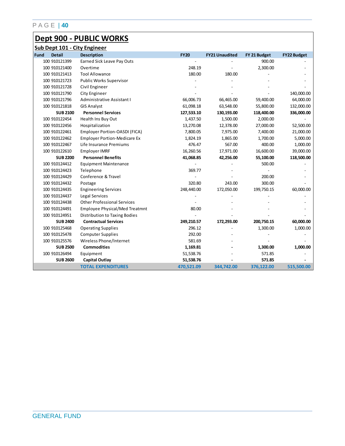## **Dept 900 - PUBLIC WORKS**

|      | Sub Dept 101 - City Engineer |                                       |             |                       |              |                    |  |  |  |
|------|------------------------------|---------------------------------------|-------------|-----------------------|--------------|--------------------|--|--|--|
| Fund | <b>Detail</b>                | <b>Description</b>                    | <b>FY20</b> | <b>FY21 Unaudited</b> | FY 21 Budget | <b>FY22 Budget</b> |  |  |  |
|      | 100 910121399                | Earned Sick Leave Pay Outs            |             |                       | 900.00       |                    |  |  |  |
|      | 100 910121400                | Overtime                              | 248.19      |                       | 2,300.00     |                    |  |  |  |
|      | 100 910121413                | <b>Tool Allowance</b>                 | 180.00      | 180.00                |              |                    |  |  |  |
|      | 100 910121723                | <b>Public Works Supervisor</b>        |             |                       |              |                    |  |  |  |
|      | 100 910121728                | Civil Engineer                        |             |                       |              |                    |  |  |  |
|      | 100 910121790                | City Engineer                         |             |                       |              | 140,000.00         |  |  |  |
|      | 100 910121796                | Administrative Assistant I            | 66,006.73   | 66,465.00             | 59,400.00    | 64,000.00          |  |  |  |
|      | 100 910121818                | <b>GIS Analyst</b>                    | 61,098.18   | 63,548.00             | 55,800.00    | 132,000.00         |  |  |  |
|      | <b>SUB 2100</b>              | <b>Personnel Services</b>             | 127,533.10  | 130,193.00            | 118,400.00   | 336,000.00         |  |  |  |
|      | 100 910122454                | Health Ins Buy Out                    | 1,437.50    | 1,500.00              | 2,000.00     |                    |  |  |  |
|      | 100 910122456                | Hospitalization                       | 13,270.08   | 12,378.00             | 27,000.00    | 52,500.00          |  |  |  |
|      | 100 910122461                | Employer Portion-OASDI (FICA)         | 7,800.05    | 7,975.00              | 7,400.00     | 21,000.00          |  |  |  |
|      | 100 910122462                | <b>Employer Portion-Medicare Ex</b>   | 1,824.19    | 1,865.00              | 1,700.00     | 5,000.00           |  |  |  |
|      | 100 910122467                | Life Insurance Premiums               | 476.47      | 567.00                | 400.00       | 1,000.00           |  |  |  |
|      | 100 910122610                | Employer IMRF                         | 16,260.56   | 17,971.00             | 16,600.00    | 39,000.00          |  |  |  |
|      | <b>SUB 2200</b>              | <b>Personnel Benefits</b>             | 41,068.85   | 42,256.00             | 55,100.00    | 118,500.00         |  |  |  |
|      | 100 910124412                | <b>Equipment Maintenance</b>          |             |                       | 500.00       |                    |  |  |  |
|      | 100 910124423                | Telephone                             | 369.77      |                       |              |                    |  |  |  |
|      | 100 910124429                | Conference & Travel                   |             |                       | 200.00       |                    |  |  |  |
|      | 100 910124432                | Postage                               | 320.80      | 243.00                | 300.00       |                    |  |  |  |
|      | 100 910124435                | <b>Engineering Services</b>           | 248,440.00  | 172,050.00            | 199,750.15   | 60,000.00          |  |  |  |
|      | 100 910124437                | Legal Services                        |             |                       |              |                    |  |  |  |
|      | 100 910124438                | <b>Other Professional Services</b>    |             |                       |              |                    |  |  |  |
|      | 100 910124491                | <b>Employee Physical/Med Treatmnt</b> | 80.00       |                       |              |                    |  |  |  |
|      | 100 910124951                | Distribution to Taxing Bodies         |             |                       |              |                    |  |  |  |
|      | <b>SUB 2400</b>              | <b>Contractual Services</b>           | 249,210.57  | 172,293.00            | 200,750.15   | 60,000.00          |  |  |  |
|      | 100 910125468                | <b>Operating Supplies</b>             | 296.12      |                       | 1,300.00     | 1,000.00           |  |  |  |
|      | 100 910125478                | <b>Computer Supplies</b>              | 292.00      |                       |              |                    |  |  |  |
|      | 100 910125576                | Wireless Phone/Internet               | 581.69      |                       |              |                    |  |  |  |
|      | <b>SUB 2500</b>              | <b>Commodities</b>                    | 1,169.81    |                       | 1,300.00     | 1,000.00           |  |  |  |
|      | 100 910126494                | Equipment                             | 51,538.76   |                       | 571.85       |                    |  |  |  |
|      | <b>SUB 2600</b>              | <b>Capital Outlay</b>                 | 51,538.76   |                       | 571.85       |                    |  |  |  |
|      |                              | <b>TOTAL EXPENDITURES</b>             | 470,521.09  | 344,742.00            | 376,122.00   | 515,500.00         |  |  |  |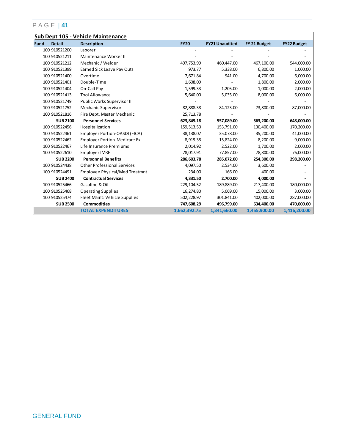|             |                 | Sub Dept 105 - Vehicle Maintenance    |              |                       |              |                    |
|-------------|-----------------|---------------------------------------|--------------|-----------------------|--------------|--------------------|
| <b>Fund</b> | <b>Detail</b>   | <b>Description</b>                    | <b>FY20</b>  | <b>FY21 Unaudited</b> | FY 21 Budget | <b>FY22 Budget</b> |
|             | 100 910521200   | Laborer                               |              |                       |              |                    |
|             | 100 910521211   | Maintenance Worker II                 |              |                       |              |                    |
|             | 100 910521212   | Mechanic / Welder                     | 497,753.99   | 460,447.00            | 467,100.00   | 544,000.00         |
|             | 100 910521399   | Earned Sick Leave Pay Outs            | 973.77       | 5,338.00              | 6,800.00     | 1,000.00           |
|             | 100 910521400   | Overtime                              | 7,671.84     | 941.00                | 4,700.00     | 6,000.00           |
|             | 100 910521401   | Double-Time                           | 1,608.09     |                       | 1,800.00     | 2,000.00           |
|             | 100 910521404   | On-Call Pay                           | 1,599.33     | 1,205.00              | 1,000.00     | 2,000.00           |
|             | 100 910521413   | <b>Tool Allowance</b>                 | 5,640.00     | 5,035.00              | 8,000.00     | 6,000.00           |
|             | 100 910521749   | Public Works Supervisor II            |              |                       |              |                    |
|             | 100 910521752   | Mechanic Supervisor                   | 82,888.38    | 84,123.00             | 73,800.00    | 87,000.00          |
|             | 100 910521816   | Fire Dept. Master Mechanic            | 25,713.78    |                       |              |                    |
|             | <b>SUB 2100</b> | <b>Personnel Services</b>             | 623,849.18   | 557,089.00            | 563,200.00   | 648,000.00         |
|             | 100 910522456   | Hospitalization                       | 159,513.50   | 153,791.00            | 130,400.00   | 170,200.00         |
|             | 100 910522461   | Employer Portion-OASDI (FICA)         | 38,138.07    | 35,078.00             | 35,200.00    | 41,000.00          |
|             | 100 910522462   | <b>Employer Portion-Medicare Ex</b>   | 8,919.38     | 15,824.00             | 8,200.00     | 9,000.00           |
|             | 100 910522467   | Life Insurance Premiums               | 2,014.92     | 2,522.00              | 1,700.00     | 2,000.00           |
|             | 100 910522610   | Employer IMRF                         | 78,017.91    | 77,857.00             | 78,800.00    | 76,000.00          |
|             | <b>SUB 2200</b> | <b>Personnel Benefits</b>             | 286,603.78   | 285,072.00            | 254,300.00   | 298,200.00         |
|             | 100 910524438   | <b>Other Professional Services</b>    | 4,097.50     | 2,534.00              | 3,600.00     |                    |
|             | 100 910524491   | <b>Employee Physical/Med Treatmnt</b> | 234.00       | 166.00                | 400.00       |                    |
|             | <b>SUB 2400</b> | <b>Contractual Services</b>           | 4,331.50     | 2,700.00              | 4,000.00     |                    |
|             | 100 910525466   | Gasoline & Oil                        | 229, 104.52  | 189,889.00            | 217,400.00   | 180,000.00         |
|             | 100 910525468   | <b>Operating Supplies</b>             | 16,274.80    | 5,069.00              | 15,000.00    | 3,000.00           |
|             | 100 910525474   | Fleet Maint: Vehicle Supplies         | 502,228.97   | 301,841.00            | 402,000.00   | 287,000.00         |
|             | <b>SUB 2500</b> | <b>Commodities</b>                    | 747,608.29   | 496,799.00            | 634,400.00   | 470,000.00         |
|             |                 | <b>TOTAL EXPENDITURES</b>             | 1,662,392.75 | 1,341,660.00          | 1,455,900.00 | 1,416,200.00       |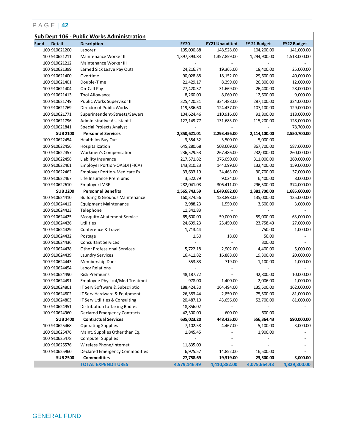|                       | Sub Dept 106 - Public Works Administration |              |                       |              |                    |
|-----------------------|--------------------------------------------|--------------|-----------------------|--------------|--------------------|
| Fund<br><b>Detail</b> | <b>Description</b>                         | <b>FY20</b>  | <b>FY21 Unaudited</b> | FY 21 Budget | <b>FY22 Budget</b> |
| 100 910621200         | Laborer                                    | 105,090.88   | 148,528.00            | 104,200.00   | 141,000.00         |
| 100 910621211         | Maintenance Worker II                      | 1,397,393.83 | 1,357,859.00          | 1,294,900.00 | 1,518,000.00       |
| 100 910621212         | Maintenance Worker III                     |              |                       |              |                    |
| 100 910621399         | Earned Sick Leave Pay Outs                 | 24,216.74    | 19,365.00             | 18,400.00    | 25,000.00          |
| 100 910621400         | Overtime                                   | 90,028.88    | 18,152.00             | 29,600.00    | 40,000.00          |
| 100 910621401         | Double-Time                                | 21,429.17    | 8,299.00              | 26,800.00    | 12,000.00          |
| 100 910621404         | On-Call Pay                                | 27,420.37    | 31,669.00             | 26,400.00    | 28,000.00          |
| 100 910621413         | <b>Tool Allowance</b>                      | 8,260.00     | 8,060.00              | 12,600.00    | 9,000.00           |
| 100 910621749         | Public Works Supervisor II                 | 325,420.31   | 334,488.00            | 287,100.00   | 324,000.00         |
| 100 910621769         | Director of Public Works                   | 119,586.60   | 124,437.00            | 107,100.00   | 129,000.00         |
| 100 910621771         | Superintendent-Streets/Sewers              | 104,624.46   | 110,916.00            | 91,800.00    | 118,000.00         |
| 100 910621796         | Administrative Assistant I                 | 127, 149. 77 | 131,683.00            | 115,200.00   | 128,000.00         |
| 100 910621841         | Special Projects Analyst                   |              |                       |              | 78,700.00          |
| <b>SUB 2100</b>       | <b>Personnel Services</b>                  | 2,350,621.01 | 2,293,456.00          | 2,114,100.00 | 2,550,700.00       |
| 100 910622454         | Health Ins Buy Out                         | 3,354.32     | 3,500.00              | 5,000.00     |                    |
| 100 910622456         | Hospitalization                            | 645,280.68   | 508,609.00            | 367,700.00   | 587,600.00         |
| 100 910622457         | Workmen's Compensation                     | 236,529.53   | 267,486.00            | 232,000.00   | 260,000.00         |
| 100 910622458         | Liability Insurance                        | 217,571.82   | 376,090.00            | 311,000.00   | 260,000.00         |
| 100 910622461         | Employer Portion-OASDI (FICA)              | 143,810.23   | 144,099.00            | 132,400.00   | 159,000.00         |
| 100 910622462         | <b>Employer Portion-Medicare Ex</b>        | 33,633.19    | 34,463.00             | 30,700.00    | 37,000.00          |
| 100 910622467         | Life Insurance Premiums                    | 3,522.79     | 9,024.00              | 6,400.00     | 8,000.00           |
| 100 910622610         | <b>Employer IMRF</b>                       | 282,041.03   | 306,411.00            | 296,500.00   | 374,000.00         |
| <b>SUB 2200</b>       | <b>Personnel Benefits</b>                  | 1,565,743.59 | 1,649,682.00          | 1,381,700.00 | 1,685,600.00       |
| 100 910624410         | <b>Building &amp; Grounds Maintenance</b>  | 160,374.56   | 128,898.00            | 135,000.00   | 135,000.00         |
| 100 910624412         | <b>Equipment Maintenance</b>               | 2,988.23     | 1,550.00              | 3,600.00     | 3,000.00           |
| 100 910624423         | Telephone                                  | 11,341.83    |                       |              |                    |
| 100 910624425         | Mosquito Abatement Service                 | 65,600.00    | 59,000.00             | 59,000.00    | 63,000.00          |
| 100 910624426         | Utilities                                  | 24,699.23    | 25,450.00             | 23,758.43    | 27,000.00          |
| 100 910624429         | Conference & Travel                        | 1,713.44     |                       | 750.00       | 1,000.00           |
| 100 910624432         | Postage                                    | 1.50         | 18.00                 | 50.00        |                    |
| 100 910624436         | <b>Consultant Services</b>                 |              |                       | 300.00       |                    |
| 100 910624438         | <b>Other Professional Services</b>         | 5,722.18     | 2,902.00              | 4,400.00     | 5,000.00           |
| 100 910624439         | <b>Laundry Services</b>                    | 16,411.82    | 16,888.00             | 19,300.00    | 20,000.00          |
| 100 910624443         | Membership Dues                            | 553.83       | 719.00                | 1,100.00     | 1,000.00           |
| 100 910624454         | Labor Relations                            |              |                       |              |                    |
| 100 910624490         | <b>Risk Premiums</b>                       | 48, 187. 72  |                       | 42,800.00    | 10,000.00          |
| 100 910624491         | Employee Physical/Med Treatmnt             | 978.00       | 1,400.00              | 2,006.00     | 1,000.00           |
| 100 910624801         | IT Serv Software & Subscriptio             | 188,424.30   | 164,494.00            | 135,500.00   | 162,000.00         |
| 100 910624802         | IT Serv Hardware & Equipment               | 26,383.44    | 2,850.00              | 75,500.00    | 81,000.00          |
| 100 910624803         | IT Serv Utilities & Consulting             | 20,487.10    | 43,656.00             | 52,700.00    | 81,000.00          |
| 100 910624951         | Distribution to Taxing Bodies              | 18,856.02    |                       |              |                    |
| 100 910624960         | <b>Declared Emergency Contracts</b>        | 42,300.00    | 600.00                | 600.00       |                    |
| <b>SUB 2400</b>       | <b>Contractual Services</b>                | 635,023.20   | 448,425.00            | 556,364.43   | 590,000.00         |
| 100 910625468         | <b>Operating Supplies</b>                  | 7,102.58     | 4,467.00              | 5,100.00     | 3,000.00           |
| 100 910625476         | Maint. Supplies Other than Eq.             | 1,845.45     |                       | 1,900.00     |                    |
| 100 910625478         | <b>Computer Supplies</b>                   |              |                       |              |                    |
| 100 910625576         | Wireless Phone/Internet                    | 11,835.09    |                       |              |                    |
| 100 910625960         | Declared Emergency Commodities             | 6,975.57     | 14,852.00             | 16,500.00    |                    |
| <b>SUB 2500</b>       | <b>Commodities</b>                         | 27,758.69    | 19,319.00             | 23,500.00    | 3,000.00           |
|                       | <b>TOTAL EXPENDITURES</b>                  | 4,579,146.49 | 4,410,882.00          | 4,075,664.43 | 4,829,300.00       |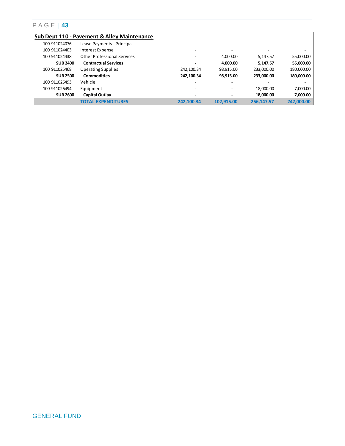|                 | <b>Sub Dept 110 - Pavement &amp; Alley Maintenance</b> |                          |            |            |            |
|-----------------|--------------------------------------------------------|--------------------------|------------|------------|------------|
| 100 911024076   | Lease Payments - Principal                             |                          |            |            | -          |
| 100 911024403   | Interest Expense                                       |                          |            |            |            |
| 100 911024438   | <b>Other Professional Services</b>                     | -                        | 4,000.00   | 5,147.57   | 55,000.00  |
| <b>SUB 2400</b> | <b>Contractual Services</b>                            | $\overline{\phantom{0}}$ | 4.000.00   | 5.147.57   | 55,000.00  |
| 100 911025468   | <b>Operating Supplies</b>                              | 242,100.34               | 98.915.00  | 233.000.00 | 180,000.00 |
| <b>SUB 2500</b> | <b>Commodities</b>                                     | 242,100.34               | 98,915.00  | 233.000.00 | 180,000.00 |
| 100 911026493   | Vehicle                                                |                          |            |            |            |
| 100 911026494   | Equipment                                              | -                        |            | 18.000.00  | 7,000.00   |
| <b>SUB 2600</b> | <b>Capital Outlay</b>                                  | $\overline{\phantom{0}}$ |            | 18,000,00  | 7,000.00   |
|                 | <b>TOTAL EXPENDITURES</b>                              | 242.100.34               | 102.915.00 | 256.147.57 | 242.000.00 |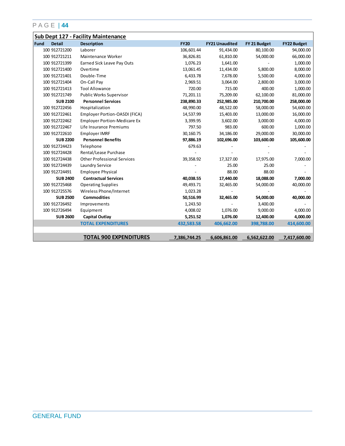|                              | <b>Sub Dept 127 - Facility Maintenance</b> |              |                       |              |                    |
|------------------------------|--------------------------------------------|--------------|-----------------------|--------------|--------------------|
| <b>Detail</b><br><b>Fund</b> | <b>Description</b>                         | <b>FY20</b>  | <b>FY21 Unaudited</b> | FY 21 Budget | <b>FY22 Budget</b> |
| 100 912721200                | Laborer                                    | 106,601.44   | 91,434.00             | 80,100.00    | 94,000.00          |
| 100 912721211                | Maintenance Worker                         | 36,826.81    | 61,810.00             | 54,000.00    | 66,000.00          |
| 100 912721399                | <b>Earned Sick Leave Pay Outs</b>          | 1,076.23     | 1,641.00              |              | 1,000.00           |
| 100 912721400                | Overtime                                   | 13,061.45    | 11,434.00             | 5,800.00     | 8,000.00           |
| 100 912721401                | Double-Time                                | 6,433.78     | 7,678.00              | 5,500.00     | 4,000.00           |
| 100 912721404                | On-Call Pay                                | 2,969.51     | 3,064.00              | 2,800.00     | 3,000.00           |
| 100 912721413                | <b>Tool Allowance</b>                      | 720.00       | 715.00                | 400.00       | 1,000.00           |
| 100 912721749                | Public Works Supervisor                    | 71,201.11    | 75,209.00             | 62,100.00    | 81,000.00          |
| <b>SUB 2100</b>              | <b>Personnel Services</b>                  | 238,890.33   | 252,985.00            | 210,700.00   | 258,000.00         |
| 100 912722456                | Hospitalization                            | 48,990.00    | 48,522.00             | 58,000.00    | 54,600.00          |
| 100 912722461                | Employer Portion-OASDI (FICA)              | 14,537.99    | 15,403.00             | 13,000.00    | 16,000.00          |
| 100 912722462                | <b>Employer Portion-Medicare Ex</b>        | 3,399.95     | 3,602.00              | 3,000.00     | 4,000.00           |
| 100 912722467                | Life Insurance Premiums                    | 797.50       | 983.00                | 600.00       | 1,000.00           |
| 100 912722610                | Employer IMRF                              | 30,160.75    | 34,186.00             | 29,000.00    | 30,000.00          |
| <b>SUB 2200</b>              | <b>Personnel Benefits</b>                  | 97,886.19    | 102,696.00            | 103,600.00   | 105,600.00         |
| 100 912724423                | Telephone                                  | 679.63       |                       |              |                    |
| 100 912724428                | Rental/Lease Purchase                      |              |                       |              |                    |
| 100 912724438                | <b>Other Professional Services</b>         | 39,358.92    | 17,327.00             | 17,975.00    | 7,000.00           |
| 100 912724439                | Laundry Service                            |              | 25.00                 | 25.00        |                    |
| 100 912724491                | <b>Employee Physical</b>                   |              | 88.00                 | 88.00        |                    |
| <b>SUB 2400</b>              | <b>Contractual Services</b>                | 40,038.55    | 17,440.00             | 18,088.00    | 7,000.00           |
| 100 912725468                | <b>Operating Supplies</b>                  | 49,493.71    | 32,465.00             | 54,000.00    | 40,000.00          |
| 100 912725576                | Wireless Phone/Internet                    | 1,023.28     |                       |              |                    |
| <b>SUB 2500</b>              | <b>Commodities</b>                         | 50,516.99    | 32,465.00             | 54,000.00    | 40,000.00          |
| 100 912726492                | Improvements                               | 1,243.50     |                       | 3,400.00     |                    |
| 100 912726494                | Equipment                                  | 4,008.02     | 1,076.00              | 9,000.00     | 4,000.00           |
| <b>SUB 2600</b>              | <b>Capital Outlay</b>                      | 5,251.52     | 1,076.00              | 12,400.00    | 4,000.00           |
|                              | <b>TOTAL EXPENDITURES</b>                  | 432,583.58   | 406,662.00            | 398,788.00   | 414,600.00         |
|                              |                                            |              |                       |              |                    |
|                              | <b>TOTAL 900 EXPENDITURES</b>              | 7,386,744.25 | 6,606,861.00          | 6,562,622.00 | 7,417,600.00       |